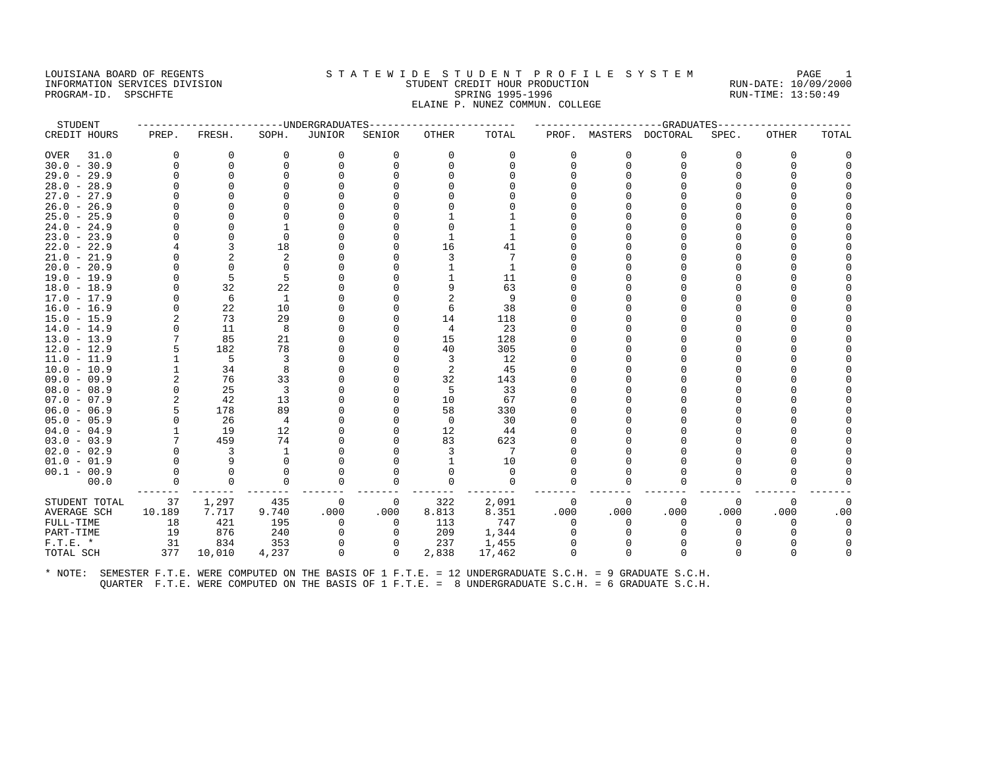#### LOUISIANA BOARD OF REGENTS STA TEWIDE STUDENT PROFILE SYSTEM PAGE 1 INFORMATION SERVICES DIVISION STUDENT CREDIT HOUR PRODUCTION RUN-DATE: 10/09/2000 PROGRAM-ID. SPSCHFTE SALLER SPRING 1995-1996 SPRING 1995-1996 RUN-TIME: 13:50:49 ELAINE P. NUNEZ COMMUN. COLLEGE

| STUDENT       |             |              |                |              | ------------UNDERGRADUATES--------------- |          |              |          |          | -----------GRADUATES----- |          |          |          |
|---------------|-------------|--------------|----------------|--------------|-------------------------------------------|----------|--------------|----------|----------|---------------------------|----------|----------|----------|
| CREDIT HOURS  | PREP.       | FRESH.       | SOPH.          | JUNIOR       | SENIOR                                    | OTHER    | TOTAL        |          |          | PROF. MASTERS DOCTORAL    | SPEC.    | OTHER    | TOTAL    |
| OVER<br>31.0  | $\Omega$    | 0            | 0              | 0            | $\Omega$                                  | 0        | 0            | $\Omega$ | $\Omega$ | 0                         | $\Omega$ | $\Omega$ |          |
| $30.0 - 30.9$ | $\Omega$    | $\mathbf 0$  | $\Omega$       | $\Omega$     | $\Omega$                                  | $\Omega$ | $\Omega$     | $\Omega$ | $\Omega$ | $\Omega$                  | $\Omega$ | $\Omega$ |          |
| $29.0 - 29.9$ |             | $\Omega$     |                | <sup>0</sup> |                                           |          |              |          |          |                           |          |          |          |
| $28.0 - 28.9$ | O           | <sup>0</sup> |                |              |                                           |          |              |          |          | U                         |          |          |          |
| $27.0 - 27.9$ |             | $\Omega$     |                |              |                                           |          |              |          |          |                           |          |          |          |
| $26.0 - 26.9$ |             |              |                |              |                                           |          |              |          |          |                           |          |          |          |
| $25.0 - 25.9$ | $\Omega$    | <sup>0</sup> | $\Omega$       |              |                                           |          |              |          |          | U                         |          |          |          |
| $24.0 - 24.9$ | O           | <sup>0</sup> |                |              |                                           |          |              |          |          |                           |          |          |          |
| $23.0 - 23.9$ |             | $\Omega$     | $\Omega$       |              |                                           |          |              |          |          |                           |          |          |          |
| $22.0 - 22.9$ |             | 3            | 18             |              |                                           | 16       | 41           |          |          | U                         |          |          |          |
| $21.0 - 21.9$ | $\Omega$    | 2            | $\overline{2}$ |              |                                           | 3        |              |          |          |                           |          |          |          |
| $20.0 - 20.9$ | $\Omega$    | $\Omega$     | $\Omega$       |              |                                           |          | $\mathbf{1}$ |          |          | U                         |          |          |          |
| $19.0 - 19.9$ | U           | 5            | 5              |              |                                           |          | 11           |          |          |                           |          |          |          |
| $18.0 - 18.9$ | $\Omega$    | 32           | 22             |              |                                           | 9        | 63           |          |          | U                         |          |          |          |
| $17.0 - 17.9$ | $\Omega$    | 6            | 1              |              |                                           | 2        | 9            |          |          | U                         |          |          |          |
| $16.0 - 16.9$ | 0           | 22           | 10             |              |                                           | 6        | 38           |          |          |                           |          |          |          |
| $15.0 - 15.9$ | 2           | 73           | 29             |              |                                           | 14       | 118          |          |          | U                         |          |          |          |
| $14.0 - 14.9$ | $\Omega$    | 11           | 8              |              |                                           | 4        | 23           |          |          |                           |          |          |          |
| $13.0 - 13.9$ |             | 85           | 21             |              |                                           | 15       | 128          |          |          |                           |          |          |          |
| $12.0 - 12.9$ | 5           | 182          | 78             |              |                                           | 40       | 305          |          |          | U                         |          |          |          |
| $11.0 - 11.9$ |             | -5           | 3              |              |                                           | 3        | 12           |          |          |                           |          |          |          |
| $10.0 - 10.9$ |             | 34           | 8              |              |                                           | 2        | 45           |          |          |                           |          |          |          |
| $09.0 - 09.9$ | 2           | 76           | 33             |              |                                           | 32       | 143          |          |          |                           |          |          |          |
| $08.0 - 08.9$ | $\mathbf 0$ | 25           | 3              |              |                                           | 5        | 33           |          |          | U                         |          |          |          |
| $07.0 - 07.9$ | 2           | 42           | 13             |              |                                           | 10       | 67           |          |          | U                         |          |          |          |
| $06.0 - 06.9$ | 5           | 178          | 89             |              |                                           | 58       | 330          |          |          |                           |          |          |          |
| $05.0 - 05.9$ | $\Omega$    | 26           | 4              |              |                                           | $\Omega$ | 30           |          |          |                           |          |          |          |
| $04.0 - 04.9$ |             | 19           | 12             |              |                                           | 12       | 44           |          |          |                           |          |          |          |
| $03.0 - 03.9$ |             | 459          | 74             |              |                                           | 83       | 623          |          |          |                           |          |          |          |
| $02.0 - 02.9$ | O           | 3            | 1              |              |                                           | 3        | 7            |          |          |                           |          |          |          |
| $01.0 - 01.9$ |             | 9            | $\Omega$       |              |                                           |          | 10           |          |          |                           |          |          |          |
| $00.1 - 00.9$ | $\Omega$    | $\Omega$     | $\Omega$       | $\Omega$     |                                           | U        | $\Omega$     |          |          | U                         |          |          |          |
| 00.0          | $\Omega$    | $\Omega$     | $\Omega$       | $\Omega$     |                                           | $\Omega$ | $\Omega$     | ∩        |          | $\Omega$                  | ∩        | ∩        |          |
| STUDENT TOTAL | 37          | 1,297        | 435            | 0            | $\mathbf{0}$                              | 322      | 2,091        | 0        | $\Omega$ | $\Omega$                  | $\Omega$ | $\Omega$ | $\Omega$ |
| AVERAGE SCH   | 10.189      | 7.717        | 9.740          | .000         | .000                                      | 8.813    | 8.351        | .000     | .000     | .000                      | .000     | .000     | .00      |
| FULL-TIME     | 18          | 421          | 195            | 0            | 0                                         | 113      | 747          | $\Omega$ | $\Omega$ | 0                         | $\Omega$ | $\Omega$ | $\Omega$ |
| PART-TIME     | 19          | 876          | 240            | $\Omega$     | $\Omega$                                  | 209      | 1,344        |          |          | $\Omega$                  |          |          |          |
| $F.T.E. *$    | 31          | 834          | 353            | 0            |                                           | 237      | 1,455        |          |          | $\Omega$                  |          |          |          |
| TOTAL SCH     | 377         | 10,010       | 4,237          | $\Omega$     | $\Omega$                                  | 2,838    | 17,462       | $\Omega$ |          | $\Omega$                  | U        | $\Omega$ |          |
|               |             |              |                |              |                                           |          |              |          |          |                           |          |          |          |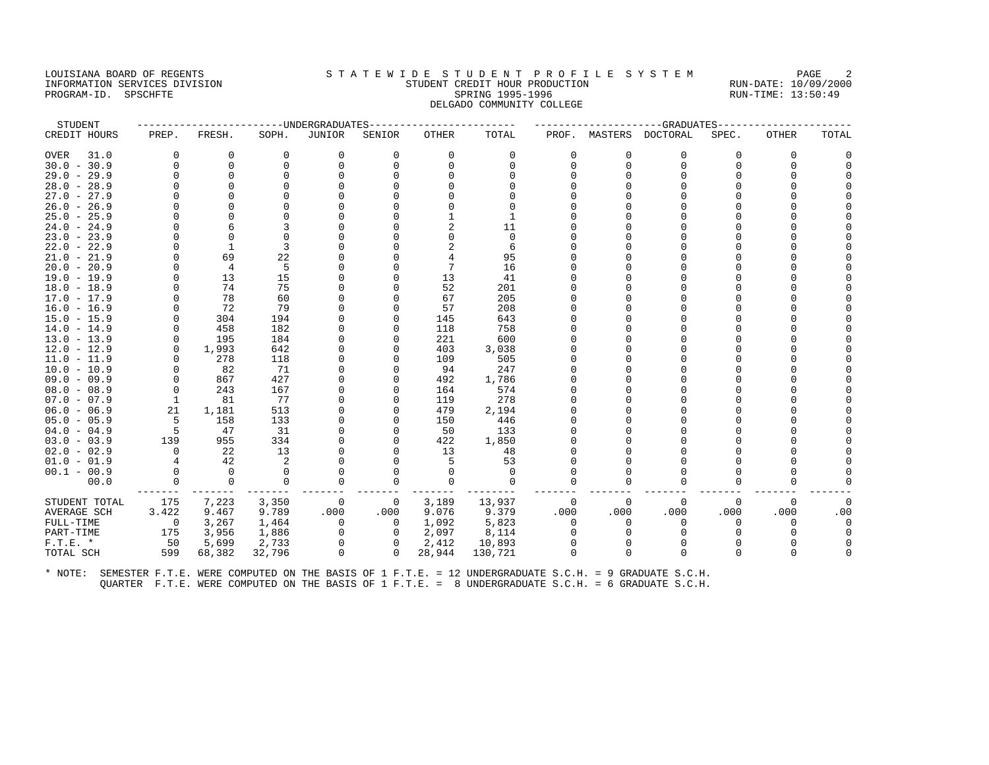#### LOUISIANA BOARD OF REGENTS STATEWIDE STUDENT PROFILE SYSTEM PAGE 2 INFORMATION SERVICES DIVISION STUDENT CREDIT HOUR PRODUCTION RUN-DATE: 10/09/2000 PROGRAM-ID. SPSCHFTE SALLER SPRING 1995-1996 SPRING 1995-1996 RUN-TIME: 13:50:49 DELGADO COMMUNITY COLLEGE

| STUDENT       |          |              | ---------------UNDERGRADUATES |               |              |              |             |          |          | ------------------GRADUATES |          |              |          |
|---------------|----------|--------------|-------------------------------|---------------|--------------|--------------|-------------|----------|----------|-----------------------------|----------|--------------|----------|
| CREDIT HOURS  | PREP.    | FRESH.       | SOPH.                         | <b>JUNIOR</b> | SENIOR       | <b>OTHER</b> | TOTAL       |          |          | PROF. MASTERS DOCTORAL      | SPEC.    | <b>OTHER</b> | TOTAL    |
| 31.0<br>OVER  | $\Omega$ | 0            | $\mathbf 0$                   | 0             | $\Omega$     | 0            | $\Omega$    | $\Omega$ | $\Omega$ | 0                           | $\Omega$ | 0            |          |
| $30.0 - 30.9$ | $\Omega$ | $\Omega$     | $\Omega$                      | $\Omega$      |              | $\Omega$     | $\Omega$    | $\Omega$ | $\Omega$ | $\Omega$                    | $\Omega$ | $\Omega$     |          |
| $29.0 - 29.9$ | $\Omega$ | $\Omega$     | $\cap$                        | $\Omega$      |              | U            |             |          |          | U                           |          |              |          |
| $28.0 - 28.9$ | $\Omega$ | $\Omega$     |                               |               |              |              |             |          |          |                             |          |              |          |
| $27.0 - 27.9$ |          | ∩            |                               |               |              |              |             |          |          |                             |          |              |          |
| $26.0 - 26.9$ |          | $\Omega$     |                               |               |              |              |             |          |          |                             |          |              |          |
| $25.0 - 25.9$ | O        | $\Omega$     |                               |               |              |              |             |          |          | U                           |          |              |          |
| $24.0 - 24.9$ | $\Omega$ |              |                               |               |              |              | 11          |          |          | U                           |          |              |          |
| $23.0 - 23.9$ |          | $\Omega$     | $\cap$                        |               |              |              | $\Omega$    |          |          |                             |          |              |          |
| $22.0 - 22.9$ | $\Omega$ | $\mathbf{1}$ | 3                             |               |              |              | 6           |          |          | U                           |          |              |          |
| $21.0 - 21.9$ | 0        | 69           | 22                            |               |              |              | 95          |          |          |                             |          |              |          |
| $20.0 - 20.9$ | $\Omega$ | 4            | 5                             |               |              | 7            | 16          |          |          | U                           |          |              |          |
| 19.0 - 19.9   | 0        | 13           | 15                            |               |              | 13           | 41          |          |          | U                           |          |              |          |
| $18.0 - 18.9$ | $\Omega$ | 74           | 75                            |               |              | 52           | 201         |          |          | U                           |          |              |          |
| $17.0 - 17.9$ | $\Omega$ | 78           | 60                            |               |              | 67           | 205         |          |          | U                           |          |              |          |
| $16.0 - 16.9$ |          | 72           | 79                            |               |              | 57           | 208         |          |          |                             |          |              |          |
| $15.0 - 15.9$ | $\Omega$ | 304          | 194                           |               |              | 145          | 643         |          |          | U                           |          |              |          |
| $14.0 - 14.9$ | $\Omega$ | 458          | 182                           |               |              | 118          | 758         |          |          | U                           |          |              |          |
| $13.0 - 13.9$ | $\Omega$ | 195          | 184                           |               |              | 221          | 600         |          |          |                             |          |              |          |
| $12.0 - 12.9$ | $\Omega$ | 1,993        | 642                           |               |              | 403          | 3,038       |          |          | U                           |          |              |          |
| $11.0 - 11.9$ | $\Omega$ | 278          | 118                           |               |              | 109          | 505         |          |          |                             |          |              |          |
| $10.0 - 10.9$ | 0        | 82           | 71                            | <sup>0</sup>  |              | 94           | 247         |          |          | U                           |          |              |          |
| $09.0 - 09.9$ | O        | 867          | 427                           |               |              | 492          | 1,786       |          |          |                             |          |              |          |
| $08.0 - 08.9$ | $\Omega$ | 243          | 167                           |               |              | 164          | 574         |          |          | O                           |          |              |          |
| $07.0 - 07.9$ | 1        | 81           | 77                            |               |              | 119          | 278         |          |          | U                           |          |              |          |
| $06.0 - 06.9$ | 21       | 1,181        | 513                           |               |              | 479          | 2,194       |          |          |                             |          |              |          |
| $05.0 - 05.9$ | 5        | 158          | 133                           |               |              | 150          | 446         |          |          |                             |          |              |          |
| $04.0 - 04.9$ | 5        | 47           | 31                            |               |              | 50           | 133         |          |          |                             |          |              |          |
| $03.0 - 03.9$ | 139      | 955          | 334                           |               |              | 422          | 1,850       |          |          |                             |          |              |          |
| $02.0 - 02.9$ | $\Omega$ | 22           | 13                            |               |              | 13           | 48          |          |          | U                           |          |              |          |
| $01.0 - 01.9$ | 4        | 42           | 2                             |               |              | 5            | 53          |          |          | U                           |          |              |          |
| $00.1 - 00.9$ | $\Omega$ | $\bigcirc$   | $\Omega$                      | $\Omega$      |              | $\Omega$     | $\Omega$    |          |          | U                           | ∩        |              |          |
| 00.0          | 0        | $\mathbf 0$  | 0                             | $\mathbf 0$   |              | $\Omega$     | $\mathbf 0$ |          |          | U                           | U        | ∩            |          |
| STUDENT TOTAL | 175      | 7,223        | 3,350                         | $\mathbf 0$   | 0            | 3,189        | 13,937      | 0        | 0        | 0                           | 0        | 0            | $\Omega$ |
| AVERAGE SCH   | 3.422    | 9.467        | 9.789                         | .000          | .000         | 9.076        | 9.379       | .000     | .000     | .000                        | .000     | .000         | .00      |
| FULL-TIME     | $\circ$  | 3,267        | 1,464                         | 0             | 0            | 1,092        | 5,823       | $\Omega$ | $\Omega$ | $\Omega$                    | $\Omega$ | $\Omega$     | $\Omega$ |
| PART-TIME     | 175      | 3,956        | 1,886                         | 0             | 0            | 2,097        | 8,114       |          |          | $\Omega$                    |          |              |          |
| $F.T.E. *$    | 50       | 5,699        | 2,733                         | $\mathbf 0$   | $\mathbf{0}$ | 2,412        | 10,893      | 0        |          | $\Omega$                    |          |              |          |
| TOTAL SCH     | 599      | 68,382       | 32,796                        | $\Omega$      | $\Omega$     | 28,944       | 130,721     | $\Omega$ |          | $\Omega$                    |          | $\Omega$     |          |
|               |          |              |                               |               |              |              |             |          |          |                             |          |              |          |
|               |          |              |                               |               |              |              |             |          |          |                             |          |              |          |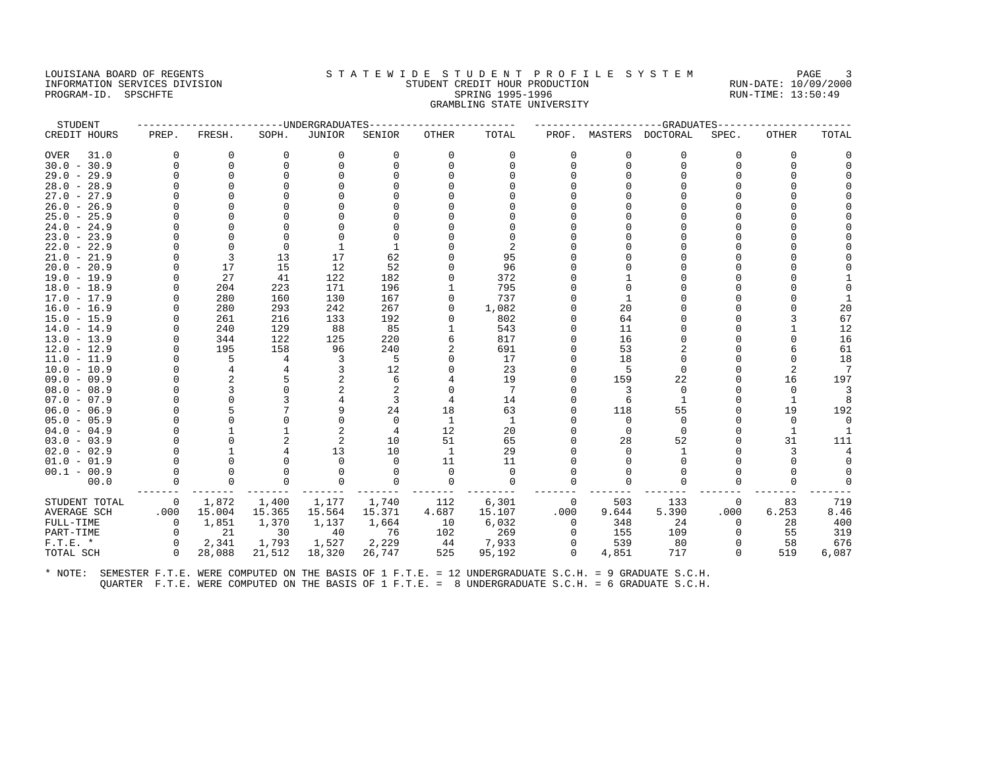## LOUISIANA BOARD OF REGENTS STATEWIDE STUDENT PROFILE SYSTEM PAGE 3 INFORMATION SERVICES DIVISION STUDENT CREDIT HOUR PRODUCTION RUN-DATE: 10/09/2000 PROGRAM-ID. SPSCHFTE SALLER SPRING 1995-1996 SPRING 1995-1996 RUN-TIME: 13:50:49 GRAMBLING STATE UNIVERSITY

| STUDENT       |             |                |          | ------UNDERGRADUATES |          |             |                 |          |          | ----------GRADUATES---- |          |              |                |
|---------------|-------------|----------------|----------|----------------------|----------|-------------|-----------------|----------|----------|-------------------------|----------|--------------|----------------|
| CREDIT HOURS  | PREP.       | FRESH.         | SOPH.    | <b>JUNIOR</b>        | SENIOR   | OTHER       | TOTAL           | PROF.    |          | MASTERS DOCTORAL        | SPEC.    | <b>OTHER</b> | TOTAL          |
| 31.0<br>OVER  | $\Omega$    | 0              | $\Omega$ | 0                    | $\Omega$ | $\Omega$    | $\Omega$        | $\Omega$ | $\Omega$ | 0                       | $\Omega$ | $\Omega$     |                |
| $30.0 - 30.9$ | $\Omega$    | $\Omega$       | $\cap$   | $\Omega$             | $\Omega$ | ∩           | $\Omega$        | $\Omega$ | $\Omega$ | $\Omega$                | $\cap$   | $\Omega$     |                |
| $29.0 - 29.9$ | O           | $\Omega$       |          |                      |          |             |                 |          |          |                         |          |              |                |
| $28.0 - 28.9$ |             | $\Omega$       |          |                      |          |             |                 |          |          |                         |          |              |                |
| $27.0 - 27.9$ |             |                |          |                      |          |             |                 |          |          |                         |          |              |                |
| $26.0 - 26.9$ |             |                |          |                      |          |             |                 |          |          |                         |          |              |                |
| $25.0 - 25.9$ | O           |                |          |                      |          |             |                 |          |          |                         |          |              |                |
| $24.0 - 24.9$ | U           | $\cap$         |          |                      |          |             |                 |          |          |                         |          |              |                |
| $23.0 - 23.9$ |             | O              |          |                      |          |             |                 |          |          |                         |          |              |                |
| $22.0 - 22.9$ | U           | $\Omega$       | $\Omega$ |                      |          |             | $\overline{2}$  |          |          |                         |          |              |                |
| $21.0 - 21.9$ | O           | 3              | 13       | 17                   | 62       |             | 95              |          |          |                         |          |              |                |
| $20.0 - 20.9$ | O           | 17             | 15       | 12                   | 52       |             | 96              |          |          |                         |          |              |                |
| 19.0 - 19.9   | O           | 27             | 41       | 122                  | 182      |             | 372             |          |          |                         |          |              |                |
| $18.0 - 18.9$ | U           | 204            | 223      | 171                  | 196      |             | 795             |          |          |                         |          |              |                |
| $17.0 - 17.9$ | U           | 280            | 160      | 130                  | 167      |             | 737             |          |          |                         |          |              |                |
| $16.0 - 16.9$ |             | 280            | 293      | 242                  | 267      |             | 1,082           |          | 20       |                         |          |              | 20             |
| $15.0 - 15.9$ |             | 261            | 216      | 133                  | 192      |             | 802             |          | 64       |                         |          |              | 67             |
| $14.0 - 14.9$ |             | 240            | 129      | 88                   | 85       |             | 543             |          | 11       |                         |          |              | 12             |
| $13.0 - 13.9$ | O           | 344            | 122      | 125                  | 220      |             | 817             |          | 16       |                         |          | $\Omega$     | 16             |
| $12.0 - 12.9$ | U           | 195            | 158      | 96                   | 240      |             | 691             |          | 53       |                         |          |              | 61             |
| $11.0 - 11.9$ | U           | 5              | 4        | 3                    | 5        |             | 17              |          | 18       |                         |          | <sup>0</sup> | 18             |
| $10.0 - 10.9$ | O           | $\overline{4}$ |          | 3                    | 12       |             | 23              |          | 5        |                         |          | 2            | $\overline{7}$ |
| $09.0 - 09.9$ |             | $\overline{2}$ |          | 2                    | 6        |             | 19              |          | 159      | 22                      |          | 16           | 197            |
| $08.0 - 08.9$ | O           | 3              |          | 2                    |          |             | $7\phantom{.0}$ |          |          | $\Omega$                | U        | $\Omega$     | 3              |
| $07.0 - 07.9$ | U           | $\Omega$       |          |                      | 3        |             | 14              |          | 6        | 1                       |          | 1            | 8              |
| $06.0 - 06.9$ | O           |                |          | 9                    | 24       | 18          | 63              |          | 118      | 55                      | $\Omega$ | 19           | 192            |
| $05.0 - 05.9$ | U           | $\Omega$       |          | ∩                    | $\Omega$ | -1          | 1               |          | $\Omega$ | $\Omega$                | ∩        | $\Omega$     | $\Omega$       |
| $04.0 - 04.9$ | O           |                |          |                      | 4        | 12          | 20              |          | $\Omega$ | $\Omega$                | U        | 1            |                |
| $03.0 - 03.9$ | O           | $\Omega$       | 2        | 2                    | 10       | 51          | 65              |          | 28       | 52                      | U        | 31           | 111            |
| $02.0 - 02.9$ |             |                |          | 13                   | 10       | 1           | 29              |          |          |                         |          | 3            |                |
| $01.0 - 01.9$ | U           | $\Omega$       |          | $\Omega$             | $\Omega$ | 11          | 11              |          |          |                         |          | $\Omega$     | $\Omega$       |
| $00.1 - 00.9$ | $\Omega$    | $\Omega$       |          | $\Omega$             | $\Omega$ | $\mathbf 0$ | 0               |          |          |                         |          | 0            |                |
| 00.0          | 0           | 0              |          | 0                    | 0        | $\Omega$    | 0               | $\Omega$ | $\Omega$ |                         | O        | $\Omega$     | 0              |
| STUDENT TOTAL | $\mathbf 0$ | 1,872          | 1,400    | 1,177                | 1,740    | 112         | 6,301           | 0        | 503      | 133                     | 0        | 83           | 719            |
| AVERAGE SCH   | .000        | 15.004         | 15.365   | 15.564               | 15.371   | 4.687       | 15.107          | .000     | 9.644    | 5.390                   | .000     | 6.253        | 8.46           |
| FULL-TIME     | $\Omega$    | 1,851          | 1,370    | 1,137                | 1,664    | 10          | 6,032           | $\Omega$ | 348      | 24                      | $\Omega$ | 28           | 400            |
| PART-TIME     | $\mathbf 0$ | 21             | 30       | 40                   | 76       | 102         | 269             | $\Omega$ | 155      | 109                     | $\Omega$ | 55           | 319            |
| $F.T.E. *$    | $\Omega$    | 2,341          | 1,793    | 1,527                | 2,229    | 44          | 7,933           | 0        | 539      | 80                      | $\Omega$ | 58           | 676            |
| TOTAL SCH     | $\Omega$    | 28,088         | 21,512   | 18,320               | 26,747   | 525         | 95,192          | $\Omega$ | 4,851    | 717                     | $\Omega$ | 519          | 6,087          |
|               |             |                |          |                      |          |             |                 |          |          |                         |          |              |                |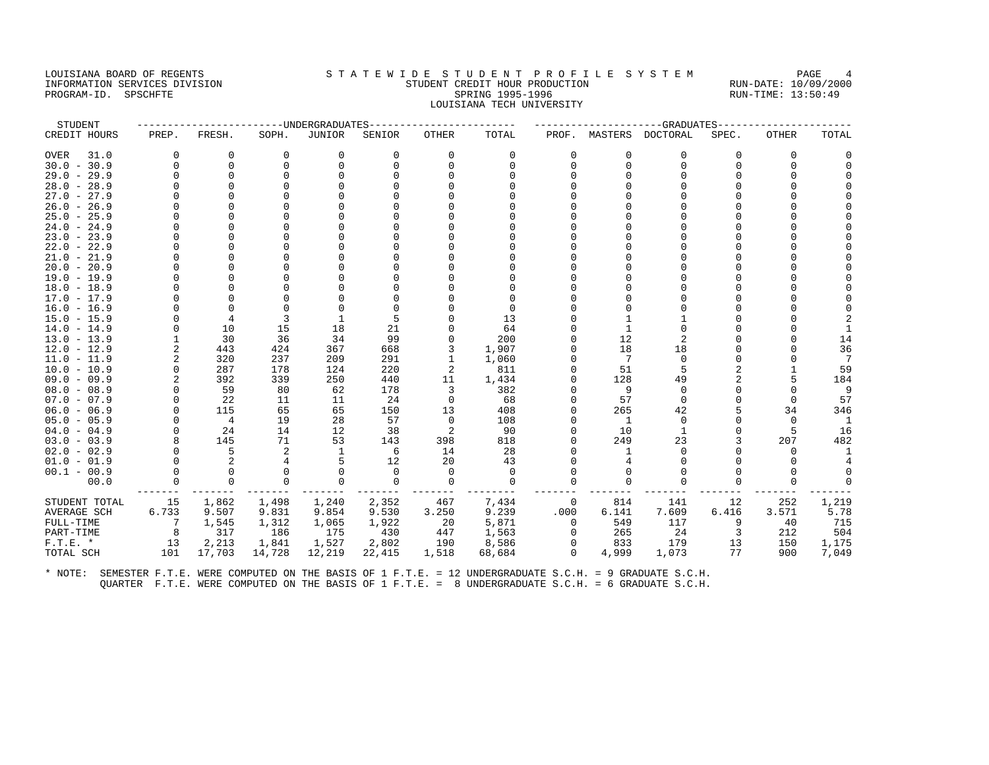# LOUISIANA BOARD OF REGENTS STA TEWIDE STUDENT PROFILE SYSTEM PAGE 4 INFORMATION SERVICES DIVISION STUDENT CREDIT HOUR PRODUCTION RUN-DATE: 10/09/2000 PROGRAM-ID. SPSCHFTE SALLER SPRING 1995-1996 SPRING 1995-1996 RUN-TIME: 13:50:49 LOUISIANA TECH UNIVERSITY

| STUDENT       |                |                |          | ------UNDERGRADUATES |             |              |          |             |                | ----------GRADUATES--- |          |              |          |
|---------------|----------------|----------------|----------|----------------------|-------------|--------------|----------|-------------|----------------|------------------------|----------|--------------|----------|
| CREDIT HOURS  | PREP.          | FRESH.         | SOPH.    | <b>JUNIOR</b>        | SENIOR      | <b>OTHER</b> | TOTAL    |             |                | PROF. MASTERS DOCTORAL | SPEC.    | <b>OTHER</b> | TOTAL    |
| 31.0<br>OVER  | $\Omega$       | 0              | 0        | 0                    | 0           | 0            | 0        | $\Omega$    | 0              | $\Omega$               | $\Omega$ | 0            |          |
| $30.0 - 30.9$ |                | $\Omega$       | $\Omega$ | $\Omega$             | $\Omega$    | $\Omega$     | $\Omega$ | $\Omega$    | $\Omega$       |                        | $\cap$   | $\Omega$     |          |
| $29.0 - 29.9$ | U              | $\Omega$       | $\Omega$ | U                    |             |              |          |             |                |                        | U        |              |          |
| $28.0 - 28.9$ |                | $\Omega$       |          |                      |             |              |          |             |                |                        |          |              |          |
| $27.0 - 27.9$ |                |                |          |                      |             |              |          |             |                |                        |          |              |          |
| $26.0 - 26.9$ |                |                |          |                      |             |              |          |             |                |                        |          |              |          |
| $25.0 - 25.9$ |                | $\Omega$       |          |                      |             |              |          |             |                |                        |          |              |          |
| $24.0 - 24.9$ |                | $\Omega$       |          |                      |             |              |          |             |                |                        |          |              |          |
| $23.0 - 23.9$ |                | $\Omega$       |          |                      |             |              |          |             |                |                        |          |              |          |
| $22.0 - 22.9$ |                | <sup>0</sup>   |          |                      |             |              |          |             |                |                        |          |              |          |
| $21.0 - 21.9$ |                |                |          |                      |             |              |          |             |                |                        |          |              |          |
| $20.0 - 20.9$ |                |                |          |                      |             |              |          |             |                |                        |          |              |          |
| $19.0 - 19.9$ |                | ∩              |          |                      |             |              |          |             |                |                        |          |              |          |
| $18.0 - 18.9$ |                | $\Omega$       |          |                      |             |              |          |             |                |                        |          |              |          |
| $17.0 - 17.9$ |                | $\Omega$       |          |                      |             |              |          |             |                |                        |          |              |          |
| $16.0 - 16.9$ |                | $\Omega$       |          |                      |             |              | $\Omega$ |             |                |                        |          |              |          |
| $15.0 - 15.9$ |                | 4              | 3        | 1                    | 5           |              | 13       |             |                |                        |          |              |          |
| $14.0 - 14.9$ | $\Omega$       | 10             | 15       | 18                   | 21          |              | 64       |             | $\overline{1}$ |                        |          |              |          |
| $13.0 - 13.9$ |                | 30             | 36       | 34                   | 99          | $\Omega$     | 200      |             | 12             |                        |          |              | 14       |
| $12.0 - 12.9$ | 2              | 443            | 424      | 367                  | 668         | 3            | 1,907    |             | 18             | 18                     | U        |              | 36       |
| $11.0 - 11.9$ | $\overline{2}$ | 320            | 237      | 209                  | 291         | 1            | 1,060    |             | 7              | $\Omega$               |          |              | 7        |
| $10.0 - 10.9$ | $\Omega$       | 287            | 178      | 124                  | 220         | 2            | 811      |             | 51             |                        |          |              | 59       |
| $09.0 - 09.9$ | $\overline{a}$ | 392            | 339      | 250                  | 440         | 11           | 1,434    |             | 128            | 49                     |          | 5            | 184      |
| $08.0 - 08.9$ | O              | 59             | 80       | 62                   | 178         | 3            | 382      |             | 9              | $\Omega$               | U        | $\Omega$     | 9        |
| $07.0 - 07.9$ | $\Omega$       | 22             | 11       | 11                   | 24          | $\Omega$     | 68       |             | 57             | $\Omega$               | $\Omega$ | $\Omega$     | 57       |
| $06.0 - 06.9$ |                | 115            | 65       | 65                   | 150         | 13           | 408      |             | 265            | 42                     | 5        | 34           | 346      |
| $05.0 - 05.9$ | $\Omega$       | $\overline{4}$ | 19       | 28                   | 57          | $\Omega$     | 108      |             | 1              | $\Omega$               | $\Omega$ | $\Omega$     | 1        |
| $04.0 - 04.9$ |                | 24             | 14       | 12                   | 38          | 2            | 90       |             | 10             | 1                      |          | 5            | 16       |
| $03.0 - 03.9$ |                | 145            | 71       | 53                   | 143         | 398          | 818      |             | 249            | 23                     |          | 207          | 482      |
| $02.0 - 02.9$ |                | 5              | 2        | -1                   | 6           | 14           | 28       |             |                |                        |          | <sup>0</sup> | -1       |
| $01.0 - 01.9$ |                | 2              | 4        | 5                    | 12          | 20           | 43       |             |                |                        |          | $\Omega$     |          |
| $00.1 - 00.9$ | O              | $\Omega$       | $\Omega$ | $\Omega$             | $\Omega$    | $\Omega$     | $\Omega$ |             |                |                        |          | $\Omega$     | $\Omega$ |
| 00.0          |                | $\mathbf 0$    | $\Omega$ | $\Omega$             | $\mathbf 0$ | 0            | $\Omega$ | ∩           | $\Omega$       |                        |          | $\Omega$     |          |
| STUDENT TOTAL | 15             | 1,862          | 1,498    | 1,240                | 2,352       | 467          | 7,434    | 0           | 814            | 141                    | 12       | 252          | 1,219    |
| AVERAGE SCH   | 6.733          | 9.507          | 9.831    | 9.854                | 9.530       | 3.250        | 9.239    | .000        | 6.141          | 7.609                  | 6.416    | 3.571        | 5.78     |
| FULL-TIME     | 7              | 1,545          | 1,312    | 1,065                | 1,922       | 20           | 5,871    | $\Omega$    | 549            | 117                    | 9        | 40           | 715      |
| PART-TIME     | 8              | 317            | 186      | 175                  | 430         | 447          | 1,563    | $\circ$     | 265            | 24                     | 3        | 212          | 504      |
| $F.T.E. *$    | 13             | 2,213          | 1,841    | 1,527                | 2,802       | 190          | 8,586    | $\mathbf 0$ | 833            | 179                    | 13       | 150          | 1,175    |
| TOTAL SCH     | 101            | 17,703         | 14,728   | 12,219               | 22,415      | 1,518        | 68,684   | $\Omega$    | 4,999          | 1,073                  | 77       | 900          | 7,049    |
|               |                |                |          |                      |             |              |          |             |                |                        |          |              |          |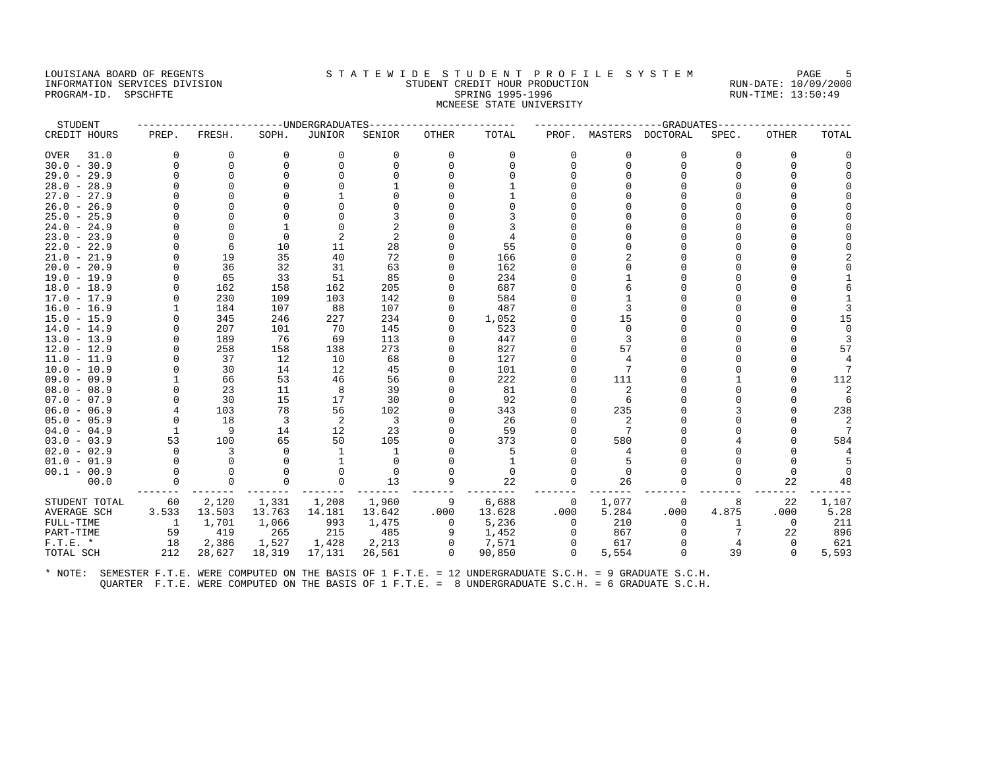#### LOUISIANA BOARD OF REGENTS STATEWIDE STUDENT PROFILE SYSTEM PAGE 5 INFORMATION SERVICES DIVISION STUDENT CREDIT HOUR PRODUCTION RUN-DATE: 10/09/2000 PROGRAM-ID. SPSCHFTE SALLER SPRING 1995-1996 SPRING 1995-1996 RUN-TIME: 13:50:49 MCNEESE STATE UNIVERSITY

| STUDENT       |                |          |          | -----UNDERGRADUATES |          |              |          |          |          | ---------GRADUATES     |          |              |                |
|---------------|----------------|----------|----------|---------------------|----------|--------------|----------|----------|----------|------------------------|----------|--------------|----------------|
| CREDIT HOURS  | PREP.          | FRESH.   | SOPH.    | <b>JUNIOR</b>       | SENIOR   | <b>OTHER</b> | TOTAL    |          |          | PROF. MASTERS DOCTORAL | SPEC.    | <b>OTHER</b> | TOTAL          |
| 31.0<br>OVER  | $\Omega$       | 0        | $\Omega$ | 0                   | $\Omega$ | 0            | 0        | $\Omega$ | $\Omega$ | $\Omega$               | $\Omega$ | 0            |                |
| $30.0 - 30.9$ | $\Omega$       | $\Omega$ | U        | $\Omega$            | 0        | $\Omega$     | $\Omega$ | n        | $\Omega$ | <sup>0</sup>           | U        | <sup>0</sup> |                |
| $29.0 - 29.9$ | U              | $\Omega$ |          |                     |          |              |          |          |          |                        |          |              |                |
| $28.0 - 28.9$ | O              |          |          |                     |          |              |          |          |          |                        |          |              |                |
| $27.0 - 27.9$ |                |          |          |                     |          |              |          |          |          |                        |          |              |                |
| $26.0 - 26.9$ |                |          |          |                     |          |              |          |          |          |                        |          |              |                |
| $25.0 - 25.9$ | U              |          |          |                     |          |              |          |          |          |                        |          |              |                |
| $24.0 - 24.9$ |                | $\Omega$ |          |                     |          |              |          |          |          |                        |          |              |                |
| $23.0 - 23.9$ |                | $\Omega$ | $\Omega$ |                     |          |              |          |          |          |                        |          |              |                |
| $22.0 - 22.9$ |                | 6        | 10       | 11                  | 28       |              | 55       |          |          |                        |          |              |                |
| $21.0 - 21.9$ | U              | 19       | 35       | 40                  | 72       | $\Omega$     | 166      |          |          |                        |          |              |                |
| $20.0 - 20.9$ | U              | 36       | 32       | 31                  | 63       | $\Omega$     | 162      |          |          |                        |          |              |                |
| $19.0 - 19.9$ |                | 65       | 33       | 51                  | 85       |              | 234      |          |          |                        |          |              |                |
| $18.0 - 18.9$ | O              | 162      | 158      | 162                 | 205      |              | 687      |          |          |                        |          |              |                |
| $17.0 - 17.9$ |                | 230      | 109      | 103                 | 142      |              | 584      |          |          |                        |          |              |                |
| $16.0 - 16.9$ |                | 184      | 107      | 88                  | 107      | 0            | 487      |          |          |                        |          |              |                |
| $15.0 - 15.9$ |                | 345      | 246      | 227                 | 234      | 0            | 1,052    |          | 15       |                        |          |              | 15             |
| $14.0 - 14.9$ |                | 207      | 101      | 70                  | 145      |              | 523      |          | $\Omega$ |                        |          |              | $\Omega$       |
| $13.0 - 13.9$ | U              | 189      | 76       | 69                  | 113      | $\Omega$     | 447      |          |          |                        |          |              | 3              |
| $12.0 - 12.9$ | $\Omega$       | 258      | 158      | 138                 | 273      | 0            | 827      |          | 57       |                        |          |              | 57             |
| $11.0 - 11.9$ | U              | 37       | 12       | 10                  | 68       | 0            | 127      |          |          |                        |          |              | 4              |
| $10.0 - 10.9$ |                | 30       | 14       | 12                  | 45       |              | 101      |          |          |                        |          |              | 7              |
| $09.0 - 09.9$ |                | 66       | 53       | 46                  | 56       | $\Omega$     | 222      |          | 111      |                        |          | ∩            | 112            |
| $08.0 - 08.9$ | U              | 23       | 11       | 8                   | 39       |              | 81       |          |          |                        |          |              |                |
| $07.0 - 07.9$ | 0              | 30       | 15       | 17                  | 30       |              | 92       |          | -6       |                        |          |              | 6              |
| $06.0 - 06.9$ |                | 103      | 78       | 56                  | 102      |              | 343      |          | 235      |                        | ς        |              | 238            |
| $05.0 - 05.9$ | $\Omega$       | 18       | 3        | -2                  | 3        |              | 26       |          |          |                        |          |              | 2              |
| $04.0 - 04.9$ | 1              | 9        | 14       | 12                  | 23       |              | 59       |          |          |                        |          |              | $\overline{7}$ |
| $03.0 - 03.9$ | 53             | 100      | 65       | 50                  | 105      |              | 373      |          | 580      |                        |          |              | 584            |
| $02.0 - 02.9$ | $\Omega$       | 3        | $\cap$   | -1                  | 1        |              | 5        |          |          |                        |          |              |                |
| $01.0 - 01.9$ |                | $\Omega$ |          |                     | $\Omega$ |              |          |          |          |                        |          |              |                |
| $00.1 - 00.9$ | $\Omega$       | $\Omega$ |          | $\Omega$            | $\Omega$ |              | $\Omega$ |          | $\Omega$ |                        |          | $\Omega$     |                |
| 00.0          | 0              | 0        |          | $\mathbf 0$         | 13       | 9            | 22       | 0        | 26       |                        | $\Omega$ | 22           | 48             |
| STUDENT TOTAL | 60             | 2,120    | 1,331    | 1,208               | 1,960    | 9            | 6,688    | 0        | 1,077    | $\Omega$               | 8        | 22           | 1,107          |
| AVERAGE SCH   | 3.533          | 13.503   | 13.763   | 14.181              | 13.642   | .000         | 13.628   | .000     | 5.284    | .000                   | 4.875    | .000         | 5.28           |
| FULL-TIME     | $\overline{1}$ | 1,701    | 1,066    | 993                 | 1,475    | $\mathbf 0$  | 5,236    | $\Omega$ | 210      | $\Omega$               |          | 0            | 211            |
| PART-TIME     | 59             | 419      | 265      | 215                 | 485      | 9            | 1,452    | $\Omega$ | 867      |                        |          | 22           | 896            |
| $F.T.E. *$    | 18             | 2,386    | 1,527    | 1,428               | 2,213    | $\mathbf{0}$ | 7,571    | 0        | 617      |                        |          | $\Omega$     | 621            |
| TOTAL SCH     | 212            | 28,627   | 18,319   | 17,131              | 26,561   | $\Omega$     | 90,850   | 0        | 5,554    |                        | 39       | $\Omega$     | 5,593          |
|               |                |          |          |                     |          |              |          |          |          |                        |          |              |                |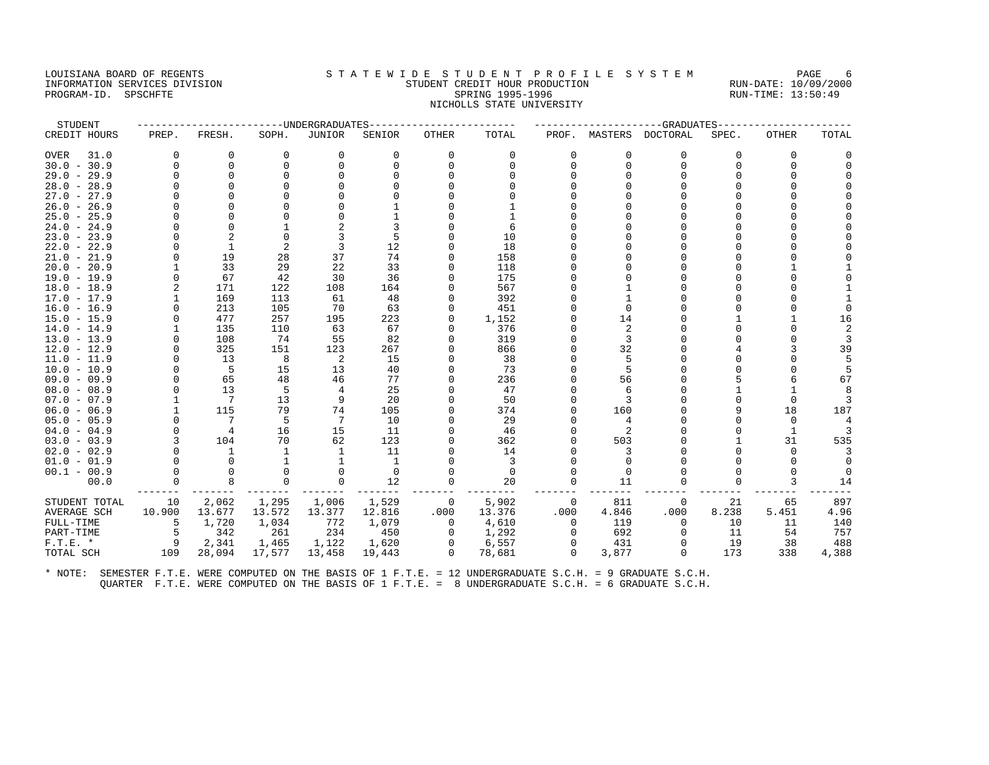## LOUISIANA BOARD OF REGENTS STA TEWIDE STUDENT PROFILE SYSTEM PAGE 6 INFORMATION SERVICES DIVISION STUDENT CREDIT HOUR PRODUCTION RUN-DATE: 10/09/2000 PROGRAM-ID. SPSCHFTE SALLER SPRING 1995-1996 SPRING 1995-1996 RUN-TIME: 13:50:49 NICHOLLS STATE UNIVERSITY

| STUDENT       |          |                |                | ------UNDERGRADUATES |          |              |          |          |          | ---------GRADUATES     |          |              |                |
|---------------|----------|----------------|----------------|----------------------|----------|--------------|----------|----------|----------|------------------------|----------|--------------|----------------|
| CREDIT HOURS  | PREP.    | FRESH.         | SOPH.          | <b>JUNIOR</b>        | SENIOR   | <b>OTHER</b> | TOTAL    |          |          | PROF. MASTERS DOCTORAL | SPEC.    | <b>OTHER</b> | TOTAL          |
| 31.0<br>OVER  | $\Omega$ | 0              | $\Omega$       | $\Omega$             | $\Omega$ | 0            | $\Omega$ | $\Omega$ | $\Omega$ | $\Omega$               | $\Omega$ | $\Omega$     |                |
| $30.0 - 30.9$ | $\Omega$ | $\Omega$       | $\Omega$       | $\Omega$             | 0        | $\Omega$     | $\Omega$ | n        | $\Omega$ | n                      | O        | $\Omega$     |                |
| $29.0 - 29.9$ | U        | $\Omega$       |                |                      |          |              |          |          |          |                        |          |              |                |
| $28.0 - 28.9$ | U        |                |                |                      |          |              |          |          |          |                        |          |              |                |
| $27.0 - 27.9$ |          |                |                |                      |          |              |          |          |          |                        |          |              |                |
| $26.0 - 26.9$ |          |                |                |                      |          |              |          |          |          |                        |          |              |                |
| $25.0 - 25.9$ | U        |                |                |                      |          |              |          |          |          |                        |          |              |                |
| $24.0 - 24.9$ |          | $\cap$         |                |                      |          |              | 6        |          |          |                        |          |              |                |
| $23.0 - 23.9$ |          |                |                |                      |          |              | 10       |          |          |                        |          |              |                |
| $22.0 - 22.9$ | U        | $\mathbf{1}$   | $\overline{2}$ | 3                    | 12       |              | 18       |          |          |                        |          |              |                |
| $21.0 - 21.9$ | 0        | 19             | 28             | 37                   | 74       | 0            | 158      |          |          |                        |          |              |                |
| $20.0 - 20.9$ |          | 33             | 29             | 22                   | 33       | $\Omega$     | 118      |          |          |                        |          |              |                |
| $19.0 - 19.9$ | $\Omega$ | 67             | 42             | 30                   | 36       |              | 175      |          |          |                        |          |              |                |
| $18.0 - 18.9$ | 2        | 171            | 122            | 108                  | 164      |              | 567      |          |          |                        |          |              |                |
| $17.0 - 17.9$ |          | 169            | 113            | 61                   | 48       |              | 392      |          |          |                        |          |              |                |
| $16.0 - 16.9$ | $\Omega$ | 213            | 105            | 70                   | 63       | $\Omega$     | 451      |          |          |                        |          |              |                |
| $15.0 - 15.9$ | U        | 477            | 257            | 195                  | 223      | 0            | 1,152    |          | 14       |                        |          |              | 16             |
| $14.0 - 14.9$ |          | 135            | 110            | 63                   | 67       |              | 376      |          |          |                        |          |              | $\overline{2}$ |
| $13.0 - 13.9$ | $\Omega$ | 108            | 74             | 55                   | 82       | $\Omega$     | 319      |          |          |                        |          |              | 3              |
| $12.0 - 12.9$ |          | 325            | 151            | 123                  | 267      |              | 866      |          | 32       |                        |          |              | 39             |
| $11.0 - 11.9$ | $\Omega$ | 13             | 8              | -2                   | 15       | $\Omega$     | 38       |          |          |                        | U        |              | 5              |
| $10.0 - 10.9$ | O        | 5              | 15             | 13                   | 40       |              | 73       |          |          |                        |          |              |                |
| $09.0 - 09.9$ |          | 65             | 48             | 46                   | 77       | $\Omega$     | 236      |          | 56       |                        |          |              | 67             |
| $08.0 - 08.9$ | U        | 13             | 5              | 4                    | 25       |              | 47       |          |          |                        |          |              |                |
| $07.0 - 07.9$ |          | $7^{\circ}$    | 13             | 9                    | 20       |              | 50       |          |          |                        |          | $\Omega$     |                |
| $06.0 - 06.9$ |          | 115            | 79             | 74                   | 105      | 0            | 374      |          | 160      |                        | 9        | 18           | 187            |
| $05.0 - 05.9$ | U        | 7              | 5              | 7                    | 10       |              | 29       |          |          |                        | U        | $\Omega$     |                |
| $04.0 - 04.9$ | $\Omega$ | $\overline{4}$ | 16             | 15                   | 11       | $\Omega$     | 46       |          |          |                        | 0        | 1            |                |
| $03.0 - 03.9$ | 3        | 104            | 70             | 62                   | 123      |              | 362      |          | 503      |                        |          | 31           | 535            |
| $02.0 - 02.9$ |          | 1              |                | -1                   | 11       |              | 14       |          |          |                        |          | $\Omega$     |                |
| $01.0 - 01.9$ | $\Omega$ | $\Omega$       | 1              | -1                   | -1       |              | 3        |          |          |                        |          | n            |                |
| $00.1 - 00.9$ | $\Omega$ | $\Omega$       |                | $\Omega$             | $\Omega$ |              | $\Omega$ |          | $\Omega$ |                        |          |              |                |
| 00.0          | 0        | 8              | $\Omega$       | 0                    | 12       | 0            | 20       |          | 11       |                        | U        | 3            | 14             |
| STUDENT TOTAL | 10       | 2,062          | 1,295          | 1,006                | 1,529    | 0            | 5,902    | 0        | 811      | $\Omega$               | 21       | 65           | 897            |
| AVERAGE SCH   | 10.900   | 13.677         | 13.572         | 13.377               | 12.816   | .000         | 13.376   | .000     | 4.846    | .000                   | 8.238    | 5.451        | 4.96           |
| FULL-TIME     | 5        | 1,720          | 1,034          | 772                  | 1,079    | $\mathbf 0$  | 4,610    | $\Omega$ | 119      | $\Omega$               | 10       | 11           | 140            |
| PART-TIME     | 5        | 342            | 261            | 234                  | 450      | 0            | 1,292    | $\Omega$ | 692      | $\Omega$               | 11       | 54           | 757            |
| $F.T.E.$ *    | 9        | 2,341          | 1,465          | 1,122                | 1,620    | 0            | 6,557    | 0        | 431      |                        | 19       | 38           | 488            |
| TOTAL SCH     | 109      | 28,094         | 17,577         | 13,458               | 19,443   | $\Omega$     | 78,681   | $\Omega$ | 3,877    | $\Omega$               | 173      | 338          | 4,388          |
|               |          |                |                |                      |          |              |          |          |          |                        |          |              |                |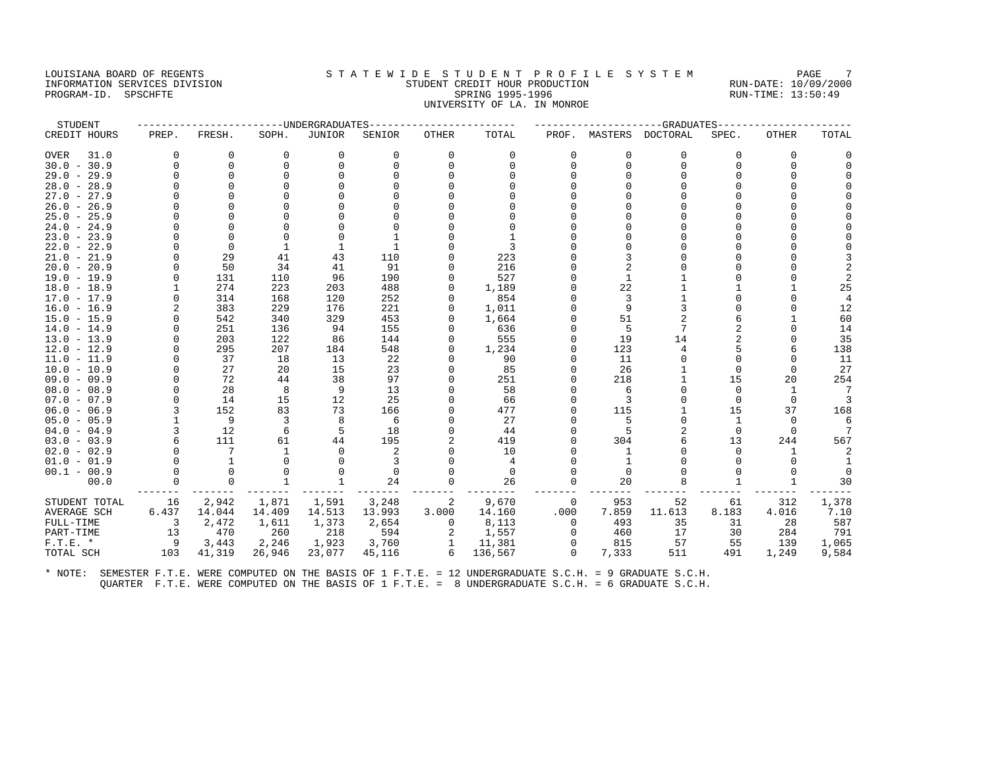#### LOUISIANA BOARD OF REGENTS STA TEWIDE STUDENT PROFILE SYSTEM PAGE 7 INFORMATION SERVICES DIVISION STUDENT CREDIT HOUR PRODUCTION RUN-DATE: 10/09/2000 PROGRAM-ID. SPSCHFTE SALLER SPRING 1995-1996 SPRING 1995-1996 RUN-TIME: 13:50:49 UNIVERSITY OF LA. IN MONROE

| STUDENT       |          |          |              | ----UNDERGRADUATES |          |              |          |          |             | $---GRADUATES$   |              |          |                |
|---------------|----------|----------|--------------|--------------------|----------|--------------|----------|----------|-------------|------------------|--------------|----------|----------------|
| CREDIT HOURS  | PREP.    | FRESH.   | SOPH.        | JUNIOR             | SENIOR   | <b>OTHER</b> | TOTAL    | PROF.    |             | MASTERS DOCTORAL | SPEC.        | OTHER    | TOTAL          |
| OVER<br>31.0  | $\Omega$ | 0        | 0            | 0                  | $\Omega$ | 0            | 0        | O        | $\mathbf 0$ | $\Omega$         | $\Omega$     | 0        |                |
| $30.0 - 30.9$ | $\Omega$ | $\Omega$ | $\Omega$     | $\Omega$           | $\Omega$ | $\Omega$     | $\Omega$ |          | $\Omega$    | $\Omega$         | $\cap$       | $\Omega$ | $\Omega$       |
| $29.0 - 29.9$ | $\cap$   | $\Omega$ | $\Omega$     | ∩                  |          |              |          |          |             |                  |              |          |                |
| $28.0 - 28.9$ |          | U        | ∩            |                    |          |              |          |          |             |                  |              |          |                |
| $27.0 - 27.9$ |          |          | $\Omega$     |                    |          |              |          |          |             |                  |              |          |                |
| $26.0 - 26.9$ |          |          | $\Omega$     |                    |          |              |          |          |             |                  |              |          |                |
| $25.0 - 25.9$ |          |          | ∩            |                    |          |              |          |          |             |                  |              |          |                |
| $24.0 - 24.9$ |          | O        | $\Omega$     |                    |          |              |          |          |             |                  |              |          |                |
| $23.0 - 23.9$ |          | $\Omega$ | $\Omega$     | $\Omega$           |          |              |          |          |             |                  |              |          |                |
| $22.0 - 22.9$ |          | $\Omega$ | $\mathbf{1}$ |                    |          |              | ς        |          |             |                  |              |          |                |
| $21.0 - 21.9$ | O        | 29       | 41           | 43                 | 110      |              | 223      |          |             |                  |              |          |                |
| $20.0 - 20.9$ |          | 50       | 34           | 41                 | 91       |              | 216      |          |             |                  |              |          | $\overline{2}$ |
| $19.0 - 19.9$ |          | 131      | 110          | 96                 | 190      |              | 527      |          |             |                  |              |          | 2              |
| $18.0 - 18.9$ |          | 274      | 223          | 203                | 488      | $\Omega$     | 1,189    |          | 22          |                  |              |          | 25             |
| $17.0 - 17.9$ |          | 314      | 168          | 120                | 252      |              | 854      |          |             |                  |              |          | $\overline{4}$ |
| $16.0 - 16.9$ | 2        | 383      | 229          | 176                | 221      | $\Omega$     | 1,011    |          | 9           |                  |              |          | 12             |
| $15.0 - 15.9$ |          | 542      | 340          | 329                | 453      |              | 1,664    |          | 51          |                  |              |          | 60             |
| $14.0 - 14.9$ |          | 251      | 136          | 94                 | 155      |              | 636      |          | .5          |                  |              |          | 14             |
| $13.0 - 13.9$ |          | 203      | 122          | 86                 | 144      |              | 555      |          | 19          | 14               |              |          | 35             |
| $12.0 - 12.9$ | O        | 295      | 207          | 184                | 548      | $\Omega$     | 1,234    |          | 123         |                  |              |          | 138            |
| $11.0 - 11.9$ | $\cap$   | 37       | 18           | 13                 | 22       |              | 90       |          | 11          |                  |              |          | 11             |
| $10.0 - 10.9$ |          | 27       | 20           | 15                 | 23       |              | 85       |          | 26          |                  |              | $\Omega$ | 27             |
| $09.0 - 09.9$ | O        | 72       | 44           | 38                 | 97       | $\Omega$     | 251      |          | 218         |                  | 15           | 20       | 254            |
| $08.0 - 08.9$ |          | 28       | 8            | 9                  | 13       |              | 58       |          | -6          |                  |              | -1       | -7             |
| $07.0 - 07.9$ | $\Omega$ | 14       | 15           | 12                 | 25       |              | 66       |          | 3           |                  | $\Omega$     | $\Omega$ | 3              |
| $06.0 - 06.9$ |          | 152      | 83           | 73                 | 166      |              | 477      |          | 115         |                  | 15           | 37       | 168            |
| $05.0 - 05.9$ |          | 9        | 3            | 8                  | 6        |              | 27       |          |             |                  |              | $\Omega$ | -6             |
| $04.0 - 04.9$ | 3        | 12       | 6            | .5                 | 18       |              | 44       |          |             |                  | $\Omega$     |          |                |
| $03.0 - 03.9$ | 6        | 111      | 61           | 44                 | 195      |              | 419      |          | 304         |                  | 13           | 244      | 567            |
| $02.0 - 02.9$ |          | 7        | $\mathbf{1}$ | $\Omega$           | 2        |              | 10       |          | 1           |                  | <sup>n</sup> | 1        | 2              |
| $01.0 - 01.9$ |          | 1        | ∩            | ∩                  |          |              | 4        |          |             |                  |              |          |                |
| $00.1 - 00.9$ | $\Omega$ | $\Omega$ | $\Omega$     | $\Omega$           | $\Omega$ | $\Omega$     | $\Omega$ |          | $\Omega$    |                  |              |          |                |
| 00.0          |          | $\Omega$ | $\mathbf{1}$ | $\mathbf{1}$       | 24       |              | 26       | $\Omega$ | 20          |                  |              |          | 30             |
| STUDENT TOTAL | 16       | 2,942    | 1,871        | 1,591              | 3,248    | 2            | 9,670    | 0        | 953         | 52               | 61           | 312      | 1,378          |
| AVERAGE SCH   | 6.437    | 14.044   | 14.409       | 14.513             | 13.993   | 3.000        | 14.160   | .000     | 7.859       | 11.613           | 8.183        | 4.016    | 7.10           |
| FULL-TIME     | 3        | 2,472    | 1,611        | 1,373              | 2,654    | 0            | 8,113    | $\Omega$ | 493         | 35               | 31           | 28       | 587            |
| PART-TIME     | 13       | 470      | 260          | 218                | 594      | 2            | 1,557    | $\Omega$ | 460         | 17               | 30           | 284      | 791            |
| $F.T.E.$ *    | 9        | 3,443    | 2,246        | 1,923              | 3,760    | 1            | 11,381   | $\Omega$ | 815         | 57               | 55           | 139      | 1,065          |
| TOTAL SCH     | 103      | 41,319   | 26,946       | 23,077             | 45,116   | 6            | 136,567  | $\Omega$ | 7,333       | 511              | 491          | 1,249    | 9,584          |
|               |          |          |              |                    |          |              |          |          |             |                  |              |          |                |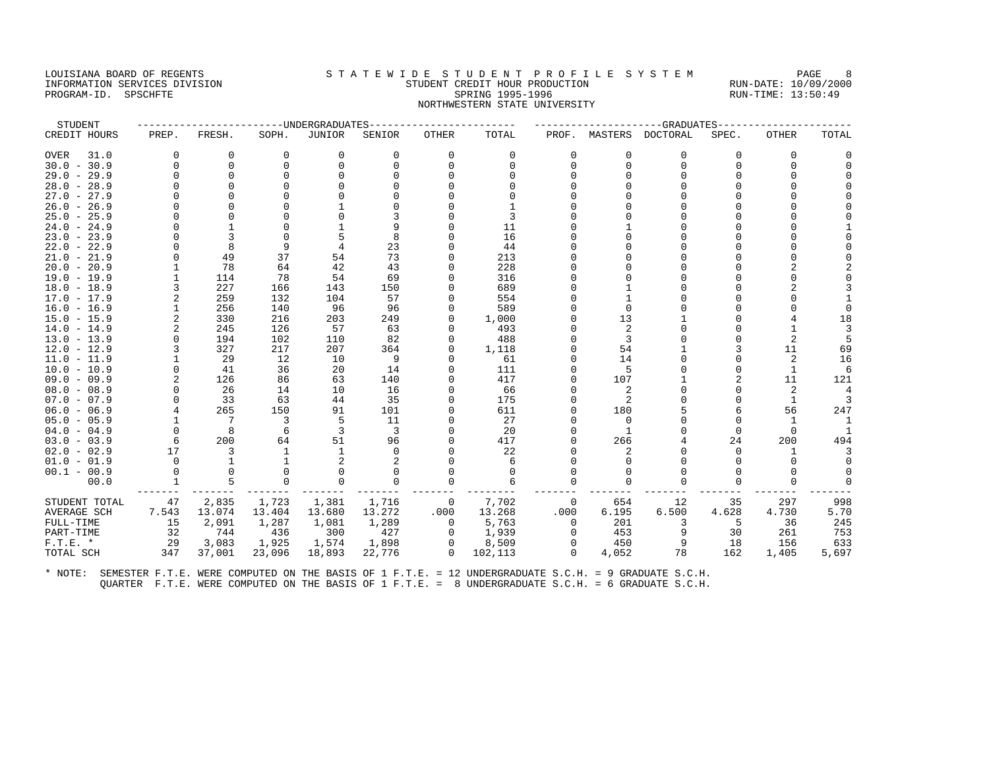## LOUISIANA BOARD OF REGENTS STATEWIDE STUDENT PROFILE SYSTEM PAGE 8 INFORMATION SERVICES DIVISION STUDENT CREDIT HOUR PRODUCTION RUN-DATE: 10/09/2000 PROGRAM-ID. SPSCHFTE SALLER SPRING 1995-1996 SPRING 1995-1996 RUN-TIME: 13:50:49 NORTHWESTERN STATE UNIVERSITY

| STUDENT       |                |          |          | ------UNDERGRADUATES- |          |              |         |          |          | ----------GRADUATES |          |              |          |
|---------------|----------------|----------|----------|-----------------------|----------|--------------|---------|----------|----------|---------------------|----------|--------------|----------|
| CREDIT HOURS  | PREP.          | FRESH.   | SOPH.    | <b>JUNIOR</b>         | SENIOR   | <b>OTHER</b> | TOTAL   | PROF.    | MASTERS  | DOCTORAL            | SPEC.    | <b>OTHER</b> | TOTAL    |
| 31.0<br>OVER  | $\Omega$       | $\Omega$ | $\Omega$ | 0                     | $\Omega$ | $\Omega$     | 0       | $\Omega$ | $\Omega$ | $\Omega$            | $\Omega$ | 0            | O        |
| $30.0 - 30.9$ | $\Omega$       | $\Omega$ |          | $\Omega$              | $\Omega$ |              | $\cap$  | n        | $\Omega$ | $\Omega$            |          | O            | $\Omega$ |
| $29.0 - 29.9$ | O              | $\Omega$ |          | $\Omega$              |          |              |         |          |          |                     |          |              |          |
| $28.0 - 28.9$ | U              | $\Omega$ |          |                       |          |              |         |          |          |                     |          |              |          |
| $27.0 - 27.9$ | U              |          |          |                       |          |              |         |          |          |                     |          |              |          |
| $26.0 - 26.9$ |                |          |          |                       |          |              |         |          |          |                     |          |              |          |
| $25.0 - 25.9$ | O              |          |          |                       |          |              | 3       |          |          |                     |          |              |          |
| $24.0 - 24.9$ | U              |          |          |                       |          |              | 11      |          |          |                     |          |              |          |
| $23.0 - 23.9$ |                | 3        |          | 5                     | 8        |              | 16      |          |          |                     |          |              |          |
| $22.0 - 22.9$ | U              | 8        | 9        | 4                     | 23       |              | 44      |          |          |                     |          |              |          |
| $21.0 - 21.9$ |                | 49       | 37       | 54                    | 73       |              | 213     |          |          |                     |          |              |          |
| $20.0 - 20.9$ |                | 78       | 64       | 42                    | 43       |              | 228     |          |          |                     |          |              |          |
| 19.0 - 19.9   |                | 114      | 78       | 54                    | 69       |              | 316     |          |          |                     |          |              |          |
| $18.0 - 18.9$ | 3              | 227      | 166      | 143                   | 150      |              | 689     |          |          |                     |          |              |          |
| $17.0 - 17.9$ | 2              | 259      | 132      | 104                   | 57       |              | 554     |          |          |                     |          |              |          |
| $16.0 - 16.9$ |                | 256      | 140      | 96                    | 96       |              | 589     |          |          |                     |          |              |          |
| $15.0 - 15.9$ | 2              | 330      | 216      | 203                   | 249      |              | 1,000   |          | 13       |                     |          |              | 18       |
| $14.0 - 14.9$ | $\overline{a}$ | 245      | 126      | 57                    | 63       |              | 493     |          | 2        |                     |          |              | 3        |
| $13.0 - 13.9$ | $\Omega$       | 194      | 102      | 110                   | 82       |              | 488     |          | 3        |                     |          | 2            | 5        |
| $12.0 - 12.9$ |                | 327      | 217      | 207                   | 364      |              | 1,118   |          | 54       |                     |          | 11           | 69       |
| $11.0 - 11.9$ |                | 29       | 12       | 10                    | 9        |              | 61      |          | 14       |                     |          | 2            | 16       |
| $10.0 - 10.9$ | 0              | 41       | 36       | 20                    | 14       |              | 111     |          | 5        |                     |          | 1            | 6        |
| $09.0 - 09.9$ | $\overline{a}$ | 126      | 86       | 63                    | 140      |              | 417     |          | 107      |                     |          | 11           | 121      |
| $08.0 - 08.9$ | U              | 26       | 14       | 10                    | 16       |              | 66      |          | 2        |                     |          | 2            |          |
| $07.0 - 07.9$ | $\Omega$       | 33       | 63       | 44                    | 35       |              | 175     |          | 2        |                     |          | 1            | 3        |
| $06.0 - 06.9$ | 4              | 265      | 150      | 91                    | 101      |              | 611     |          | 180      |                     |          | 56           | 247      |
| $05.0 - 05.9$ |                | 7        | 3        | 5                     | 11       |              | 27      |          | $\Omega$ |                     |          |              |          |
| $04.0 - 04.9$ | $\Omega$       | 8        | 6        | 3                     | 3        |              | 20      |          |          |                     | $\Omega$ | $\Omega$     |          |
| $03.0 - 03.9$ | 6              | 200      | 64       | 51                    | 96       |              | 417     |          | 266      |                     | 24       | 200          | 494      |
| $02.0 - 02.9$ | 17             | 3        |          |                       |          |              | 22      |          |          |                     |          |              |          |
| $01.0 - 01.9$ | $\Omega$       | 1        |          | 2                     |          |              | 6       |          |          |                     |          | $\Omega$     | $\cap$   |
| $00.1 - 00.9$ | $\Omega$       | $\Omega$ |          | ∩                     |          |              | 0       |          |          |                     |          |              |          |
| 00.0          |                | 5        |          | $\Omega$              | 0        |              | 6       |          | $\Omega$ |                     |          |              | $\Omega$ |
| STUDENT TOTAL | 47             | 2,835    | 1,723    | 1,381                 | 1,716    | $\mathbf 0$  | 7,702   | 0        | 654      | 12                  | 35       | 297          | 998      |
| AVERAGE SCH   | 7.543          | 13.074   | 13.404   | 13.680                | 13.272   | .000         | 13.268  | .000     | 6.195    | 6.500               | 4.628    | 4.730        | 5.70     |
| FULL-TIME     | 15             | 2,091    | 1,287    | 1,081                 | 1,289    | 0            | 5,763   | $\Omega$ | 201      | 3                   | .5       | 36           | 245      |
| PART-TIME     | 32             | 744      | 436      | 300                   | 427      | $\Omega$     | 1,939   | $\Omega$ | 453      | 9                   | 30       | 261          | 753      |
| $F.T.E. *$    | 29             | 3,083    | 1,925    | 1,574                 | 1,898    | 0            | 8,509   | 0        | 450      |                     | 18       | 156          | 633      |
| TOTAL SCH     | 347            | 37,001   | 23,096   | 18,893                | 22,776   | $\Omega$     | 102,113 | $\Omega$ | 4,052    | 78                  | 162      | 1,405        | 5,697    |
|               |                |          |          |                       |          |              |         |          |          |                     |          |              |          |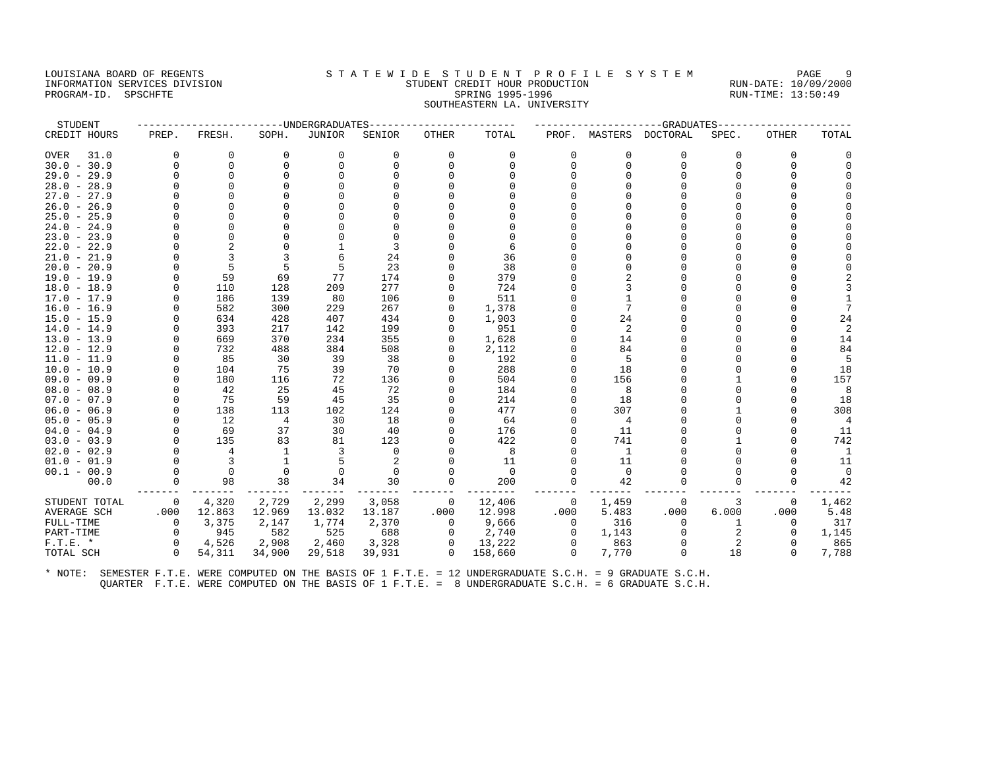# LOUISIANA BOARD OF REGENTS STATEWIDE STUDENT PROFILE SYSTEM PAGE 9 INFORMATION SERVICES DIVISION STUDENT CREDIT HOUR PRODUCTION RUN-DATE: 10/09/2000 PROGRAM-ID. SPSCHFTE SALLER SPRING 1995-1996 SPRING 1995-1996 RUN-TIME: 13:50:49 SOUTHEASTERN LA. UNIVERSITY

| STUDENT             |             |              |             | -UNDERGRADUATES |             |              |          |          |                | -GRADUATES             |       |              |                |
|---------------------|-------------|--------------|-------------|-----------------|-------------|--------------|----------|----------|----------------|------------------------|-------|--------------|----------------|
| CREDIT HOURS        | PREP.       | FRESH.       | SOPH.       | <b>JUNIOR</b>   | SENIOR      | <b>OTHER</b> | TOTAL    |          |                | PROF. MASTERS DOCTORAL | SPEC. | <b>OTHER</b> | TOTAL          |
| 31.0<br><b>OVER</b> | $\mathbf 0$ | 0            | $\mathbf 0$ | 0               | $\mathbf 0$ | $\mathbf 0$  | 0        | 0        | 0              | 0                      | 0     | 0            |                |
| $30.0 - 30.9$       | $\Omega$    | $\Omega$     | $\Omega$    | $\Omega$        | $\Omega$    | $\Omega$     | $\cap$   | $\Omega$ | $\Omega$       | 0                      | 0     | $\Omega$     |                |
| $29.0 - 29.9$       |             | $\Omega$     |             |                 |             |              | $\cap$   |          |                | $\Omega$               | 0     | $\cap$       |                |
| $28.0 - 28.9$       |             | 0            |             |                 |             |              |          |          |                | $\Omega$               | 0     | $\Omega$     |                |
| $27.0 - 27.9$       |             |              |             |                 |             |              |          |          |                | $\Omega$               |       |              |                |
| $26.0 - 26.9$       |             |              |             |                 |             |              |          |          |                |                        |       |              |                |
| $25.0 - 25.9$       |             | <sup>n</sup> |             |                 |             |              |          |          |                | $\Omega$               | 0     | $\cap$       |                |
| $24.0 - 24.9$       |             |              |             |                 |             |              |          |          |                | $\Omega$               | O     |              |                |
| $23.0 - 23.9$       |             |              |             |                 |             |              |          |          |                | $\Omega$               |       |              |                |
| $22.0 - 22.9$       |             |              |             |                 | 3           |              | 6        |          |                |                        |       |              |                |
| $21.0 - 21.9$       |             | 3            |             |                 | 24          |              | 36       |          |                | $\Omega$               |       |              |                |
| $20.0 - 20.9$       |             | 5            |             |                 | 23          |              | 38       |          |                | $\Omega$               |       |              |                |
| $19.0 - 19.9$       |             | 59           | 69          | 77              | 174         |              | 379      |          |                |                        |       |              |                |
| $18.0 - 18.9$       | $\Omega$    | 110          | 128         | 209             | 277         | U            | 724      |          | 3              | $\Omega$               | U     |              |                |
| $17.0 - 17.9$       | $\Omega$    | 186          | 139         | 80              | 106         | U            | 511      |          |                | $\Omega$               | U     |              |                |
| $16.0 - 16.9$       |             | 582          | 300         | 229             | 267         | U            | 1,378    |          |                | $\Omega$               |       |              | 7              |
| $15.0 - 15.9$       |             | 634          | 428         | 407             | 434         | U            | 1,903    |          | 24             |                        |       | $\cap$       | 24             |
| $14.0 - 14.9$       |             | 393          | 217         | 142             | 199         | U            | 951      |          | 2              | $\Omega$               |       | $\cap$       | $\overline{2}$ |
| $13.0 - 13.9$       |             | 669          | 370         | 234             | 355         | U            | 1,628    |          | 14             | $\cap$                 |       | $\Omega$     | 14             |
| $12.0 - 12.9$       | $\Omega$    | 732          | 488         | 384             | 508         | U            | 2,112    |          | 84             | $\cap$                 |       | $\cap$       | 84             |
| $11.0 - 11.9$       | $\Omega$    | 85           | 30          | 39              | 38          |              | 192      |          | 5              | U                      |       |              | 5              |
| $10.0 - 10.9$       | $\Omega$    | 104          | 75          | 39              | 70          | U            | 288      |          | 18             | $\Omega$               | U     | $\Omega$     | 18             |
| $09.0 - 09.9$       | $\Omega$    | 180          | 116         | 72              | 136         | U            | 504      |          | 156            | $\cap$                 |       | $\cap$       | 157            |
| $08.0 - 08.9$       |             | 42           | 25          | 45              | 72          |              | 184      |          | 8              |                        |       |              | 8              |
| $07.0 - 07.9$       |             | 75           | 59          | 45              | 35          |              | 214      |          | 18             | $\cap$                 |       | $\cap$       | 18             |
| $06.0 - 06.9$       |             | 138          | 113         | 102             | 124         |              | 477      |          | 307            |                        |       | $\cap$       | 308            |
| $05.0 - 05.9$       |             | 12           | 4           | 30              | 18          |              | 64       |          | $\overline{4}$ | $\Omega$               |       |              | $\overline{4}$ |
| $04.0 - 04.9$       |             | 69           | 37          | 30              | 40          | U            | 176      |          | 11             |                        |       |              | 11             |
| $03.0 - 03.9$       | $\Omega$    | 135          | 83          | 81              | 123         | U            | 422      |          | 741            | $\Omega$               |       | $\cap$       | 742            |
| $02.0 - 02.9$       |             | 4            | 1           | 3               | $\Omega$    |              | 8        |          | 1              |                        |       |              | 1              |
| $01.0 - 01.9$       |             | 3            |             |                 |             |              | 11       |          | 11             |                        |       |              | 11             |
| $00.1 - 00.9$       | $\Omega$    | $\Omega$     | $\Omega$    | $\Omega$        | $\Omega$    | U            | $\Omega$ |          | $\Omega$       | <sup>0</sup>           |       | $\cap$       | $\Omega$       |
| 00.0                | $\Omega$    | 98           | 38          | 34              | 30          | $\Omega$     | 200      |          | 42             | $\Omega$               |       | $\Omega$     | 42             |
| STUDENT TOTAL       | 0           | 4,320        | 2,729       | 2,299           | 3,058       | 0            | 12,406   | 0        | 1,459          | 0                      | 3     | 0            | 1,462          |
| AVERAGE SCH         | .000        | 12.863       | 12.969      | 13.032          | 13.187      | .000         | 12.998   | .000     | 5.483          | .000                   | 6.000 | .000         | 5.48           |
| FULL-TIME           | $\mathbf 0$ | 3,375        | 2,147       | 1,774           | 2,370       | 0            | 9,666    | 0        | 316            | $\Omega$               |       | 0            | 317            |
| PART-TIME           | $\Omega$    | 945          | 582         | 525             | 688         | 0            | 2,740    | 0        | 1,143          | $\Omega$               |       | $\Omega$     | 1,145          |
| $F.T.E.$ *          | $\Omega$    | 4,526        | 2,908       | 2,460           | 3,328       | $\Omega$     | 13,222   | $\Omega$ | 863            | $\Omega$               | 2     | $\Omega$     | 865            |
| TOTAL SCH           | $\Omega$    | 54,311       | 34,900      | 29,518          | 39,931      | $\Omega$     | 158,660  | $\Omega$ | 7,770          | $\Omega$               | 18    | $\Omega$     | 7,788          |
|                     |             |              |             |                 |             |              |          |          |                |                        |       |              |                |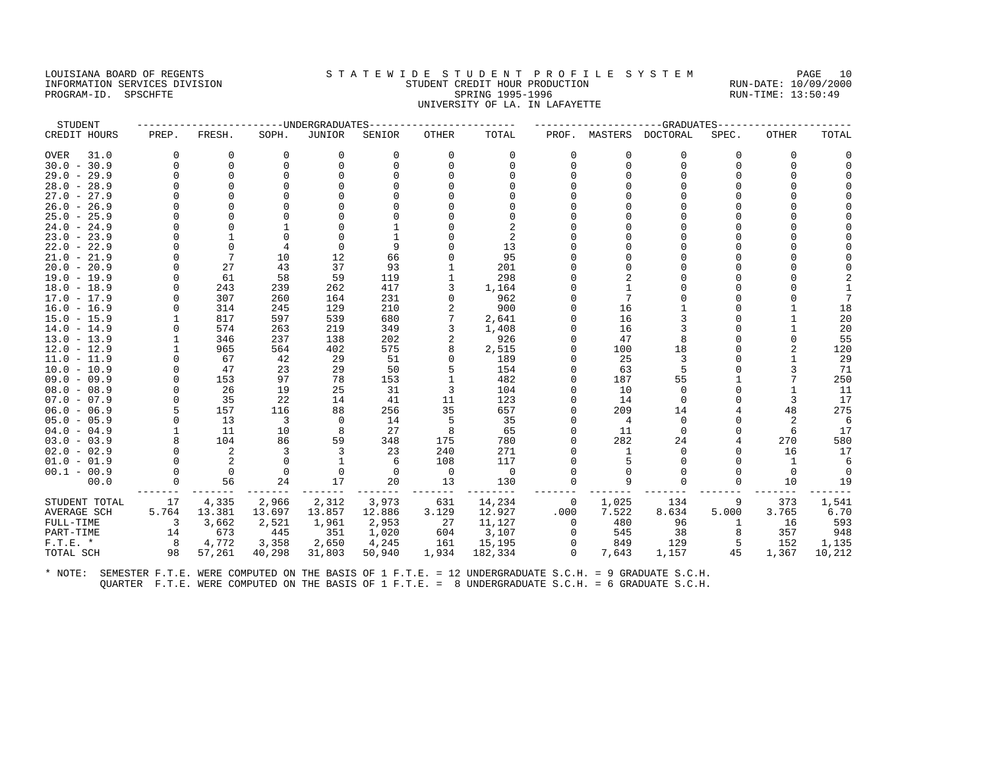#### LOUISIANA BOARD OF REGENTS STATEWIDE STUDENT PROFILE SYSTEM PAGE 10 INFORMATION SERVICES DIVISION STUDENT CREDIT HOUR PRODUCTION RUN-DATE: 10/09/2000 PROGRAM-ID. SPSCHFTE SALLER SPRING 1995-1996 SPRING 1995-1996 RUN-TIME: 13:50:49 UNIVERSITY OF LA. IN LAFAYETTE

| STUDENT       |          |                |          | ------UNDERGRADUATES |          |                |             |              |          | ---------GRADUATES |          |          |          |
|---------------|----------|----------------|----------|----------------------|----------|----------------|-------------|--------------|----------|--------------------|----------|----------|----------|
| CREDIT HOURS  | PREP.    | FRESH.         | SOPH.    | <b>JUNIOR</b>        | SENIOR   | OTHER          | TOTAL       | PROF.        | MASTERS  | DOCTORAL           | SPEC.    | OTHER    | TOTAL    |
| 31.0<br>OVER  | 0        | 0              | $\Omega$ | 0                    | 0        | 0              | 0           | 0            | $\Omega$ | $\Omega$           | $\Omega$ | 0        |          |
| $30.0 - 30.9$ | $\Omega$ | $\Omega$       | $\Omega$ | $\Omega$             | $\Omega$ |                | 0           | <sup>0</sup> | $\Omega$ | <sup>0</sup>       | $\Omega$ | 0        | $\Omega$ |
| $29.0 - 29.9$ | U        | $\Omega$       |          | ∩                    |          |                |             |              |          |                    |          |          |          |
| $28.0 - 28.9$ | O        | $\Omega$       |          |                      |          |                |             |              |          |                    |          |          |          |
| $27.0 - 27.9$ |          |                |          |                      |          |                |             |              |          |                    |          |          |          |
| $26.0 - 26.9$ |          |                |          |                      |          |                |             |              |          |                    |          |          |          |
| $25.0 - 25.9$ | ∩        |                |          |                      |          |                |             |              |          |                    |          |          |          |
| $24.0 - 24.9$ | O        |                |          |                      |          |                |             |              |          |                    |          |          |          |
| $23.0 - 23.9$ | U        |                |          |                      |          |                | 2           |              |          |                    |          |          |          |
| $22.0 - 22.9$ |          | $\Omega$       |          | $\Omega$             | 9        |                | 13          |              |          |                    |          |          |          |
| $21.0 - 21.9$ | U        | 7              | 10       | 12                   | 66       |                | 95          |              |          |                    |          |          |          |
| $20.0 - 20.9$ | O        | 27             | 43       | 37                   | 93       |                | 201         |              |          |                    |          |          |          |
| $19.0 - 19.9$ | O        | 61             | 58       | 59                   | 119      |                | 298         |              |          |                    |          |          |          |
| $18.0 - 18.9$ |          | 243            | 239      | 262                  | 417      |                | 1,164       |              |          |                    |          |          |          |
| $17.0 - 17.9$ | U        | 307            | 260      | 164                  | 231      |                | 962         |              |          |                    |          |          |          |
| $16.0 - 16.9$ |          | 314            | 245      | 129                  | 210      |                | 900         |              | 16       |                    |          |          | 18       |
| $15.0 - 15.9$ |          | 817            | 597      | 539                  | 680      |                | 2,641       |              | 16       |                    |          |          | 20       |
| $14.0 - 14.9$ |          | 574            | 263      | 219                  | 349      |                | 1,408       |              | 16       |                    |          |          | 20       |
| $13.0 - 13.9$ |          | 346            | 237      | 138                  | 202      |                | 926         |              | 47       |                    |          | 0        | 55       |
| $12.0 - 12.9$ |          | 965            | 564      | 402                  | 575      |                | 2,515       |              | 100      | 18                 |          |          | 120      |
| $11.0 - 11.9$ |          | 67             | 42       | 29                   | 51       |                | 189         |              | 25       |                    |          |          | 29       |
| $10.0 - 10.9$ | $\Omega$ | 47             | 23       | 29                   | 50       |                | 154         |              | 63       |                    |          | 3        | 71       |
| $09.0 - 09.9$ | $\Omega$ | 153            | 97       | 78                   | 153      |                | 482         |              | 187      | 55                 |          |          | 250      |
| $08.0 - 08.9$ | $\Omega$ | 26             | 19       | 25                   | 31       | 3              | 104         |              | 10       | $\Omega$           |          |          | 11       |
| $07.0 - 07.9$ | $\cap$   | 35             | 22       | 14                   | 41       | 11             | 123         |              | 14       |                    |          | 3        | 17       |
| $06.0 - 06.9$ | 5        | 157            | 116      | 88                   | 256      | 35             | 657         |              | 209      | 14                 |          | 48       | 275      |
| $05.0 - 05.9$ | U        | 13             | 3        | $\mathbf 0$          | 14       | 5              | 35          |              | 4        | $\Omega$           |          | 2        | 6        |
| $04.0 - 04.9$ |          | 11             | 10       | 8                    | 27       | 8              | 65          |              | 11       | $\Omega$           |          | 6        | 17       |
| $03.0 - 03.9$ |          | 104            | 86       | 59                   | 348      | 175            | 780         |              | 282      | 24                 |          | 270      | 580      |
| $02.0 - 02.9$ | $\Omega$ | 2              | 3        | 3                    | 23       | 240            | 271         |              |          | <sup>0</sup>       |          | 16       | 17       |
| $01.0 - 01.9$ | $\Omega$ | 2              | $\Omega$ | $\mathbf{1}$         | 6        | 108            | 117         |              |          |                    |          | 1        |          |
| $00.1 - 00.9$ | 0        | $\overline{0}$ |          | $\Omega$             | $\Omega$ | $\overline{0}$ | $\mathbf 0$ |              |          |                    |          | $\Omega$ | $\Omega$ |
| 00.0          | U        | 56             | 24       | 17                   | 20       | 13             | 130         |              |          |                    |          | 10       | 19       |
| STUDENT TOTAL | 17       | 4,335          | 2,966    | 2,312                | 3,973    | 631            | 14,234      | 0            | 1,025    | 134                |          | 373      | 1,541    |
| AVERAGE SCH   | 5.764    | 13.381         | 13.697   | 13.857               | 12.886   | 3.129          | 12.927      | .000         | 7.522    | 8.634              | 5.000    | 3.765    | 6.70     |
| FULL-TIME     | 3        | 3,662          | 2,521    | 1,961                | 2,953    | 27             | 11,127      | $\Omega$     | 480      | 96                 |          | 16       | 593      |
| PART-TIME     | 14       | 673            | 445      | 351                  | 1,020    | 604            | 3,107       | 0            | 545      | 38                 |          | 357      | 948      |
| $F.T.E. *$    | 8        | 4,772          | 3,358    | 2,650                | 4,245    | 161            | 15,195      | 0            | 849      | 129                |          | 152      | 1,135    |
| TOTAL SCH     | 98       | 57,261         | 40,298   | 31,803               | 50,940   | 1,934          | 182,334     | $\circ$      | 7,643    | 1,157              | 45       | 1,367    | 10,212   |
|               |          |                |          |                      |          |                |             |              |          |                    |          |          |          |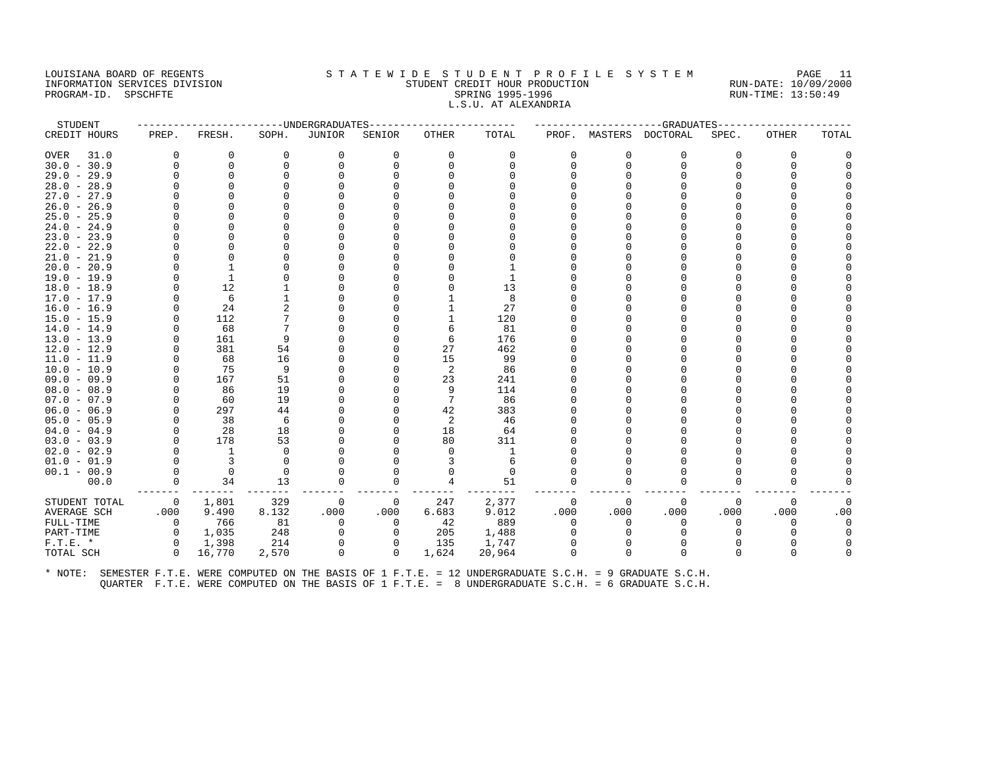#### LOUISIANA BOARD OF REGENTS STA TEWIDE STUDENT PROFILE SYSTEM PAGE 11 INFORMATION SERVICES DIVISION STUDENT CREDIT HOUR PRODUCTION RUN-DATE: 10/09/2000 PROGRAM-ID. SPSCHFTE SALLER SPRING 1995-1996 SPRING 1995-1996 RUN-TIME: 13:50:49 L.S.U. AT ALEXANDRIA

| STUDENT       |                |                |          | ----------------UNDERGRADUATES- |              |          |          |              |              | ------------------GRADUATES- |          |              |          |
|---------------|----------------|----------------|----------|---------------------------------|--------------|----------|----------|--------------|--------------|------------------------------|----------|--------------|----------|
| CREDIT HOURS  | PREP.          | FRESH.         | SOPH.    | JUNIOR                          | SENIOR       | OTHER    | TOTAL    |              |              | PROF. MASTERS DOCTORAL       | SPEC.    | <b>OTHER</b> | TOTAL    |
| OVER<br>31.0  | $\Omega$       | 0              | 0        | 0                               | $\Omega$     | 0        | 0        | $\Omega$     | $\Omega$     | $\Omega$                     | $\Omega$ | $\Omega$     | $\Omega$ |
| $30.0 - 30.9$ | $\Omega$       | 0              | 0        | $\Omega$                        | $\Omega$     | $\Omega$ | $\Omega$ | U            | $\Omega$     | 0                            | $\cap$   | <sup>0</sup> |          |
| $29.0 - 29.9$ | $\Omega$       | $\Omega$       | $\Omega$ | $\Omega$                        |              |          | $\cap$   |              |              | $\Omega$                     |          | <sup>0</sup> |          |
| $28.0 - 28.9$ | O              | $\Omega$       |          |                                 |              |          |          |              |              |                              |          |              |          |
| $27.0 - 27.9$ | U              | ∩              |          |                                 |              |          |          |              |              |                              |          |              |          |
| $26.0 - 26.9$ | U              | ∩              |          |                                 |              |          |          |              |              |                              |          |              |          |
| $25.0 - 25.9$ | 0              | <sup>0</sup>   |          |                                 |              |          |          |              |              |                              |          |              |          |
| $24.0 - 24.9$ | O              | $\Omega$       |          |                                 |              |          |          |              |              | O                            |          |              |          |
| $23.0 - 23.9$ |                | $\Omega$       |          |                                 |              |          |          |              |              |                              |          |              |          |
| $22.0 - 22.9$ | U              | <sup>0</sup>   |          |                                 |              |          |          |              |              |                              |          |              |          |
| $21.0 - 21.9$ | U              | $\Omega$       |          |                                 |              |          |          |              |              |                              |          |              |          |
| $20.0 - 20.9$ | U              |                |          |                                 |              |          |          |              |              |                              |          |              |          |
| 19.0 - 19.9   | O              | $\mathbf{1}$   |          |                                 |              |          |          |              |              |                              |          |              |          |
| $18.0 - 18.9$ | 0              | 12             |          |                                 |              |          | 13       |              |              |                              |          |              |          |
| 17.0 - 17.9   | $\Omega$       | 6              |          |                                 |              |          | 8        |              |              |                              |          |              |          |
| $16.0 - 16.9$ | U              | 24             |          |                                 |              |          | 27       |              |              |                              |          |              |          |
| $15.0 - 15.9$ | 0              | 112            |          |                                 |              |          | 120      |              |              |                              |          |              |          |
| $14.0 - 14.9$ | $\Omega$       | 68             | 7        |                                 |              | 6        | 81       |              |              |                              |          |              |          |
| $13.0 - 13.9$ |                | 161            | 9        |                                 |              | 6        | 176      |              |              |                              |          |              |          |
| $12.0 - 12.9$ | $\Omega$       | 381            | 54       |                                 |              | 27       | 462      |              |              |                              |          |              |          |
| $11.0 - 11.9$ | $\Omega$       | 68             | 16       |                                 |              | 15       | 99       |              |              |                              |          |              |          |
| $10.0 - 10.9$ |                | 75             | 9        |                                 |              | 2        | 86       |              |              |                              |          |              |          |
| $09.0 - 09.9$ | O              | 167            | 51       |                                 |              | 23       | 241      |              |              |                              |          |              |          |
| $08.0 - 08.9$ | $\Omega$       | 86             | 19       |                                 |              | 9        | 114      |              |              |                              |          |              |          |
| $07.0 - 07.9$ | $\Omega$       | 60             | 19       |                                 |              |          | 86       |              |              |                              |          |              |          |
| $06.0 - 06.9$ | $\Omega$       | 297            | 44       |                                 |              | 42       | 383      |              |              |                              |          |              |          |
| $05.0 - 05.9$ | $\Omega$       | 38             | 6        |                                 |              | 2        | 46       |              |              |                              |          |              |          |
| $04.0 - 04.9$ | $\Omega$       | 28             | 18       |                                 |              | 18       | 64       |              |              |                              |          |              |          |
| $03.0 - 03.9$ | $\Omega$       | 178            | 53       |                                 |              | 80       | 311      |              |              |                              |          |              |          |
| $02.0 - 02.9$ | $\Omega$       | 1              | $\Omega$ |                                 |              | $\Omega$ | 1        |              |              |                              |          |              |          |
| $01.0 - 01.9$ | $\Omega$       | $\overline{3}$ | $\Omega$ |                                 |              |          | 6        |              |              | n                            |          |              |          |
| $00.1 - 00.9$ | $\Omega$       | 0              | 0        | O                               |              |          | $\Omega$ |              |              |                              |          |              |          |
| 00.0          | $\Omega$       | 34             | 13       | $\Omega$                        | $\Omega$     | 4        | 51       | $\Omega$     | <sup>0</sup> | $\Omega$                     | $\Omega$ | $\Omega$     |          |
| STUDENT TOTAL | $\overline{0}$ | 1,801          | 329      | 0                               | 0            | 247      | 2,377    | 0            | $\Omega$     | $\mathbf 0$                  | $\Omega$ | $\Omega$     | 0        |
| AVERAGE SCH   | .000           | 9.490          | 8.132    | .000                            | .000         | 6.683    | 9.012    | .000         | .000         | .000                         | .000     | .000         | .00      |
| FULL-TIME     | $\mathbf 0$    | 766            | 81       | $\mathbf 0$                     | 0            | -42      | 889      | $\Omega$     | $\Omega$     | $\mathbf 0$                  | 0        | $\Omega$     | $\Omega$ |
| PART-TIME     | $\circ$        | 1,035          | 248      | $\mathbf 0$                     | $\Omega$     | 205      | 1,488    | <sup>0</sup> | $\Omega$     | $\Omega$                     |          |              | $\Omega$ |
| $F.T.E. *$    | $\Omega$       | 1,398          | 214      | $\Omega$                        | $\Omega$     | 135      | 1,747    |              |              | $\Omega$                     |          |              |          |
| TOTAL SCH     | $\Omega$       | 16,770         | 2,570    | $\mathbf 0$                     | $\mathbf{0}$ | 1,624    | 20,964   | <sup>0</sup> | $\Omega$     | $\Omega$                     |          | ∩            |          |
|               |                |                |          |                                 |              |          |          |              |              |                              |          |              |          |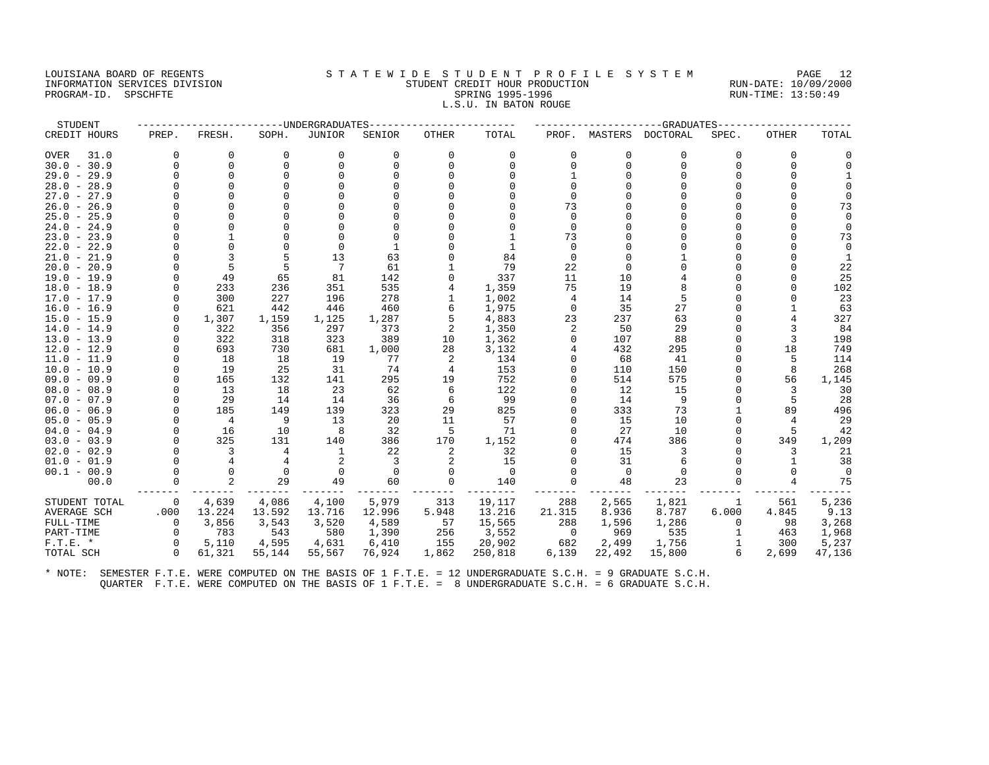# LOUISIANA BOARD OF REGENTS STATEWIDE STUDENT PROFILE SYSTEM PAGE 12 INFORMATION SERVICES DIVISION STUDENT CREDIT HOUR PRODUCTION RUN-DATE: 10/09/2000 PROGRAM-ID. SPSCHFTE SALLER SPRING 1995-1996 SPRING 1995-1996 RUN-TIME: 13:50:49

# L.S.U. IN BATON ROUGE

| STUDENT             |             |                |          | -UNDERGRADUATES |          |              |          |              |          | -GRADUATES |          |              |          |
|---------------------|-------------|----------------|----------|-----------------|----------|--------------|----------|--------------|----------|------------|----------|--------------|----------|
| CREDIT HOURS        | PREP.       | FRESH.         | SOPH.    | <b>JUNIOR</b>   | SENIOR   | <b>OTHER</b> | TOTAL    | PROF.        | MASTERS  | DOCTORAL   | SPEC.    | OTHER        | TOTAL    |
| 31.0<br><b>OVER</b> | 0           | 0              | 0        | 0               | 0        | 0            | 0        | 0            | 0        | 0          | $\Omega$ | 0            | 0        |
| $30.0 - 30.9$       | $\Omega$    | $\Omega$       | $\Omega$ | $\Omega$        | $\Omega$ | $\Omega$     | $\Omega$ | $\Omega$     | $\Omega$ | $\Omega$   | $\Omega$ | $\Omega$     | $\Omega$ |
| $29.0 - 29.9$       |             | $\Omega$       | $\cap$   | $\Omega$        |          |              |          |              |          |            |          |              |          |
| $28.0 - 28.9$       |             |                |          |                 |          |              |          |              |          |            |          | <sup>0</sup> |          |
| $27.0 - 27.9$       |             |                |          |                 |          |              |          |              |          |            |          |              | $\Omega$ |
| $26.0 - 26.9$       |             |                |          |                 |          |              |          | 73           |          |            |          |              | 73       |
| $25.0 - 25.9$       |             |                |          |                 |          |              |          | <sup>n</sup> |          |            |          |              | $\Omega$ |
| $24.0 - 24.9$       |             |                |          |                 |          |              |          | <sup>n</sup> |          |            |          | 0            | $\Omega$ |
| $23.0 - 23.9$       |             |                |          |                 |          |              |          | 73           |          |            |          |              | 73       |
| $22.0 - 22.9$       |             |                |          | $\Omega$        |          |              |          | $\Omega$     |          |            |          |              | $\Omega$ |
| $21.0 - 21.9$       |             | 3              | 5        | 13              | 63       |              | 84       | $\Omega$     |          |            |          |              | 1        |
| $20.0 - 20.9$       |             | 5              | 5        | 7               | 61       |              | 79       | 22           | $\Omega$ |            |          |              | 22       |
| $19.0 - 19.9$       | $\Omega$    | 49             | 65       | 81              | 142      |              | 337      | 11           | 10       |            |          |              | 25       |
| $18.0 - 18.9$       | $\Omega$    | 233            | 236      | 351             | 535      |              | 1,359    | 75           | 19       |            |          |              | 102      |
| $17.0 - 17.9$       | $\Omega$    | 300            | 227      | 196             | 278      |              | 1,002    | 4            | 14       | 5          |          |              | 23       |
| $16.0 - 16.9$       | $\Omega$    | 621            | 442      | 446             | 460      |              | 1,975    | $\Omega$     | 35       | 27         |          |              | 63       |
| $15.0 - 15.9$       | $\Omega$    | 1,307          | 1,159    | 1,125           | 1,287    | 5            | 4,883    | 23           | 237      | 63         |          | 4            | 327      |
| $14.0 - 14.9$       | ∩           | 322            | 356      | 297             | 373      | 2            | 1,350    |              | 50       | 29         |          |              | 84       |
| $13.0 - 13.9$       | $\Omega$    | 322            | 318      | 323             | 389      | 10           | 1,362    | 0            | 107      | 88         |          | 3            | 198      |
| $12.0 - 12.9$       | $\cap$      | 693            | 730      | 681             | 1,000    | 28           | 3,132    |              | 432      | 295        |          | 18           | 749      |
| $11.0 - 11.9$       | $\Omega$    | 18             | 18       | 19              | 77       | 2            | 134      |              | 68       | 41         |          |              | 114      |
| $10.0 - 10.9$       | $\Omega$    | 19             | 25       | 31              | 74       | 4            | 153      |              | 110      | 150        | $\Omega$ | 8            | 268      |
| $09.0 - 09.9$       | $\Omega$    | 165            | 132      | 141             | 295      | 19           | 752      |              | 514      | 575        |          | 56           | 1,145    |
| $08.0 - 08.9$       | $\Omega$    | 13             | 18       | 23              | 62       | 6            | 122      |              | 12       | 15         |          | 3            | 30       |
| $07.0 - 07.9$       | $\Omega$    | 29             | 14       | 14              | 36       | 6            | 99       |              | 14       | 9          |          | 5            | 28       |
| $06.0 - 06.9$       | $\Omega$    | 185            | 149      | 139             | 323      | 29           | 825      |              | 333      | 73         |          | 89           | 496      |
| $05.0 - 05.9$       | $\Omega$    | $\overline{4}$ | 9        | 13              | 20       | 11           | 57       |              | 15       | 10         |          | 4            | 29       |
| $04.0 - 04.9$       | $\Omega$    | 16             | 10       | 8               | 32       | 5            | 71       |              | 27       | 10         |          |              | 42       |
| $03.0 - 03.9$       | $\Omega$    | 325            | 131      | 140             | 386      | 170          | 1,152    |              | 474      | 386        |          | 349          | 1,209    |
| $02.0 - 02.9$       | $\Omega$    | 3              | 4        | 1               | 22       | 2            | 32       |              | 15       | 3          |          | 3            | 21       |
| $01.0 - 01.9$       |             | 4              |          |                 |          |              | 15       |              | 31       | 6          |          |              | 38       |
| $00.1 - 00.9$       |             |                | $\Omega$ | $\Omega$        | $\Omega$ |              | $\Omega$ |              | $\Omega$ | $\Omega$   |          | <sup>0</sup> | $\Omega$ |
| 00.0                |             | $\overline{2}$ | 29       | 49              | 60       | $\Omega$     | 140      | $\Omega$     | 48       | 23         |          |              | 75       |
| STUDENT TOTAL       | $\mathbf 0$ | 4,639          | 4,086    | 4,100           | 5,979    | 313          | 19,117   | 288          | 2,565    | 1,821      |          | 561          | 5,236    |
| <b>AVERAGE SCH</b>  | .000        | 13.224         | 13.592   | 13.716          | 12.996   | 5.948        | 13.216   | 21.315       | 8.936    | 8.787      | 6.000    | 4.845        | 9.13     |
| FULL-TIME           | $\Omega$    | 3,856          | 3,543    | 3,520           | 4,589    | 57           | 15,565   | 288          | 1,596    | 1,286      |          | 98           | 3,268    |
| PART-TIME           | $\mathbf 0$ | 783            | 543      | 580             | 1,390    | 256          | 3,552    | $\mathbf 0$  | 969      | 535        |          | 463          | 1,968    |
| $F.T.E.$ *          | $\Omega$    | 5,110          | 4,595    | 4,631           | 6,410    | 155          | 20,902   | 682          | 2,499    | 1,756      |          | 300          | 5,237    |
| TOTAL SCH           | $\Omega$    | 61,321         | 55,144   | 55,567          | 76,924   | 1,862        | 250,818  | 6,139        | 22,492   | 15,800     | 6        | 2,699        | 47,136   |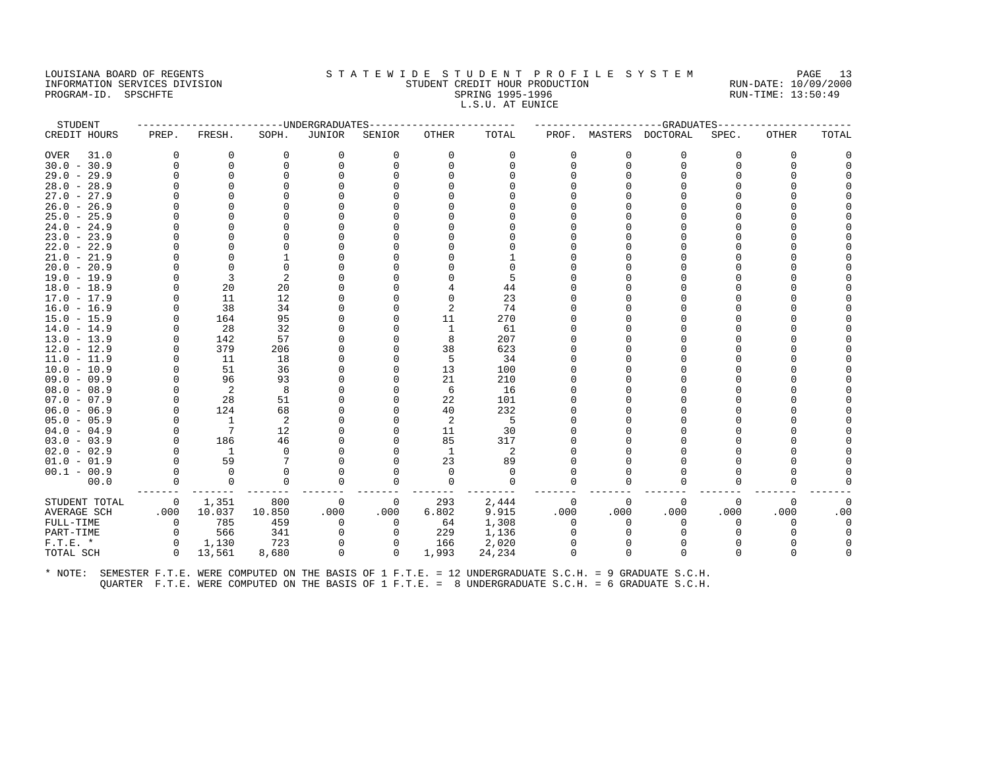#### LOUISIANA BOARD OF REGENTS STATEWIDE STUDENT PROFILE SYSTEM PAGE 13 INFORMATION SERVICES DIVISION STUDENT CREDIT HOUR PRODUCTION RUN-DATE: 10/09/2000 PROGRAM-ID. SPSCHFTE SALLER SPRING 1995-1996 SPRING 1995-1996 RUN-TIME: 13:50:49 L.S.U. AT EUNICE

| STUDENT       |             |                              | ---------------- UNDERGRADUATES- |             |              |          |          |              |              | ------------------GRADUATES |          |              |          |
|---------------|-------------|------------------------------|----------------------------------|-------------|--------------|----------|----------|--------------|--------------|-----------------------------|----------|--------------|----------|
| CREDIT HOURS  | PREP.       | FRESH.                       | SOPH.                            | JUNIOR      | SENIOR       | OTHER    | TOTAL    |              |              | PROF. MASTERS DOCTORAL      | SPEC.    | <b>OTHER</b> | TOTAL    |
| OVER<br>31.0  | $\Omega$    | 0                            | 0                                | 0           | $\Omega$     | 0        | 0        | $\Omega$     | $\Omega$     | $\Omega$                    | $\Omega$ | $\Omega$     | O        |
| $30.0 - 30.9$ | $\Omega$    | 0                            | 0                                | $\Omega$    | $\Omega$     | $\Omega$ | $\Omega$ | U            | $\Omega$     | 0                           | $\cap$   | $\Omega$     |          |
| $29.0 - 29.9$ | $\Omega$    | $\Omega$                     | $\Omega$                         | $\Omega$    |              |          | $\cap$   |              |              | 0                           |          | <sup>0</sup> |          |
| $28.0 - 28.9$ | O           | $\Omega$                     |                                  |             |              |          |          |              |              |                             |          |              |          |
| $27.0 - 27.9$ | U           | ∩                            |                                  |             |              |          |          |              |              |                             |          |              |          |
| $26.0 - 26.9$ | U           | ∩                            |                                  |             |              |          |          |              |              |                             |          |              |          |
| $25.0 - 25.9$ | 0           | $\Omega$                     | O                                |             |              |          |          |              |              |                             |          |              |          |
| $24.0 - 24.9$ | O           | $\Omega$                     |                                  |             |              |          |          |              |              | O                           |          |              |          |
| $23.0 - 23.9$ |             | $\Omega$                     |                                  |             |              |          |          |              |              |                             |          |              |          |
| $22.0 - 22.9$ | U           | <sup>0</sup>                 |                                  |             |              |          |          |              |              |                             |          |              |          |
| $21.0 - 21.9$ | U           | $\Omega$                     |                                  |             |              |          |          |              |              |                             |          |              |          |
| $20.0 - 20.9$ | U           | $\Omega$                     | $\Omega$                         |             |              |          |          |              |              |                             |          |              |          |
| 19.0 - 19.9   | O           | 3                            | 2                                |             |              |          | 5        |              |              |                             |          |              |          |
| $18.0 - 18.9$ | 0           | 20                           | 20                               |             |              |          | 44       |              |              |                             |          |              |          |
| 17.0 - 17.9   | $\Omega$    | 11                           | 12                               |             |              | $\Omega$ | 23       |              |              |                             |          |              |          |
| $16.0 - 16.9$ | U           | 38                           | 34                               |             |              |          | 74       |              |              |                             |          |              |          |
| $15.0 - 15.9$ | 0           | 164                          | 95                               |             |              | 11       | 270      |              |              |                             |          |              |          |
| $14.0 - 14.9$ | $\Omega$    | 28                           | 32                               |             |              | 1        | 61       |              |              |                             |          |              |          |
| $13.0 - 13.9$ |             | 142                          | 57                               |             |              | 8        | 207      |              |              |                             |          |              |          |
| $12.0 - 12.9$ | $\Omega$    | 379                          | 206                              |             |              | 38       | 623      |              |              | O                           |          |              |          |
| $11.0 - 11.9$ | $\Omega$    | 11                           | 18                               |             |              | 5        | 34       |              |              |                             |          |              |          |
| $10.0 - 10.9$ |             | 51                           | 36                               |             |              | 13       | 100      |              |              |                             |          |              |          |
| $09.0 - 09.9$ | O           | 96                           | 93                               |             |              | 21       | 210      |              |              |                             |          |              |          |
| $08.0 - 08.9$ | 0           | $\overline{2}$               | 8                                |             |              | 6        | 16       |              |              |                             |          |              |          |
| $07.0 - 07.9$ | $\Omega$    | 28                           | 51                               |             |              | 22       | 101      |              |              |                             |          |              |          |
| $06.0 - 06.9$ | $\Omega$    | 124                          | 68                               |             |              | 40       | 232      |              |              |                             |          |              |          |
| $05.0 - 05.9$ | $\Omega$    | $\overline{1}$               | 2                                |             |              | 2        | 5        |              |              |                             |          |              |          |
| $04.0 - 04.9$ | $\Omega$    | $7\phantom{.0}\phantom{.0}7$ | 12                               |             |              | 11       | 30       |              |              |                             |          |              |          |
| $03.0 - 03.9$ | $\Omega$    | 186                          | 46                               |             |              | 85       | 317      |              |              |                             |          |              |          |
| $02.0 - 02.9$ | $\Omega$    | $\overline{1}$               | $\Omega$                         |             |              | 1        | 2        |              |              |                             |          |              |          |
| $01.0 - 01.9$ | $\Omega$    | 59                           | 7                                |             |              | 23       | 89       |              |              | n                           |          |              |          |
| $00.1 - 00.9$ | $\Omega$    | $\Omega$                     |                                  | O           |              | $\Omega$ | $\Omega$ |              |              |                             |          |              |          |
| 00.0          | $\Omega$    | $\mathbf 0$                  | $\Omega$                         | $\Omega$    | 0            | $\Omega$ | $\Omega$ | $\Omega$     | <sup>0</sup> | $\Omega$                    | $\Omega$ | $\Omega$     |          |
| STUDENT TOTAL | $\mathbf 0$ | 1,351                        | 800                              | 0           | 0            | 293      | 2,444    | 0            | $\Omega$     | $\mathbf 0$                 | $\Omega$ | $\Omega$     | 0        |
| AVERAGE SCH   | .000        | 10.037                       | 10.850                           | .000        | .000         | 6.802    | 9.915    | .000         | .000         | .000                        | .000     | .000         | .00      |
| FULL-TIME     | $\mathbf 0$ | 785                          | 459                              | $\mathbf 0$ | 0            | 64       | 1,308    | $\Omega$     | $\Omega$     | 0                           | 0        | $\Omega$     | $\Omega$ |
| PART-TIME     | 0           | 566                          | 341                              | $\Omega$    | $\Omega$     | 229      | 1,136    | <sup>0</sup> | $\Omega$     | $\Omega$                    |          |              | $\Omega$ |
| $F.T.E. *$    | $\Omega$    | 1,130                        | 723                              | $\Omega$    | $\Omega$     | 166      | 2,020    |              |              |                             |          |              |          |
| TOTAL SCH     | $\Omega$    | 13,561                       | 8,680                            | $\Omega$    | $\mathbf{0}$ | 1,993    | 24,234   |              | $\Omega$     | $\Omega$                    |          | n            |          |
|               |             |                              |                                  |             |              |          |          |              |              |                             |          |              |          |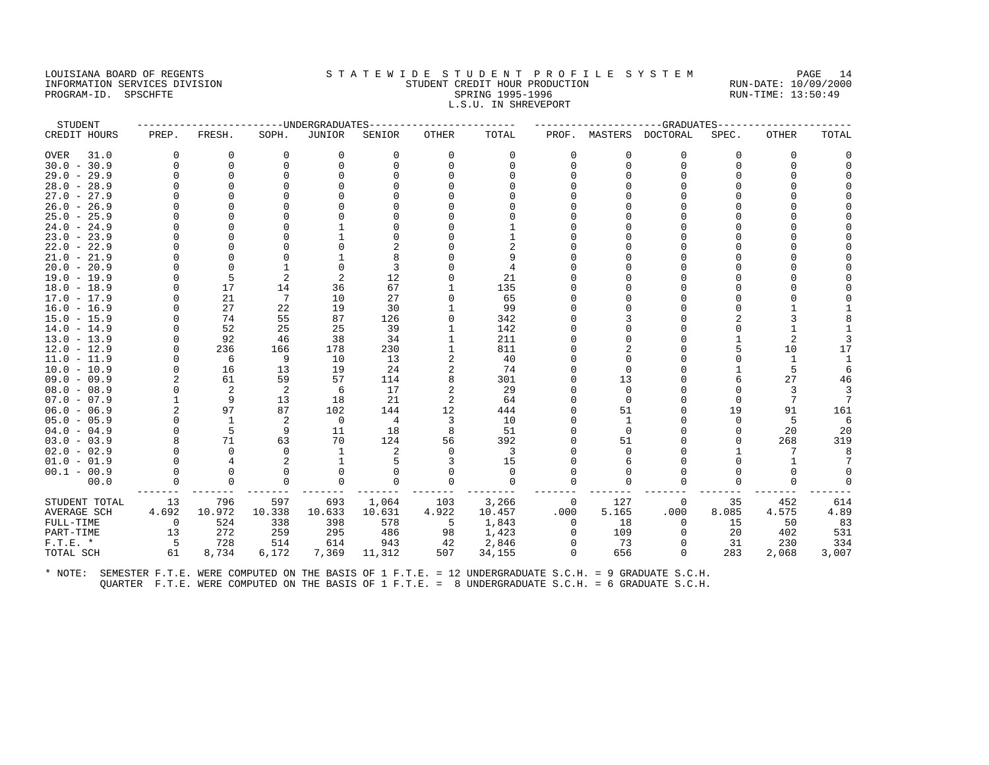#### LOUISIANA BOARD OF REGENTS STA TEWIDE STUDENT PROFILE SYSTEM PAGE 14 INFORMATION SERVICES DIVISION STUDENT CREDIT HOUR PRODUCTION RUN-DATE: 10/09/2000 PROGRAM-ID. SPSCHFTE SALLER SPRING 1995-1996 SPRING 1995-1996 RUN-TIME: 13:50:49 L.S.U. IN SHREVEPORT

| STUDENT             |             |                |                | -----UNDERGRADUATES |          |              |             |          |          | ----------GRADUATES    |          |              |                 |
|---------------------|-------------|----------------|----------------|---------------------|----------|--------------|-------------|----------|----------|------------------------|----------|--------------|-----------------|
| CREDIT HOURS        | PREP.       | FRESH.         | SOPH.          | <b>JUNIOR</b>       | SENIOR   | <b>OTHER</b> | TOTAL       |          |          | PROF. MASTERS DOCTORAL | SPEC.    | <b>OTHER</b> | TOTAL           |
| 31.0<br><b>OVER</b> | $\Omega$    | 0              | $\Omega$       | 0                   | $\Omega$ | 0            | $\Omega$    | $\Omega$ | $\Omega$ | $\Omega$               | $\Omega$ | $\Omega$     |                 |
| $30.0 - 30.9$       | $\Omega$    | $\mathbf 0$    | $\Omega$       | $\Omega$            |          | $\Omega$     | $\Omega$    | U        | $\Omega$ | n                      | O        | $\Omega$     |                 |
| $29.0 - 29.9$       |             | $\Omega$       |                |                     |          |              |             |          |          |                        | U        |              |                 |
| $28.0 - 28.9$       |             | <sup>0</sup>   |                |                     |          |              |             |          |          |                        |          |              |                 |
| $27.0 - 27.9$       |             |                |                |                     |          |              |             |          |          |                        |          |              |                 |
| $26.0 - 26.9$       |             |                |                |                     |          |              |             |          |          |                        |          |              |                 |
| $25.0 - 25.9$       |             |                |                |                     |          |              |             |          |          |                        |          |              |                 |
| $24.0 - 24.9$       |             |                |                |                     |          |              |             |          |          |                        |          |              |                 |
| $23.0 - 23.9$       |             |                |                |                     |          |              |             |          |          |                        |          |              |                 |
| $22.0 - 22.9$       |             |                |                |                     |          |              |             |          |          |                        |          |              |                 |
| $21.0 - 21.9$       |             | n              |                |                     |          |              | 9           |          |          |                        |          |              |                 |
| $20.0 - 20.9$       |             |                | $\mathbf{1}$   | $\Omega$            | 3        |              |             |          |          |                        | O        |              |                 |
| $19.0 - 19.9$       | $\cap$      | 5              | $\overline{2}$ |                     | 12       |              | 21          |          |          |                        |          |              |                 |
| $18.0 - 18.9$       | $\cap$      | 17             | 14             | 36                  | 67       |              | 135         |          |          |                        | U        |              |                 |
| $17.0 - 17.9$       | $\cap$      | 21             | 7              | 10                  | 27       | U            | 65          |          |          |                        |          |              |                 |
| $16.0 - 16.9$       |             | 27             | 22             | 19                  | 30       |              | 99          |          |          |                        |          |              |                 |
| $15.0 - 15.9$       |             | 74             | 55             | 87                  | 126      | $\Omega$     | 342         |          |          |                        |          |              |                 |
| $14.0 - 14.9$       |             | 52             | 25             | 25                  | 39       |              | 142         |          |          |                        |          |              |                 |
| $13.0 - 13.9$       | $\cap$      | 92             | 46             | 38                  | 34       |              | 211         |          |          |                        |          | 2            |                 |
| $12.0 - 12.9$       | $\cap$      | 236            | 166            | 178                 | 230      |              | 811         |          |          |                        | 5        | 10           | 17              |
| $11.0 - 11.9$       | O           | 6              | 9              | 10                  | 13       | 2            | 40          |          |          |                        | U        | 1            |                 |
| $10.0 - 10.9$       | $\Omega$    | 16             | 13             | 19                  | 24       | 2            | 74          |          | $\Omega$ |                        |          | 5            |                 |
| $09.0 - 09.9$       |             | 61             | 59             | 57                  | 114      | 8            | 301         |          | 13       |                        |          | 27           | 46              |
| $08.0 - 08.9$       | $\cap$      | $\overline{2}$ | 2              | -6                  | 17       | 2            | 29          |          | $\Omega$ |                        | $\Omega$ | 3            | 3               |
| $07.0 - 07.9$       |             | 9              | 13             | 18                  | 21       | 2            | 64          |          | $\Omega$ |                        | $\cap$   | 7            | $7\phantom{.0}$ |
| $06.0 - 06.9$       |             | 97             | 87             | 102                 | 144      | 12           | 444         |          | 51       |                        | 19       | 91           | 161             |
| $05.0 - 05.9$       | $\cap$      | 1              | 2              | $\overline{0}$      | 4        | 3            | 10          |          | 1        |                        | U        | 5            | 6               |
| $04.0 - 04.9$       | $\cap$      | 5              | 9              | 11                  | 18       | 8            | 51          |          | $\Omega$ |                        | 0        | 20           | 20              |
| $03.0 - 03.9$       |             | 71             | 63             | 70                  | 124      | 56           | 392         |          | 51       |                        | 0        | 268          | 319             |
| $02.0 - 02.9$       |             | $\Omega$       | $\Omega$       | 1                   | 2        | $\Omega$     | 3           |          |          |                        |          | 7            |                 |
| $01.0 - 01.9$       |             |                | $\mathcal{D}$  | $\mathbf{1}$        |          | 3            | 15          |          |          |                        | U        | $\mathbf{1}$ |                 |
| $00.1 - 00.9$       | $\Omega$    | $\Omega$       | $\Omega$       | 0                   |          | 0            | 0           |          |          |                        |          | $\Omega$     |                 |
| 00.0                | $\mathbf 0$ | $\mathbf 0$    | $\Omega$       | $\mathbf 0$         |          | 0            | $\mathbf 0$ |          | $\Omega$ |                        | 0        | 0            | 0               |
| STUDENT TOTAL       | 13          | 796            | 597            | 693                 | 1,064    | 103          | 3,266       | 0        | 127      | $\Omega$               | 35       | 452          | 614             |
| <b>AVERAGE SCH</b>  | 4.692       | 10.972         | 10.338         | 10.633              | 10.631   | 4.922        | 10.457      | .000     | 5.165    | .000                   | 8.085    | 4.575        | 4.89            |
| FULL-TIME           | 0           | 524            | 338            | 398                 | 578      | 5            | 1,843       | $\Omega$ | 18       | $\Omega$               | 15       | 50           | 83              |
| PART-TIME           | 13          | 272            | 259            | 295                 | 486      | 98           | 1,423       | $\Omega$ | 109      | $\Omega$               | 20       | 402          | 531             |
| $F.T.E.$ *          | 5           | 728            | 514            | 614                 | 943      | 42           | 2,846       |          | 73       |                        | 31       | 230          | 334             |
| TOTAL SCH           | 61          | 8,734          | 6,172          | 7,369               | 11,312   | 507          | 34,155      | $\Omega$ | 656      | $\Omega$               | 283      | 2,068        | 3,007           |
|                     |             |                |                |                     |          |              |             |          |          |                        |          |              |                 |
|                     |             |                |                |                     |          |              |             |          |          |                        |          |              |                 |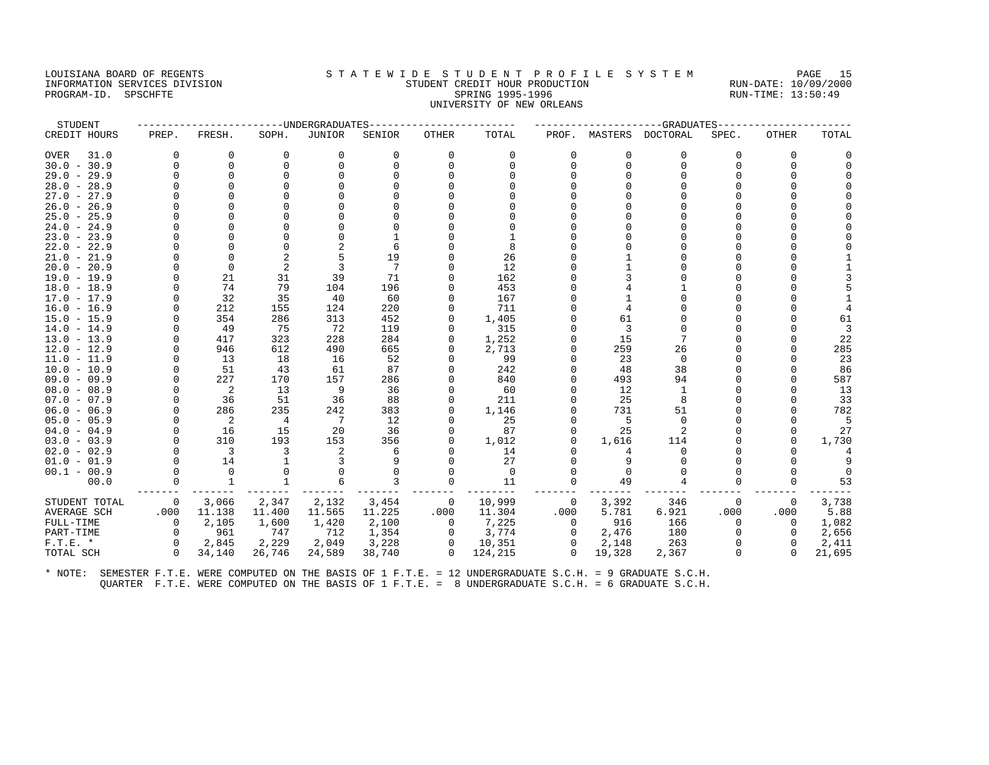#### LOUISIANA BOARD OF REGENTS STA TEWIDE STUDENT PROFILE SYSTEM PAGE 15 INFORMATION SERVICES DIVISION STUDENT CREDIT HOUR PRODUCTION RUN-DATE: 10/09/2000 PROGRAM-ID. SPSCHFTE SALLER SPRING 1995-1996 SPRING 1995-1996 RUN-TIME: 13:50:49 UNIVERSITY OF NEW ORLEANS

| STUDENT       |          |                            |                | ----UNDERGRADUATES |          |             |          |          |          | --GRADUATES      |       |              |        |
|---------------|----------|----------------------------|----------------|--------------------|----------|-------------|----------|----------|----------|------------------|-------|--------------|--------|
| CREDIT HOURS  | PREP.    | FRESH.                     | SOPH.          | JUNIOR             | SENIOR   | OTHER       | TOTAL    | PROF.    |          | MASTERS DOCTORAL | SPEC. | <b>OTHER</b> | TOTAL  |
| OVER<br>31.0  | $\Omega$ | 0                          | 0              | 0                  | 0        | 0           | 0        | O        | $\Omega$ | 0                | O     | 0            |        |
| $30.0 - 30.9$ | $\Omega$ | $\Omega$                   | $\Omega$       | $\Omega$           | $\Omega$ | 0           | $\Omega$ | U        | $\Omega$ | $\Omega$         |       | $\Omega$     |        |
| $29.0 - 29.9$ | U        | $\Omega$                   |                |                    |          |             |          |          |          |                  |       |              |        |
| $28.0 - 28.9$ | O        | $\Omega$                   |                |                    |          |             |          |          |          |                  |       |              |        |
| $27.0 - 27.9$ | U        |                            |                |                    |          |             |          |          |          |                  |       |              |        |
| $26.0 - 26.9$ |          |                            |                |                    |          |             |          |          |          |                  |       |              |        |
| $25.0 - 25.9$ | U        |                            |                |                    |          |             |          |          |          |                  |       |              |        |
| $24.0 - 24.9$ | U        |                            |                |                    |          |             |          |          |          |                  |       |              |        |
| $23.0 - 23.9$ |          | $\Omega$                   |                |                    |          |             |          |          |          |                  |       |              |        |
| $22.0 - 22.9$ |          | $\Omega$                   |                |                    |          |             | 8        |          |          |                  |       |              |        |
| $21.0 - 21.9$ | U        | <sup>0</sup>               | 2              | 5                  | 19       |             | 26       |          |          |                  |       |              |        |
| $20.0 - 20.9$ | U        | $\Omega$                   | $\overline{2}$ |                    | 7        |             | 12       |          |          |                  |       |              |        |
| $19.0 - 19.9$ | U        | 21                         | 31             | 39                 | 71       | U           | 162      |          |          |                  |       |              |        |
| $18.0 - 18.9$ | U        | 74                         | 79             | 104                | 196      | U           | 453      |          |          |                  |       |              |        |
| $17.0 - 17.9$ | U        | 32                         | 35             | 40                 | 60       |             | 167      |          |          |                  |       |              |        |
| $16.0 - 16.9$ | $\Omega$ | 212                        | 155            | 124                | 220      | 0           | 711      |          |          |                  |       |              |        |
| $15.0 - 15.9$ |          | 354                        | 286            | 313                | 452      | U           | 1,405    |          | 61       |                  |       |              | 61     |
| $14.0 - 14.9$ | U        | 49                         | 75             | 72                 | 119      |             | 315      |          |          |                  |       |              |        |
| $13.0 - 13.9$ | U        | 417                        | 323            | 228                | 284      |             | 1,252    |          | 15       |                  |       |              | 22     |
| $12.0 - 12.9$ | $\Omega$ | 946                        | 612            | 490                | 665      | 0           | 2,713    |          | 259      | 26               |       |              | 285    |
| $11.0 - 11.9$ | U        | 13                         | 18             | 16                 | 52       |             | 99       |          | 23       | $\Omega$         |       |              | 23     |
| $10.0 - 10.9$ | 0        | 51                         | 43             | 61                 | 87       |             | 242      |          | 48       | 38               |       |              | 86     |
| $09.0 - 09.9$ | $\Omega$ | 227                        | 170            | 157                | 286      | 0           | 840      |          | 493      | 94               |       |              | 587    |
| $08.0 - 08.9$ |          | $\overline{\phantom{0}}^2$ | 13             | 9                  | 36       |             | 60       |          | 12       |                  |       |              | 13     |
| $07.0 - 07.9$ | U        | 36                         | 51             | 36                 | 88       |             | 211      |          | 25       | 8                |       |              | 33     |
| $06.0 - 06.9$ | $\Omega$ | 286                        | 235            | 242                | 383      | $\Omega$    | 1,146    |          | 731      | 51               |       |              | 782    |
| $05.0 - 05.9$ | $\Omega$ | $\overline{\phantom{0}}^2$ | 4              | 7                  | 12       | O           | 25       |          | .5       | $\Omega$         |       |              | .5     |
| $04.0 - 04.9$ | $\Omega$ | 16                         | 15             | 20                 | 36       | 0           | 87       |          | 25       |                  |       |              | 27     |
| $03.0 - 03.9$ | $\Omega$ | 310                        | 193            | 153                | 356      | 0           | 1,012    |          | 1,616    | 114              |       | 0            | 1,730  |
| $02.0 - 02.9$ | $\Omega$ | $\overline{\mathbf{3}}$    | 3              | 2                  | 6        |             | 14       |          |          | $\Omega$         |       |              |        |
| $01.0 - 01.9$ |          | 14                         |                |                    |          |             | 27       |          |          |                  |       |              |        |
| $00.1 - 00.9$ | $\Omega$ | $\Omega$                   | $\Omega$       | 0                  |          | O           | $\Omega$ |          | $\Omega$ | $\Omega$         |       | <sup>0</sup> |        |
| 00.0          | $\Omega$ | $\mathbf{1}$               | $\mathbf{1}$   | 6                  |          | $\Omega$    | 11       |          | 49       |                  |       |              | 53     |
| STUDENT TOTAL | 0        | 3,066                      | 2,347          | 2,132              | 3,454    | 0           | 10,999   | 0        | 3,392    | 346              | 0     | $\Omega$     | 3,738  |
| AVERAGE SCH   | .000     | 11.138                     | 11.400         | 11.565             | 11.225   | .000        | 11.304   | .000     | 5.781    | 6.921            | .000  | .000         | 5.88   |
| FULL-TIME     | $\Omega$ | 2,105                      | 1,600          | 1,420              | 2,100    | $\mathbf 0$ | 7,225    | $\Omega$ | 916      | 166              |       | $\Omega$     | 1,082  |
| PART-TIME     | $\Omega$ | 961                        | 747            | 712                | 1,354    | $\mathbf 0$ | 3,774    | $\Omega$ | 2,476    | 180              |       | $\Omega$     | 2,656  |
| $F.T.E.$ *    | $\Omega$ | 2,845                      | 2,229          | 2,049              | 3,228    | 0           | 10,351   | $\Omega$ | 2,148    | 263              |       | $\Omega$     | 2,411  |
| TOTAL SCH     | $\Omega$ | 34,140                     | 26,746         | 24,589             | 38,740   | $\Omega$    | 124,215  | $\Omega$ | 19,328   | 2,367            |       | $\Omega$     | 21,695 |
|               |          |                            |                |                    |          |             |          |          |          |                  |       |              |        |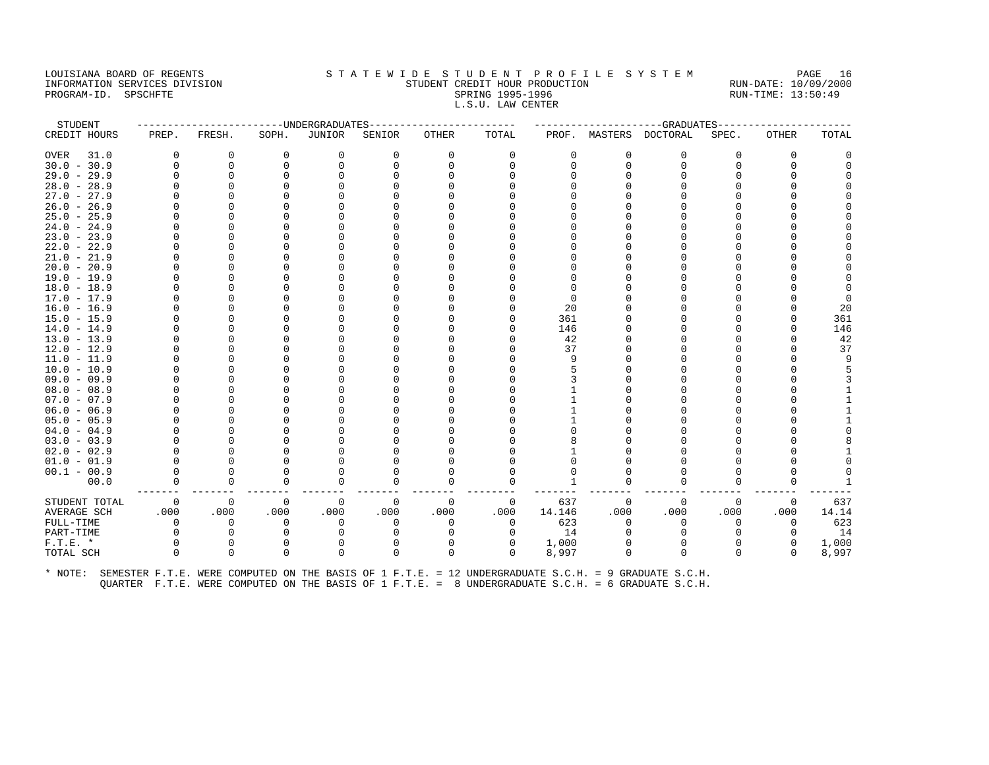#### LOUISIANA BOARD OF REGENTS STA TEWIDE STUDENT PROFILE SYSTEM PAGE 16 INFORMATION SERVICES DIVISION STUDENT CREDIT HOUR PRODUCTION RUN-DATE: 10/09/2000 PROGRAM-ID. SPSCHFTE SALLER SPRING 1995-1996 SPRING 1995-1996 RUN-TIME: 13:50:49 L.S.U. LAW CENTER

| PREP.<br>O | FRESH.      | SOPH.    | <b>JUNIOR</b> | SENIOR   | <b>OTHER</b> | TOTAL    |        |          | PROF. MASTERS DOCTORAL | SPEC.                                                                                                | <b>OTHER</b> | TOTAL |
|------------|-------------|----------|---------------|----------|--------------|----------|--------|----------|------------------------|------------------------------------------------------------------------------------------------------|--------------|-------|
|            |             |          |               |          |              |          |        |          |                        |                                                                                                      |              |       |
|            | 0           | 0        | 0             | $\Omega$ | 0            | 0        | 0      | 0        | $\Omega$               | U                                                                                                    | 0            |       |
| $\Omega$   | $\mathbf 0$ | $\Omega$ | $\Omega$      |          | U            | $\Omega$ |        | $\Omega$ | $\Omega$               | $\Omega$                                                                                             | $\Omega$     |       |
|            | $\Omega$    | O        |               |          |              |          |        |          |                        | U                                                                                                    | O            |       |
|            |             |          |               |          |              |          |        |          |                        | U                                                                                                    |              |       |
|            |             |          |               |          |              |          |        |          |                        |                                                                                                      |              |       |
|            |             |          |               |          |              |          |        |          |                        |                                                                                                      |              |       |
|            |             |          |               |          |              |          |        |          |                        |                                                                                                      |              |       |
|            |             |          |               |          |              |          |        |          |                        |                                                                                                      |              |       |
|            |             |          |               |          |              |          |        |          |                        |                                                                                                      |              |       |
|            |             |          |               |          |              |          |        |          |                        | U                                                                                                    |              |       |
|            |             |          |               |          |              |          |        |          |                        |                                                                                                      |              |       |
|            |             |          |               |          |              |          |        |          |                        |                                                                                                      |              |       |
|            |             |          |               |          |              |          |        |          |                        |                                                                                                      |              |       |
|            |             |          |               |          |              |          |        |          |                        |                                                                                                      |              |       |
|            |             |          |               |          |              |          |        |          |                        |                                                                                                      |              |       |
|            |             |          |               |          |              |          | 20     |          |                        | U                                                                                                    |              | 20    |
|            |             |          |               |          |              | n        | 361    |          |                        | U                                                                                                    |              | 361   |
|            |             |          |               |          |              | $\Omega$ | 146    |          |                        | Λ                                                                                                    | O            | 146   |
|            |             |          |               |          |              | $\Omega$ | 42     |          |                        |                                                                                                      | O            | 42    |
|            |             |          |               |          |              |          | 37     |          |                        |                                                                                                      |              | 37    |
|            |             |          |               |          |              |          |        |          |                        |                                                                                                      |              | q     |
|            |             |          |               |          |              |          |        |          |                        |                                                                                                      |              |       |
|            |             |          |               |          |              |          |        |          |                        |                                                                                                      |              |       |
|            |             |          |               |          |              |          |        |          |                        |                                                                                                      |              |       |
|            |             |          |               |          |              |          |        |          |                        |                                                                                                      |              |       |
|            |             |          |               |          |              |          |        |          |                        |                                                                                                      |              |       |
|            |             |          |               |          |              |          |        |          |                        |                                                                                                      |              |       |
|            |             |          |               |          |              |          |        |          |                        | U                                                                                                    |              |       |
|            |             |          |               |          |              |          |        |          |                        | ⋂                                                                                                    |              |       |
|            |             |          |               |          |              |          |        |          |                        |                                                                                                      |              |       |
|            |             |          |               |          |              |          |        |          |                        |                                                                                                      |              |       |
| $\Omega$   | $\Omega$    |          | O             |          | U            | $\Omega$ |        |          |                        | U                                                                                                    | U            |       |
| O          | $\mathbf 0$ | $\Omega$ | 0             |          | 0            | 0        |        |          |                        | U                                                                                                    | $\Omega$     |       |
| $\Omega$   | 0           | 0        | 0             | $\Omega$ | $\mathbf 0$  | 0        | 637    | $\Omega$ | $\Omega$               | $\Omega$                                                                                             | 0            | 637   |
| .000       | .000        | .000     | .000          | .000     | .000         | .000     | 14.146 | .000     | .000                   | .000                                                                                                 | .000         | 14.14 |
| $\Omega$   | $\Omega$    | O        | $\Omega$      |          | $\Omega$     | $\Omega$ | 623    | $\Omega$ |                        | 0                                                                                                    | 0            | 623   |
| $\Omega$   | $\Omega$    |          |               |          | U            | $\Omega$ | 14     |          |                        | <sup>0</sup>                                                                                         | $\Omega$     | 14    |
| $\Omega$   | $\mathbf 0$ | 0        | 0             |          | $\Omega$     | 0        | 1,000  |          |                        | 0                                                                                                    | 0            | 1,000 |
| $\Omega$   | $\Omega$    | $\Omega$ | $\Omega$      | $\Omega$ | $\Omega$     | $\Omega$ | 8,997  | $\Omega$ | $\Omega$               | $\Omega$                                                                                             | $\Omega$     | 8,997 |
|            |             |          |               |          |              |          |        |          |                        | SEMESTER F.T.E. WERE COMPUTED ON THE BASIS OF 1 F.T.E. = 12 UNDERGRADUATE S.C.H. = 9 GRADUATE S.C.H. |              |       |

QUARTER F.T.E. WERE COMPUTED ON THE BASIS OF 1 F.T.E. = 8 UNDERGRADUATE S.C.H. = 6 GRADUATE S.C.H.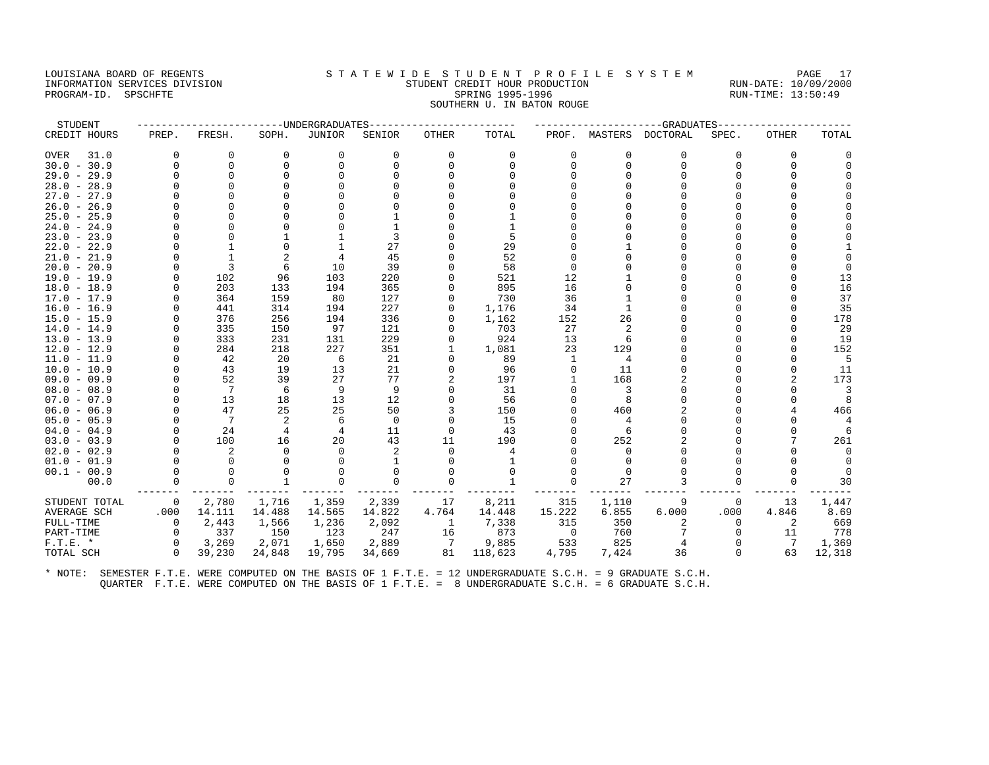# LOUISIANA BOARD OF REGENTS STA TEWIDE STUDENT PROFILE SYSTEM PAGE 17 INFORMATION SERVICES DIVISION STUDENT CREDIT HOUR PRODUCTION RUN-DATE: 10/09/2000 PROGRAM-ID. SPSCHFTE SALLER SPRING 1995-1996 SPRING 1995-1996 RUN-TIME: 13:50:49

# SOUTHERN U. IN BATON ROUGE

| STUDENT             |          |              |                | -UNDERGRADUATES |          |              |          |              |          | -GRADUATES |          |          |                |
|---------------------|----------|--------------|----------------|-----------------|----------|--------------|----------|--------------|----------|------------|----------|----------|----------------|
| CREDIT HOURS        | PREP.    | FRESH.       | SOPH.          | <b>JUNIOR</b>   | SENIOR   | <b>OTHER</b> | TOTAL    | PROF.        | MASTERS  | DOCTORAL   | SPEC.    | OTHER    | TOTAL          |
| <b>OVER</b><br>31.0 | $\Omega$ | 0            | 0              | $\mathbf 0$     | 0        | 0            | 0        | $\mathbf 0$  | 0        | 0          | $\Omega$ | 0        |                |
| $30.0 - 30.9$       | $\Omega$ | 0            | $\Omega$       | 0               | $\Omega$ | $\Omega$     | $\Omega$ | $\Omega$     | $\Omega$ | $\Omega$   | $\Omega$ | $\Omega$ | $\Omega$       |
| $29.0 - 29.9$       |          | $\Omega$     | $\cap$         | $\Omega$        |          |              |          |              |          |            |          | $\cap$   |                |
| $28.0 - 28.9$       |          | $\Omega$     |                |                 |          |              |          |              |          |            |          | O        |                |
| $27.0 - 27.9$       |          | $\Omega$     |                |                 |          |              |          |              |          |            |          |          |                |
| $26.0 - 26.9$       |          |              |                |                 |          |              |          |              |          |            |          |          |                |
| $25.0 - 25.9$       | $\Omega$ | $\Omega$     |                |                 |          |              |          |              |          |            |          | U        |                |
| $24.0 - 24.9$       |          | $\Omega$     |                |                 |          |              | 1        |              |          |            |          |          |                |
| $23.0 - 23.9$       |          |              |                |                 |          |              | 5        |              |          |            |          |          |                |
| $22.0 - 22.9$       |          |              |                | $\mathbf{1}$    | 27       |              | 29       |              |          |            |          |          |                |
| $21.0 - 21.9$       |          | $\mathbf{1}$ |                | 4               | 45       |              | 52       |              |          |            |          |          |                |
| $20.0 - 20.9$       |          | 3            | 6              | 10              | 39       |              | 58       |              |          |            |          |          | $\Omega$       |
| $19.0 - 19.9$       |          | 102          | 96             | 103             | 220      |              | 521      | 12           |          |            |          |          | 13             |
| $18.0 - 18.9$       | $\Omega$ | 203          | 133            | 194             | 365      | $\Omega$     | 895      | 16           |          |            |          |          | 16             |
| $17.0 - 17.9$       | $\Omega$ | 364          | 159            | 80              | 127      | 0            | 730      | 36           |          |            |          |          | 37             |
| $16.0 - 16.9$       |          | 441          | 314            | 194             | 227      | 0            | 1,176    | 34           |          |            |          | $\cap$   | 35             |
| $15.0 - 15.9$       |          | 376          | 256            | 194             | 336      | <sup>0</sup> | 1,162    | 152          | 26       |            |          |          | 178            |
| $14.0 - 14.9$       |          | 335          | 150            | 97              | 121      |              | 703      | 27           | 2        |            |          | U        | 29             |
| $13.0 - 13.9$       |          | 333          | 231            | 131             | 229      | 0            | 924      | 13           | 6        |            |          |          | 19             |
| $12.0 - 12.9$       |          | 284          | 218            | 227             | 351      | 1            | 1,081    | 23           | 129      |            |          | U        | 152            |
| $11.0 - 11.9$       | $\Omega$ | 42           | 20             | 6               | 21       | $\Omega$     | 89       | 1            | 4        |            |          |          | 5              |
| $10.0 - 10.9$       | $\Omega$ | 43           | 19             | 13              | 21       | $\Omega$     | 96       | $\Omega$     | 11       |            |          |          | 11             |
| $09.0 - 09.9$       | $\Omega$ | 52           | 39             | 27              | 77       | 2            | 197      |              | 168      |            |          | 2        | 173            |
| $08.0 - 08.9$       |          | 7            | 6              | 9               | 9        | $\Omega$     | 31       | <sup>0</sup> | 3        |            |          |          | $\overline{3}$ |
| $07.0 - 07.9$       | $\Omega$ | 13           | 18             | 13              | 12       |              | 56       |              | 8        |            |          |          | 8              |
| $06.0 - 06.9$       |          | 47           | 25             | 25              | 50       |              | 150      |              | 460      |            |          |          | 466            |
| $05.0 - 05.9$       |          | 7            | 2              | 6               | $\Omega$ | $\Omega$     | 15       |              |          |            |          |          | 4              |
| $04.0 - 04.9$       |          | 24           | $\overline{4}$ | 4               | 11       | $\Omega$     | 43       |              | 6        |            |          |          | - 6            |
| $03.0 - 03.9$       | $\Omega$ | 100          | 16             | 20              | 43       | 11           | 190      |              | 252      |            |          |          | 261            |
| $02.0 - 02.9$       |          | 2            | $\Omega$       | $\Omega$        | 2        | $\Omega$     | 4        |              | $\Omega$ |            |          |          | $\Omega$       |
| $01.0 - 01.9$       |          | $\Omega$     |                |                 |          | <sup>0</sup> |          |              |          |            |          |          |                |
| $00.1 - 00.9$       | $\Omega$ | $\Omega$     |                | $\Omega$        |          | $\Omega$     | $\Omega$ |              | $\Omega$ |            |          |          |                |
| 00.0                |          | $\Omega$     |                | $\Omega$        | $\Omega$ |              |          | $\Omega$     | 27       |            |          |          | 30             |
| STUDENT TOTAL       | $\Omega$ | 2,780        | 1,716          | 1,359           | 2,339    | 17           | 8,211    | 315          | 1,110    | 9          | $\Omega$ | 13       | 1,447          |
| <b>AVERAGE SCH</b>  | .000     | 14.111       | 14.488         | 14.565          | 14.822   | 4.764        | 14.448   | 15.222       | 6.855    | 6.000      | .000     | 4.846    | 8.69           |
| FULL-TIME           | $\Omega$ | 2,443        | 1,566          | 1,236           | 2,092    | 1            | 7,338    | 315          | 350      |            | $\Omega$ | 2        | 669            |
| PART-TIME           | $\Omega$ | 337          | 150            | 123             | 247      | 16           | 873      | $\mathbf 0$  | 760      |            |          | 11       | 778            |
| $F.T.E.$ *          | $\Omega$ | 3,269        | 2,071          | 1,650           | 2,889    | 7            | 9,885    | 533          | 825      |            |          | 7        | 1,369          |
| TOTAL SCH           | $\Omega$ | 39,230       | 24,848         | 19,795          | 34,669   | 81           | 118,623  | 4,795        | 7,424    | 36         |          | 63       | 12,318         |
|                     |          |              |                |                 |          |              |          |              |          |            |          |          |                |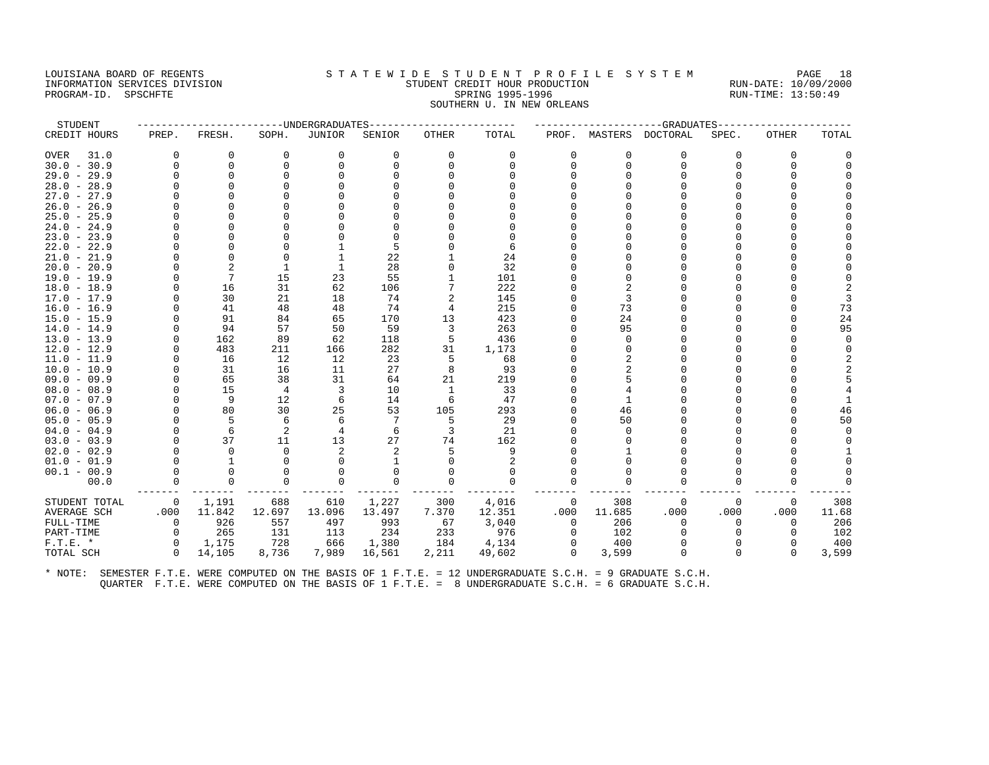#### LOUISIANA BOARD OF REGENTS STATEWIDE STUDENT PROFILE SYSTEM PAGE 18 INFORMATION SERVICES DIVISION STUDENT CREDIT HOUR PRODUCTION RUN-DATE: 10/09/2000 PROGRAM-ID. SPSCHFTE SALLER SPRING 1995-1996 SPRING 1995-1996 RUN-TIME: 13:50:49 SOUTHERN U. IN NEW ORLEANS

| STUDENT       |          |                |                | ----UNDERGRADUATES |          |                |          |          |          | ---------GRADUATES     |       |              |        |
|---------------|----------|----------------|----------------|--------------------|----------|----------------|----------|----------|----------|------------------------|-------|--------------|--------|
| CREDIT HOURS  | PREP.    | FRESH.         | SOPH.          | JUNIOR             | SENIOR   | OTHER          | TOTAL    |          |          | PROF. MASTERS DOCTORAL | SPEC. | <b>OTHER</b> | TOTAL  |
| OVER<br>31.0  | $\Omega$ | 0              | 0              | 0                  | $\Omega$ | 0              | 0        | O        | $\Omega$ | 0                      | O     | $\Omega$     |        |
| $30.0 - 30.9$ | O        | $\Omega$       | $\Omega$       | $\Omega$           | $\Omega$ | 0              | $\Omega$ |          | $\Omega$ | $\Omega$               |       |              |        |
| $29.0 - 29.9$ | U        | $\Omega$       |                |                    |          |                |          |          |          |                        |       |              |        |
| $28.0 - 28.9$ | U        |                |                |                    |          |                |          |          |          |                        |       |              |        |
| $27.0 - 27.9$ | U        |                |                |                    |          |                |          |          |          |                        |       |              |        |
| $26.0 - 26.9$ |          |                |                |                    |          |                |          |          |          |                        |       |              |        |
| $25.0 - 25.9$ | U        |                |                |                    |          |                |          |          |          |                        |       |              |        |
| $24.0 - 24.9$ |          |                |                |                    |          |                |          |          |          |                        |       |              |        |
| $23.0 - 23.9$ |          | $\Omega$       |                |                    |          |                |          |          |          |                        |       |              |        |
| $22.0 - 22.9$ |          |                |                |                    |          |                | 6        |          |          |                        |       |              |        |
| $21.0 - 21.9$ |          | <sup>0</sup>   | O              |                    | 22       |                | 24       |          |          |                        |       |              |        |
| $20.0 - 20.9$ |          | $\overline{c}$ | 1              |                    | 28       |                | 32       |          |          |                        |       |              |        |
| $19.0 - 19.9$ |          |                | 15             | 23                 | 55       |                | 101      |          |          |                        |       |              |        |
| $18.0 - 18.9$ | U        | 16             | 31             | 62                 | 106      |                | 222      |          |          |                        |       |              |        |
| $17.0 - 17.9$ | U        | 30             | 21             | 18                 | 74       | 2              | 145      |          |          |                        |       |              |        |
| $16.0 - 16.9$ | U        | 41             | 48             | 48                 | 74       | $\overline{4}$ | 215      |          | 73       |                        |       |              | 73     |
| $15.0 - 15.9$ |          | 91             | 84             | 65                 | 170      | 13             | 423      |          | 24       |                        |       |              | 24     |
| $14.0 - 14.9$ | U        | 94             | 57             | 50                 | 59       | 3              | 263      |          | 95       |                        |       |              | 95     |
| $13.0 - 13.9$ | U        | 162            | 89             | 62                 | 118      | 5              | 436      |          |          |                        |       |              | $\cap$ |
| $12.0 - 12.9$ | $\Omega$ | 483            | 211            | 166                | 282      | 31             | 1,173    |          |          |                        |       |              |        |
| $11.0 - 11.9$ | U        | 16             | 12             | 12                 | 23       | 5              | 68       |          |          |                        |       |              |        |
| $10.0 - 10.9$ | O        | 31             | 16             | 11                 | 27       | 8              | 93       |          |          |                        |       |              |        |
| $09.0 - 09.9$ | O        | 65             | 38             | 31                 | 64       | 21             | 219      |          |          |                        |       |              |        |
| $08.0 - 08.9$ |          | 15             | 4              | 3                  | 10       | 1              | 33       |          |          |                        |       |              |        |
| $07.0 - 07.9$ | O        | 9              | 12             | 6                  | 14       | 6              | 47       |          |          |                        |       |              |        |
| $06.0 - 06.9$ | O        | 80             | 30             | 25                 | 53       | 105            | 293      |          | 46       |                        |       |              | 46     |
| $05.0 - 05.9$ | U        | .5             | 6              | 6                  |          | 5              | 29       |          | 50       |                        |       |              | 50     |
| $04.0 - 04.9$ | U        | 6              | $\overline{2}$ | 4                  |          | 3              | 21       |          |          |                        |       |              |        |
| $03.0 - 03.9$ | O        | 37             | 11             | 13                 | 27       | 74             | 162      |          |          |                        |       |              |        |
| $02.0 - 02.9$ |          | $\Omega$       | $\Omega$       | $\mathfrak{D}$     |          |                | 9        |          |          |                        |       |              |        |
| $01.0 - 01.9$ |          |                |                |                    |          |                |          |          |          |                        |       |              |        |
| $00.1 - 00.9$ | U        | $\Omega$       |                | O                  |          |                | $\Omega$ |          |          |                        |       |              |        |
| 00.0          |          | $\Omega$       | $\Omega$       | $\Omega$           |          |                | $\Omega$ |          |          |                        |       |              |        |
| STUDENT TOTAL | 0        | 1,191          | 688            | 610                | 1,227    | 300            | 4,016    | 0        | 308      | $\Omega$               | 0     | $\Omega$     | 308    |
| AVERAGE SCH   | .000     | 11.842         | 12.697         | 13.096             | 13.497   | 7.370          | 12.351   | .000     | 11.685   | .000                   | .000  | .000         | 11.68  |
| FULL-TIME     | $\Omega$ | 926            | 557            | 497                | 993      | 67             | 3,040    | $\Omega$ | 206      | $\Omega$               |       |              | 206    |
| PART-TIME     | $\Omega$ | 265            | 131            | 113                | 234      | 233            | 976      | $\Omega$ | 102      |                        |       |              | 102    |
| $F.T.E.$ *    | $\Omega$ | 1,175          | 728            | 666                | 1,380    | 184            | 4,134    | $\Omega$ | 400      | $\Omega$               |       | <sup>0</sup> | 400    |
| TOTAL SCH     | $\Omega$ | 14,105         | 8,736          | 7,989              | 16,561   | 2,211          | 49,602   | $\Omega$ | 3,599    | $\Omega$               |       | $\Omega$     | 3,599  |
|               |          |                |                |                    |          |                |          |          |          |                        |       |              |        |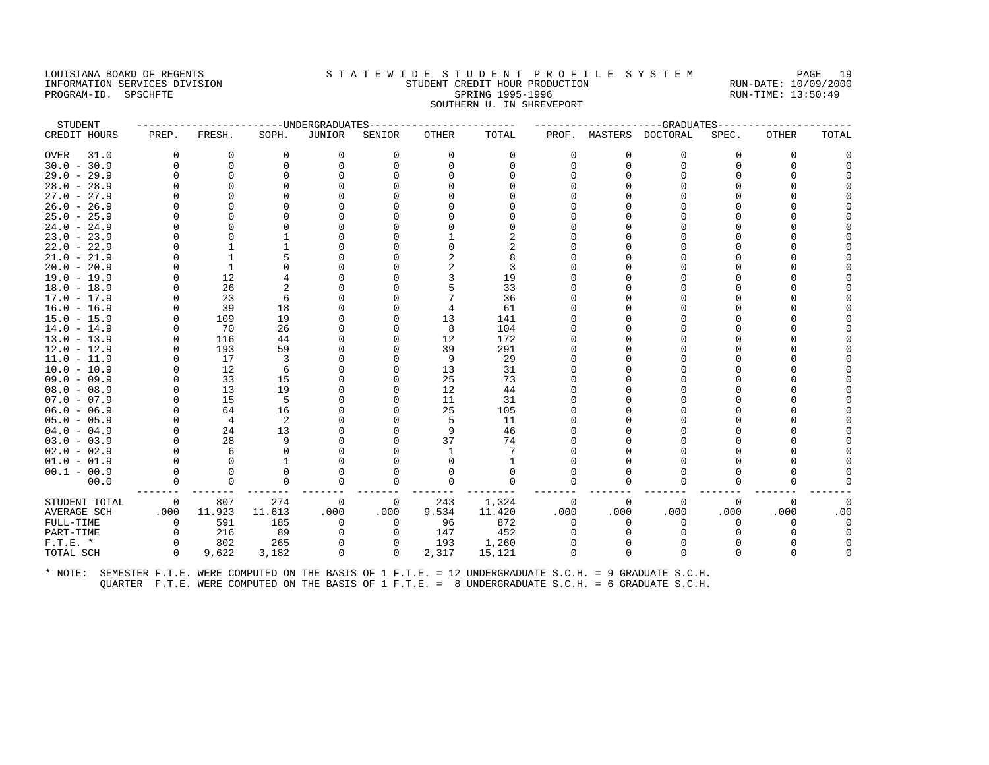# LOUISIANA BOARD OF REGENTS S T A T E W I D E S T U D E N T P R O F I L E S Y S T E M PAGE 19 DOULSIANA BOARD OF REGENIS<br>TRIPORMATION SERVICES DIVISION TRIPORATION STUDENT GREDIT HOUR PRODUCTION<br>PROGRAM-ID. SPSCHFTE 13:50:49

# INFORMATION SERVICES DIVISION STUDENT CREDIT HOUR PRODUCTION RUN-DATE: 10/09/2000 SOUTHERN U. IN SHREVEPORT STUDENT ------------------------UNDERGRADUATES------------------------ ---------------------GRADUATES----------------------

| CREDIT HOURS                   | PREP.       | FRESH.   | SOPH.         | JUNIOR   | SENIOR      | OTHER       | TOTAL          | PROF.        | MASTERS     | DOCTORAL | SPEC.    | OTHER        | TOTAL    |
|--------------------------------|-------------|----------|---------------|----------|-------------|-------------|----------------|--------------|-------------|----------|----------|--------------|----------|
| 31.0<br><b>OVER</b>            | 0           | 0        | $\mathbf 0$   | 0        | $\mathbf 0$ | 0           | 0              | $\mathbf 0$  | $\mathbf 0$ | 0        | 0        | 0            |          |
| $30.0 - 30.9$                  | $\Omega$    | $\Omega$ | $\Omega$      | $\Omega$ | $\mathbf 0$ | $\mathbf 0$ | $\mathbf 0$    | $\Omega$     | $\Omega$    | $\Omega$ | $\Omega$ | $\mathbf{0}$ |          |
| $29.0 - 29.9$                  |             | $\Omega$ | O             |          | $\Omega$    |             | $\Omega$       |              |             | O        | O        | $\Omega$     |          |
| $28.0 - 28.9$                  |             |          |               |          |             |             |                |              |             | Λ        |          | $\cap$       |          |
| $27.0 - 27.9$                  |             |          |               |          |             |             |                |              |             | U        |          | U            |          |
| $26.0 - 26.9$                  |             |          |               |          |             |             |                |              |             |          |          |              |          |
| $25.0 - 25.9$                  |             |          |               |          |             |             |                |              |             | U        |          | $\cap$       |          |
| $24.0 - 24.9$                  |             |          |               |          |             |             | $\Omega$       |              |             |          |          | U            |          |
| $23.0 - 23.9$                  |             |          |               |          |             |             | 2              |              |             | U        | U        | $\Omega$     |          |
| $22.0 - 22.9$                  |             |          |               |          |             |             | $\overline{2}$ |              |             | Ω        |          | O            |          |
| $21.0 - 21.9$                  |             |          |               |          |             |             | 8              |              |             | U        |          | $\cap$       |          |
| $20.0 - 20.9$                  |             |          |               |          |             |             | 3              |              |             |          |          |              |          |
| $19.0 - 19.9$                  |             | 12       |               |          |             | 3           | 19             |              |             | U        |          | $\cap$       |          |
| $18.0 - 18.9$                  |             | 26       |               |          |             |             | 33             |              |             | U        |          | $\cap$       |          |
| $17.0 - 17.9$                  |             | 23       | 6             |          |             |             | 36             |              |             | U        |          | $\Omega$     |          |
| $16.0 - 16.9$                  |             | 39       | 18            |          |             |             | 61             |              |             |          |          |              |          |
| $15.0 - 15.9$                  |             | 109      | 19            |          | O           | 13          | 141            |              |             | U        |          | U            |          |
| $14.0 - 14.9$                  |             | 70       | 26            |          | $\Omega$    | 8           | 104            |              |             | U        |          | $\cap$       |          |
| $13.0 - 13.9$                  |             | 116      | 44            |          | $\Omega$    | 12          | 172            |              |             | U        |          | $\cap$       |          |
| $12.0 - 12.9$                  |             | 193      | 59            |          | $\Omega$    | 39          | 291            |              |             |          |          |              |          |
| $11.0 - 11.9$                  |             | 17       | 3             |          | O           | 9           | 29             |              |             | U        |          | U            |          |
| $10.0 - 10.9$                  |             | 12       | 6             |          | O           | 13          | 31             |              |             | Ω        |          |              |          |
| $09.0 - 09.9$                  |             | 33       | 15            |          | $\Omega$    | 25          | 73             |              |             | U        |          |              |          |
| $08.0 - 08.9$                  |             | 13       | 19            |          | $\Omega$    | 12          | 44             |              |             | Λ        |          |              |          |
| $07.0 - 07.9$                  |             | 15       | 5             |          | $\Omega$    | 11          | 31             |              |             | O        |          | $\Omega$     |          |
| $06.0 - 06.9$                  |             | 64       | 16            |          | $\Omega$    | 25          | 105            |              |             | Λ        |          | $\cap$       |          |
| $05.0 - 05.9$                  |             | 4        | 2             |          |             | 5           | 11             |              |             | Ω        |          |              |          |
| $04.0 - 04.9$                  |             | 24<br>28 | 13            |          |             | 9<br>37     | 46             |              |             | Λ        |          |              |          |
| $03.0 - 03.9$                  |             | 6        | 9<br>$\Omega$ |          | U           |             | 74             |              |             | Λ<br>U   |          |              |          |
| $02.0 - 02.9$<br>$01.0 - 01.9$ |             |          |               |          |             |             |                |              |             |          |          |              |          |
|                                |             |          | $\Omega$      |          | U           |             | $\Omega$       |              |             | U        |          |              |          |
| $00.1 - 00.9$                  |             | $\Omega$ | $\Omega$      | $\Omega$ | $\mathbf 0$ | $\Omega$    | $\mathbf 0$    | <sup>0</sup> |             | U        | U        | $\Omega$     |          |
| 00.0                           | $\Omega$    |          |               |          |             |             |                |              |             |          |          |              |          |
| STUDENT TOTAL                  | 0           | 807      | 274           | 0        | 0           | 243         | 1,324          | $\Omega$     | $\cap$      | 0        | $\Omega$ | 0            | $\Omega$ |
| AVERAGE SCH                    | .000        | 11.923   | 11.613        | .000     | .000        | 9.534       | 11.420         | .000         | .000        | .000     | .000     | .000         | .00      |
| FULL-TIME                      | $\mathbf 0$ | 591      | 185           | 0        | $\Omega$    | 96          | 872            | $\Omega$     | n           | $\Omega$ | 0        | $\Omega$     | $\Omega$ |
| PART-TIME                      | $\Omega$    | 216      | 89            | 0        | $\Omega$    | 147         | 452            |              |             | $\Omega$ | U        | O            | $\Omega$ |
| $F.T.E.$ *                     | 0           | 802      | 265           | 0        | 0           | 193         | 1,260          |              |             | n        |          |              |          |
| TOTAL SCH                      | $\Omega$    | 9,622    | 3,182         | $\Omega$ | $\Omega$    | 2,317       | 15,121         | <sup>0</sup> |             | $\Omega$ | U        | $\cap$       | $\Omega$ |
|                                |             |          |               |          |             |             |                |              |             |          |          |              |          |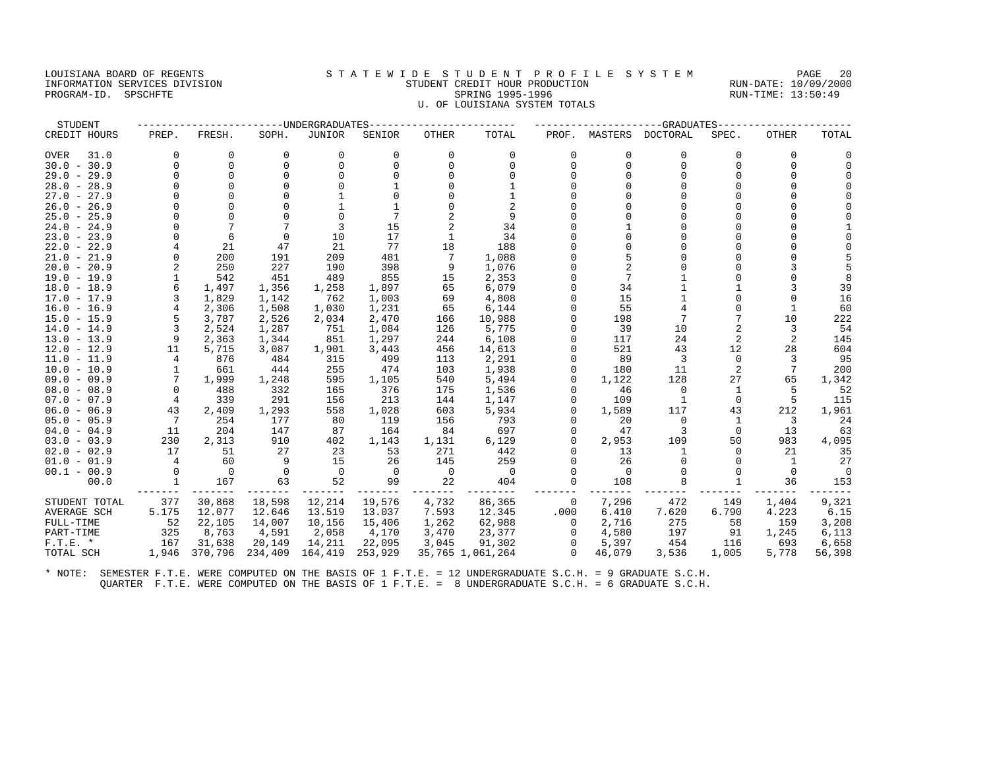#### LOUISIANA BOARD OF REGENTS STATEWIDE STUDENT PROFILE SYSTEM PAGE 20 INFORMATION SERVICES DIVISION STUDENT CREDIT HOUR PRODUCTION RUN-DATE: 10/09/2000 DUISIANA BOARD OF REGENIS<br>INFORMATION SERVICES DIVISION STORE STUDENT CREDIT HOUR PRODUCTION RUN-DATE: 10/09/200<br>PROGRAM-ID. SPSCHFTE 13:50:49 U. OF LOUISIANA SYSTEM TOTALS

| CREDIT HOURS        | PREP.    | FRESH.   | SOPH.    | JUNIOR      | SENIOR   | OTHER    | TOTAL            | PROF.        | MASTERS  | DOCTORAL | SPEC.          | OTHER    | TOTAL   |
|---------------------|----------|----------|----------|-------------|----------|----------|------------------|--------------|----------|----------|----------------|----------|---------|
| <b>OVER</b><br>31.0 | 0        | $\Omega$ | 0        | 0           | $\Omega$ | $\Omega$ | $\Omega$         | $\Omega$     | $\Omega$ | 0        | $\Omega$       | 0        |         |
| $30.0 - 30.9$       | $\Omega$ | $\Omega$ | $\Omega$ | $\Omega$    |          | $\Omega$ | $\Omega$         | $\Omega$     | $\Omega$ | $\Omega$ | $\Omega$       | $\Omega$ |         |
| $29.0 - 29.9$       | $\Omega$ | $\Omega$ |          | $\Omega$    |          | U        |                  |              |          | U        |                | $\Omega$ |         |
| $28.0 - 28.9$       |          | n        |          |             |          |          |                  |              |          |          |                |          |         |
| $27.0 - 27.9$       |          | ∩        |          |             |          |          |                  |              |          |          |                |          |         |
| $26.0 - 26.9$       |          | ∩        |          |             |          |          | $\overline{a}$   |              |          |          |                |          |         |
| $25.0 - 25.9$       |          |          |          |             |          |          | 9                |              |          |          |                |          |         |
| $24.0 - 24.9$       | $\Omega$ |          |          | 3           | 15       | 2        | 34               |              |          | U        |                |          |         |
| $23.0 - 23.9$       |          | 6        | $\Omega$ | 10          | 17       |          | 34               |              |          |          |                |          |         |
| $22.0 - 22.9$       |          | 21       | 47       | 21          | 77       | 18       | 188              |              |          |          |                |          |         |
| $21.0 - 21.9$       | $\Omega$ | 200      | 191      | 209         | 481      |          | 1,088            |              |          |          |                |          |         |
| $20.0 - 20.9$       | 2        | 250      | 227      | 190         | 398      | 9        | 1,076            |              |          |          |                |          |         |
| $19.0 - 19.9$       |          | 542      | 451      | 489         | 855      | 15       | 2,353            |              |          |          |                |          |         |
| $18.0 - 18.9$       | 6        | 1,497    | 1,356    | 1,258       | 1,897    | 65       | 6,079            |              | 34       |          |                |          | 39      |
| $17.0 - 17.9$       | 3        | 1,829    | 1,142    | 762         | 1,003    | 69       | 4,808            |              | 15       |          |                | $\Omega$ | 16      |
| $16.0 - 16.9$       | 4        | 2,306    | 1,508    | 1,030       | 1,231    | 65       | 6,144            |              | 55       |          |                |          | 60      |
| $15.0 - 15.9$       | 5        | 3,787    | 2,526    | 2,034       | 2,470    | 166      | 10,988           |              | 198      | 7        | 7              | 10       | 222     |
| $14.0 - 14.9$       | 3        | 2,524    | 1,287    | 751         | 1,084    | 126      | 5,775            |              | 39       | 10       | $\overline{c}$ | 3        | 54      |
| $13.0 - 13.9$       | 9        | 2,363    | 1,344    | 851         | 1,297    | 244      | 6,108            |              | 117      | 24       | 2              |          | 145     |
| $12.0 - 12.9$       | 11       | 5,715    | 3,087    | 1,901       | 3,443    | 456      | 14,613           |              | 521      | 43       | 12             | 28       | 604     |
| $11.0 - 11.9$       | 4        | 876      | 484      | 315         | 499      | 113      | 2,291            |              | 89       | 3        | 0              |          | 95      |
| $10.0 - 10.9$       |          | 661      | 444      | 255         | 474      | 103      | 1,938            |              | 180      | 11       | 2              | 7        | 200     |
| $09.0 - 09.9$       |          | 1,999    | 1,248    | 595         | 1,105    | 540      | 5,494            |              | 1,122    | 128      | 27             | 65       | 1,342   |
| $08.0 - 08.9$       | $\Omega$ | 488      | 332      | 165         | 376      | 175      | 1,536            |              | 46       | $\Omega$ | 1              |          | 52      |
| $07.0 - 07.9$       | 4        | 339      | 291      | 156         | 213      | 144      | 1,147            |              | 109      |          | $\Omega$       | 5        | 115     |
| $06.0 - 06.9$       | 43       | 2,409    | 1,293    | 558         | 1,028    | 603      | 5,934            |              | 1,589    | 117      | 43             | 212      | 1,961   |
| $05.0 - 05.9$       | 7        | 254      | 177      | 80          | 119      | 156      | 793              |              | 20       | $\Omega$ | 1              | 3        | 24      |
| $04.0 - 04.9$       | 11       | 204      | 147      | 87          | 164      | 84       | 697              |              | 47       | 3        | 0              | 13       | 63      |
| $03.0 - 03.9$       | 230      | 2,313    | 910      | 402         | 1,143    | 1,131    | 6,129            |              | 2,953    | 109      | 50             | 983      | 4,095   |
| $02.0 - 02.9$       | 17       | 51       | 27       | 23          | 53       | 271      | 442              |              | 13       |          | $\Omega$       | 21       | 35      |
| $01.0 - 01.9$       | 4        | 60       | 9        | 15          | 26       | 145      | 259              |              | 26       | $\Omega$ | $\Omega$       | 1        | 27      |
| $00.1 - 00.9$       | 0        | $\Omega$ | $\Omega$ | $\mathbf 0$ | $\Omega$ | 0        | $\Omega$         |              |          |          |                | $\Omega$ | $\circ$ |
| 00.0                |          | 167      | 63       | 52          | 99       | 22       | 404              | <sup>0</sup> | 108      | 8        |                | 36       | 153     |
| STUDENT TOTAL       | 377      | 30,868   | 18,598   | 12,214      | 19,576   | 4,732    | 86,365           | 0            | 7,296    | 472      | 149            | 1,404    | 9,321   |
| AVERAGE SCH         | 5.175    | 12.077   | 12.646   | 13.519      | 13.037   | 7.593    | 12.345           | .000         | 6.410    | 7.620    | 6.790          | 4.223    | 6.15    |
| FULL-TIME           | 52       | 22,105   | 14,007   | 10,156      | 15,406   | 1,262    | 62,988           | 0            | 2,716    | 275      | 58             | 159      | 3,208   |
| PART-TIME           | 325      | 8,763    | 4,591    | 2,058       | 4,170    | 3,470    | 23,377           | $\Omega$     | 4,580    | 197      | 91             | 1,245    | 6,113   |
| $F.T.E. *$          | 167      | 31,638   | 20,149   | 14,211      | 22,095   | 3,045    | 91,302           | 0            | 5,397    | 454      | 116            | 693      | 6,658   |
| TOTAL SCH           | 1,946    | 370,796  | 234,409  | 164,419     | 253,929  |          | 35,765 1,061,264 | $\Omega$     | 46,079   | 3,536    | 1,005          | 5,778    | 56,398  |

STUDENT ------------------------UNDERGRADUATES------------------------ ---------------------GRADUATES----------------------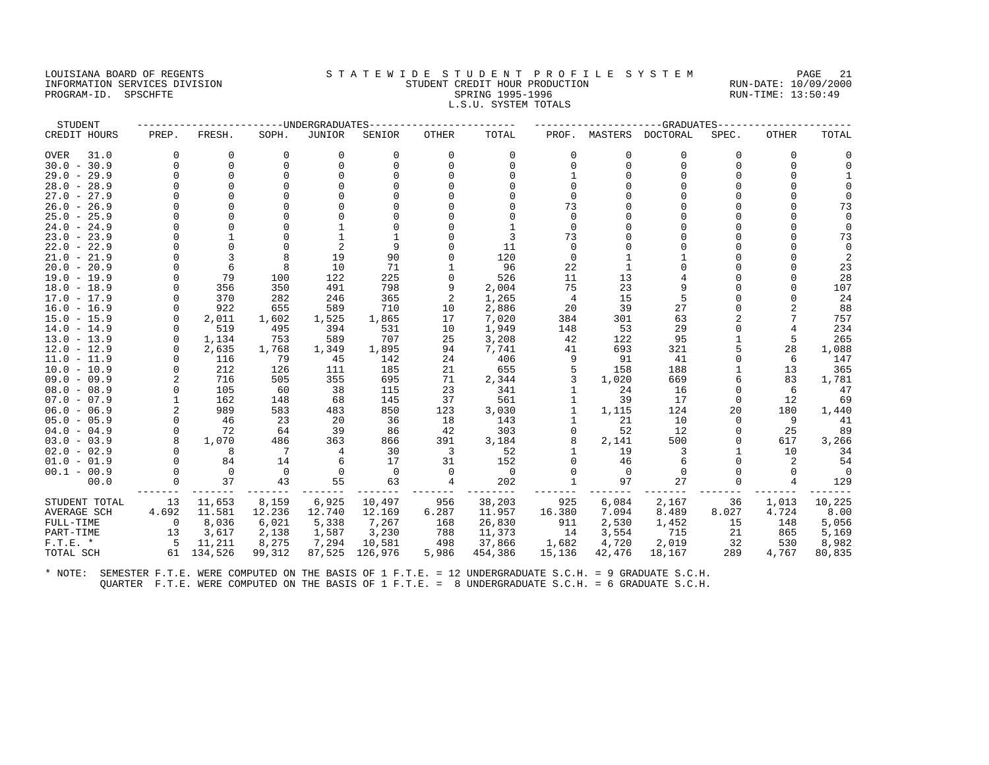#### LOUISIANA BOARD OF REGENTS STATEWIDE STUDENT PROFILE SYSTEM PAGE 21 INFORMATION SERVICES DIVISION STUDENT CREDIT HOUR PRODUCTION RUN-DATE: 10/09/2000 PROGRAM-ID. SPSCHFTE SALLER SPRING 1995-1996 SPRING 1995-1996 RUN-TIME: 13:50:49 L.S.U. SYSTEM TOTALS

| STUDENT                        |                      |                |             | -UNDERGRADUATES |             |              |                |               |               | -GRADUATES  |                |              |             |
|--------------------------------|----------------------|----------------|-------------|-----------------|-------------|--------------|----------------|---------------|---------------|-------------|----------------|--------------|-------------|
| CREDIT HOURS                   | PREP.                | FRESH.         | SOPH.       | <b>JUNIOR</b>   | SENIOR      | <b>OTHER</b> | TOTAL          |               | PROF. MASTERS | DOCTORAL    | SPEC.          | <b>OTHER</b> | TOTAL       |
| 31.0<br><b>OVER</b>            | 0                    | 0              | 0           | 0               | 0           | 0            | 0              | 0             | 0             | $\mathbf 0$ | O              | 0            |             |
| $30.0 - 30.9$                  | $\Omega$             | $\Omega$       | $\Omega$    | 0               | $\Omega$    | $\Omega$     | $\Omega$       | $\Omega$      | $\Omega$      | $\Omega$    | $\Omega$       | 0            | $\Omega$    |
| $29.0 - 29.9$                  | U                    | $\Omega$       | $\cap$      |                 |             |              | $\cap$         |               |               |             |                | $\Omega$     |             |
| $28.0 - 28.9$                  |                      | $\Omega$       |             |                 |             |              | $\cap$         |               |               |             | U              | $\Omega$     |             |
| $27.0 - 27.9$                  |                      |                |             |                 |             |              |                |               |               |             |                | $\cap$       |             |
| $26.0 - 26.9$                  |                      |                |             |                 |             |              |                | 73            |               |             | U              | $\cap$       | 73          |
| $25.0 - 25.9$                  |                      |                |             |                 |             |              | $\cap$         | $\Omega$      |               |             | U              | $\cap$       | $\cap$      |
| $24.0 - 24.9$                  |                      | $\Omega$       |             |                 |             |              |                | $\Omega$      |               |             | O              | $\Omega$     |             |
| $23.0 - 23.9$                  |                      |                |             | 1               |             |              | 3              | 73            |               |             | U              | $\cap$       | 73          |
| $22.0 - 22.9$                  |                      |                | $\Omega$    |                 |             |              | 11             | $\Omega$      |               |             |                |              | $\Omega$    |
| $21.0 - 21.9$                  |                      | 3              |             | 19              | 90          |              | 120            | $\Omega$      |               |             |                |              |             |
| $20.0 - 20.9$                  |                      | 6              | 8           | 10              | 71          |              | 96             | 22            |               |             |                | $\Omega$     | 23          |
| $19.0 - 19.9$                  | $\Omega$             | 79             | 100         | 122             | 225         | $\Omega$     | 526            | 11            | 13            |             | U              |              | 28          |
| $18.0 - 18.9$                  | $\Omega$             | 356            | 350         | 491             | 798         | 9            | 2,004          | 75            | 23            | q           |                |              | 107         |
| $17.0 - 17.9$                  | $\Omega$             | 370            | 282         | 246             | 365         | 2            | 1,265          | 4             | 15            |             | U              | $\Omega$     | 24          |
| $16.0 - 16.9$                  | $\Omega$             | 922            | 655         | 589             | 710         | 10           | 2,886          | 20            | 39            | 27          | O              |              | 88          |
| $15.0 - 15.9$                  | $\Omega$             | 2,011          | 1,602       | 1,525           | 1,865       | 17           | 7,020          | 384           | 301           | 63          | $\overline{2}$ | 7            | 757         |
| $14.0 - 14.9$                  | $\Omega$             | 519            | 495         | 394             | 531         | 10           | 1,949          | 148           | 53            | 29          | U              | 4            | 234         |
| $13.0 - 13.9$                  | $\Omega$             | 1,134          | 753         | 589             | 707         | 25           | 3,208          | 42            | 122           | 95          |                | 5            | 265         |
| $12.0 - 12.9$                  | $\Omega$             | 2,635          | 1,768       | 1,349           | 1,895       | 94           | 7,741          | 41            | 693           | 321         | 5              | 28           | 1,088       |
| $11.0 - 11.9$                  | $\Omega$             | 116            | 79          | 45              | 142         | 24           | 406            | 9             | 91            | 41          | O              | 6            | 147         |
| $10.0 - 10.9$                  | $\Omega$             | 212            | 126         | 111             | 185         | 21           | 655            | 5             | 158           | 188         |                | 13           | 365         |
| $09.0 - 09.9$                  | $\overline{2}$       | 716            | 505         | 355             | 695         | 71           | 2,344          | 3             | 1,020         | 669         | 6              | 83           | 1,781       |
| $08.0 - 08.9$                  | $\Omega$             | 105            | 60          | 38              | 115         | 23           | 341            |               | 24            | 16          | $\Omega$       | 6            | 47          |
| $07.0 - 07.9$                  |                      | 162            | 148         | 68              | 145         | 37           | 561            |               | 39            | 17          | O              | 12           | 69          |
| $06.0 - 06.9$                  | $\overline{2}$       | 989            | 583         | 483             | 850         | 123          | 3,030          |               | 1,115         | 124         | 20             | 180          | 1,440       |
| $05.0 - 05.9$                  | $\Omega$<br>$\Omega$ | 46<br>72       | 23          | 20              | 36          | 18           | 143            |               | 21            | 10          | O              | 9            | 41          |
| $04.0 - 04.9$<br>$03.0 - 03.9$ | 8                    | 1,070          | 64<br>486   | 39<br>363       | 86<br>866   | 42<br>391    | 303<br>3,184   | $\Omega$<br>8 | 52<br>2,141   | 12<br>500   | O<br>O         | 25<br>617    | 89          |
| $02.0 - 02.9$                  | $\Omega$             | 8              | 7           | 4               | 30          | 3            | 52             |               | 19            | 3           |                | 10           | 3,266<br>34 |
| $01.0 - 01.9$                  | $\Omega$             | 84             | 14          | 6               | 17          | 31           | 152            | $\Omega$      | 46            | 6           | $\Omega$       | 2            | 54          |
| $00.1 - 00.9$                  | $\Omega$             | $\overline{0}$ | $\mathbf 0$ | $\Omega$        | $\mathbf 0$ | $\Omega$     | $\overline{0}$ |               | $\Omega$      | $\Omega$    | 0              | $\Omega$     | $\bigcap$   |
| 00.0                           | 0                    | 37             | 43          | 55              | 63          | 4            | 202            |               | 97            | 27          |                | 4            | 129         |
|                                |                      |                |             |                 |             |              |                |               |               |             |                |              |             |
| STUDENT TOTAL                  | 13                   | 11,653         | 8,159       | 6,925           | 10,497      | 956          | 38,203         | 925           | 6,084         | 2,167       | 36             | 1,013        | 10,225      |
| <b>AVERAGE SCH</b>             | 4.692                | 11.581         | 12.236      | 12.740          | 12.169      | 6.287        | 11.957         | 16.380        | 7.094         | 8.489       | 8.027          | 4.724        | 8.00        |
| FULL-TIME                      | 0                    | 8,036          | 6,021       | 5,338           | 7,267       | 168          | 26,830         | 911           | 2,530         | 1,452       | 15             | 148          | 5,056       |
| PART-TIME                      | 13                   | 3,617          | 2,138       | 1,587           | 3,230       | 788          | 11,373         | 14            | 3,554         | 715         | 21             | 865          | 5,169       |
| $F.T.E. *$                     | - 5                  | 11,211         | 8,275       | 7,294           | 10,581      | 498          | 37,866         | 1,682         | 4,720         | 2,019       | 32             | 530          | 8,982       |
| TOTAL SCH                      | 61                   | 134,526        | 99,312      | 87,525          | 126,976     | 5,986        | 454,386        | 15,136        | 42,476        | 18,167      | 289            | 4,767        | 80,835      |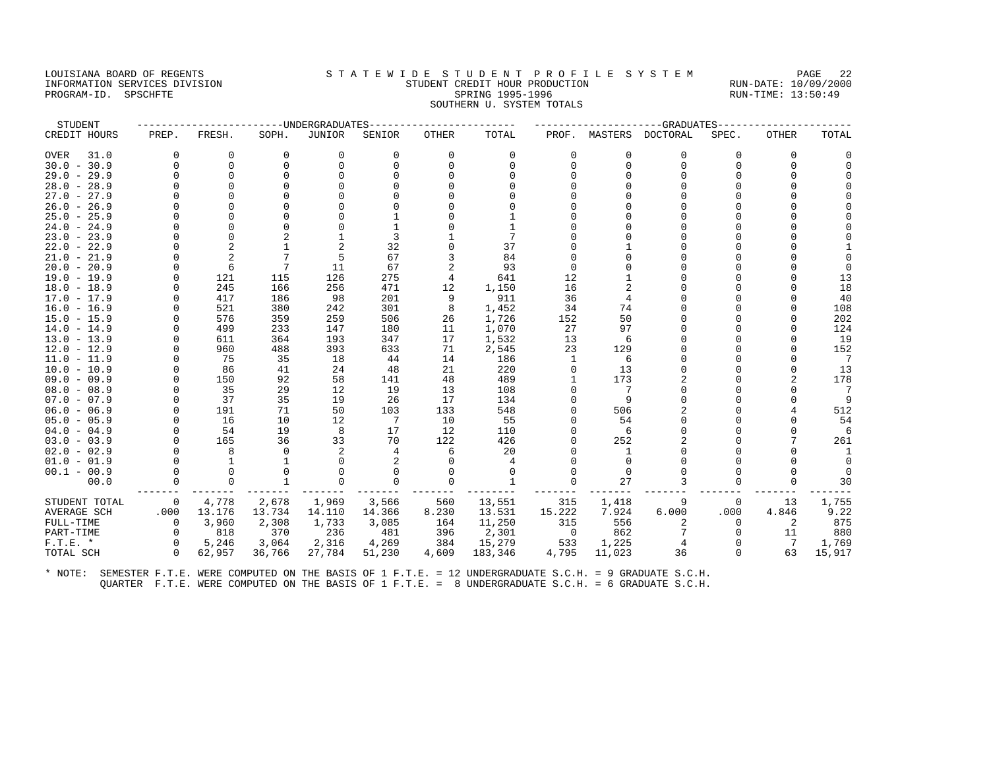#### LOUISIANA BOARD OF REGENTS STA TEWIDE STUDENT PROFILE SYSTEM PAGE 22 INFORMATION SERVICES DIVISION STUDENT CREDIT HOUR PRODUCTION RUN-DATE: 10/09/2000 PROGRAM-ID. SPSCHFTE SALLER SPRING 1995-1996 SPRING 1995-1996 RUN-TIME: 13:50:49 SOUTHERN U. SYSTEM TOTALS

| STUDENT       |             |                |          | -----UNDERGRADUATES |          |          |              |             |          | -GRADUATES |          |              |          |
|---------------|-------------|----------------|----------|---------------------|----------|----------|--------------|-------------|----------|------------|----------|--------------|----------|
| CREDIT HOURS  | PREP.       | FRESH.         | SOPH.    | JUNIOR              | SENIOR   | OTHER    | TOTAL        | PROF.       | MASTERS  | DOCTORAL   | SPEC.    | <b>OTHER</b> | TOTAL    |
| 31.0<br>OVER  | $\Omega$    | 0              | $\Omega$ | 0                   | $\Omega$ | $\Omega$ | 0            | $\Omega$    | $\Omega$ | 0          | $\Omega$ | $\Omega$     |          |
| $30.0 - 30.9$ | $\Omega$    | $\mathbf 0$    |          | 0                   | $\Omega$ |          | $\Omega$     | $\Omega$    | $\Omega$ | $\Omega$   | $\Omega$ | $\Omega$     |          |
| $29.0 - 29.9$ | U           | $\Omega$       |          |                     |          |          |              |             |          |            |          |              |          |
| $28.0 - 28.9$ | U           | $\Omega$       |          |                     |          |          |              |             |          |            |          |              |          |
| $27.0 - 27.9$ | U           |                |          |                     |          |          |              |             |          |            |          |              |          |
| $26.0 - 26.9$ |             |                |          |                     |          |          |              |             |          |            |          |              |          |
| $25.0 - 25.9$ | U           |                |          |                     |          |          |              |             |          |            |          |              |          |
| $24.0 - 24.9$ | O           |                |          |                     |          |          |              |             |          |            |          |              |          |
| $23.0 - 23.9$ |             | $\Omega$       |          |                     |          |          | 7            |             |          |            |          |              |          |
| $22.0 - 22.9$ |             |                |          |                     | 32       |          | 37           |             |          |            |          |              |          |
| $21.0 - 21.9$ |             | $\overline{2}$ |          | 5                   | 67       |          | 84           |             |          |            |          |              |          |
| $20.0 - 20.9$ |             | 6              |          | 11                  | 67       |          | 93           |             |          |            |          |              |          |
| $19.0 - 19.9$ | 0           | 121            | 115      | 126                 | 275      | 4        | 641          | 12          |          |            |          |              | 13       |
| $18.0 - 18.9$ | U           | 245            | 166      | 256                 | 471      | 12       | 1,150        | 16          |          |            |          |              | 18       |
| $17.0 - 17.9$ | U           | 417            | 186      | 98                  | 201      | 9        | 911          | 36          |          |            |          |              | 40       |
| $16.0 - 16.9$ |             | 521            | 380      | 242                 | 301      | 8        | 1,452        | 34          | 74       |            |          |              | 108      |
| $15.0 - 15.9$ |             | 576            | 359      | 259                 | 506      | 26       | 1,726        | 152         | 50       |            |          |              | 202      |
| $14.0 - 14.9$ | U           | 499            | 233      | 147                 | 180      | 11       | 1,070        | 27          | 97       |            |          |              | 124      |
| $13.0 - 13.9$ |             | 611            | 364      | 193                 | 347      | 17       | 1,532        | 13          | 6        |            |          |              | 19       |
| $12.0 - 12.9$ | U           | 960            | 488      | 393                 | 633      | 71       | 2,545        | 23          | 129      |            |          |              | 152      |
| $11.0 - 11.9$ |             | 75             | 35       | 18                  | 44       | 14       | 186          |             | 6        |            |          |              | 7        |
| $10.0 - 10.9$ | U           | 86             | 41       | 24                  | 48       | 21       | 220          |             | 13       |            |          |              | 13       |
| $09.0 - 09.9$ | U           | 150            | 92       | 58                  | 141      | 48       | 489          |             | 173      |            |          |              | 178      |
| $08.0 - 08.9$ |             | 35             | 29       | 12                  | 19       | 13       | 108          |             |          |            |          |              | -7       |
| $07.0 - 07.9$ | U           | 37             | 35       | 19                  | 26       | 17       | 134          |             | 9        |            |          |              |          |
| $06.0 - 06.9$ | 0           | 191            | 71       | 50                  | 103      | 133      | 548          |             | 506      |            |          |              | 512      |
| $05.0 - 05.9$ | $\Omega$    | 16             | 10       | 12                  | 7        | 10       | 55           |             | 54       |            |          |              | 54       |
| $04.0 - 04.9$ |             | 54             | 19       | 8                   | 17       | 12       | 110          |             | 6        |            |          |              | 6        |
| $03.0 - 03.9$ | $\Omega$    | 165            | 36       | 33                  | 70       | 122      | 426          |             | 252      |            |          |              | 261      |
| $02.0 - 02.9$ |             | 8              | $\Omega$ | 2                   |          | 6        | 20           |             |          |            |          |              |          |
| $01.0 - 01.9$ |             | -1             |          |                     |          |          | 4            |             |          |            |          |              | $\Omega$ |
| $00.1 - 00.9$ |             | $\Omega$       |          | $\Omega$            |          |          | $\Omega$     |             |          |            |          |              |          |
| 00.0          |             | $\Omega$       |          | $\Omega$            | $\Omega$ |          | $\mathbf{1}$ |             | 27       |            |          | U            | 30       |
| STUDENT TOTAL | 0           | 4,778          | 2,678    | 1,969               | 3,566    | 560      | 13,551       | 315         | 1,418    |            | 0        | 13           | 1,755    |
| AVERAGE SCH   | .000        | 13.176         | 13.734   | 14.110              | 14.366   | 8.230    | 13.531       | 15.222      | 7.924    | 6.000      | .000     | 4.846        | 9.22     |
| FULL-TIME     | $\mathbf 0$ | 3,960          | 2,308    | 1,733               | 3,085    | 164      | 11,250       | 315         | 556      | 2          | $\Omega$ | 2            | 875      |
| PART-TIME     | $\Omega$    | 818            | 370      | 236                 | 481      | 396      | 2,301        | $\mathbf 0$ | 862      |            | $\Omega$ | 11           | 880      |
| $F.T.E. *$    | $\Omega$    | 5,246          | 3,064    | 2,316               | 4,269    | 384      | 15,279       | 533         | 1,225    |            |          | 7            | 1,769    |
| TOTAL SCH     | $\Omega$    | 62,957         | 36,766   | 27,784              | 51,230   | 4,609    | 183,346      | 4,795       | 11,023   | 36         | $\Omega$ | 63           | 15,917   |
|               |             |                |          |                     |          |          |              |             |          |            |          |              |          |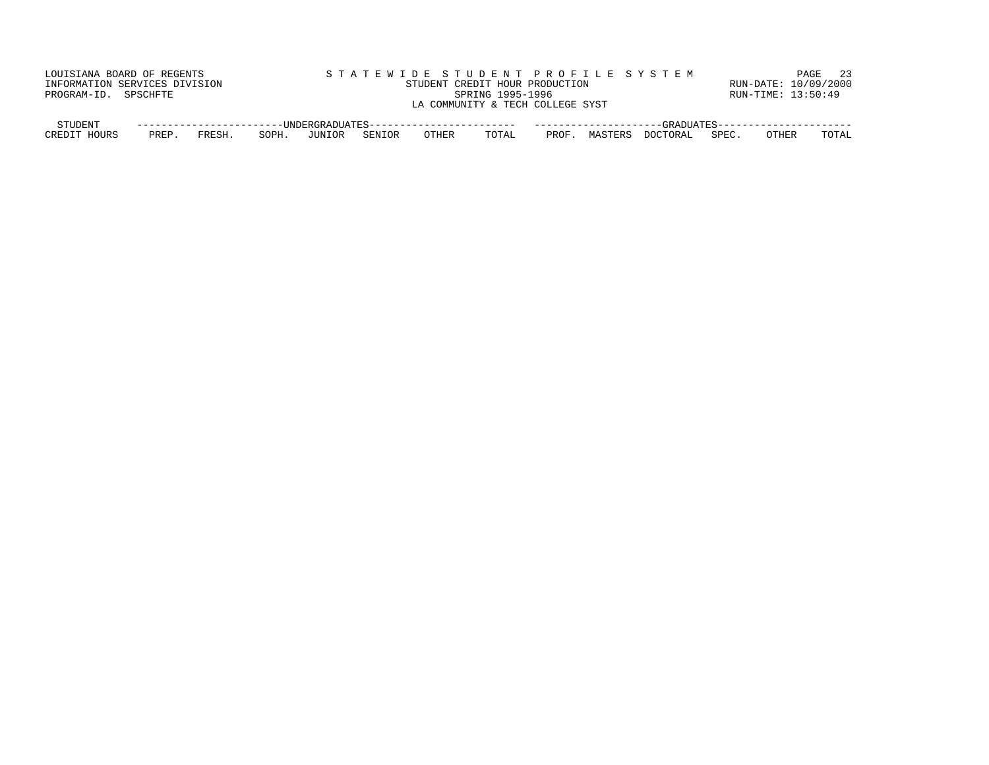| LOUISIANA BOARD OF REGENTS    |       |                          |       |        |        |       |                                  |       |         | STATEWIDE STUDENT PROFILE SYSTEM |       |                      | 23<br>PAGE |
|-------------------------------|-------|--------------------------|-------|--------|--------|-------|----------------------------------|-------|---------|----------------------------------|-------|----------------------|------------|
| INFORMATION SERVICES DIVISION |       |                          |       |        |        |       | STUDENT CREDIT HOUR PRODUCTION   |       |         |                                  |       | RUN-DATE: 10/09/2000 |            |
| PROGRAM-ID. SPSCHFTE          |       |                          |       |        |        |       | SPRING 1995-1996                 |       |         |                                  |       | RUN-TIME: 13:50:49   |            |
|                               |       |                          |       |        |        |       | LA COMMUNITY & TECH COLLEGE SYST |       |         |                                  |       |                      |            |
|                               |       |                          |       |        |        |       |                                  |       |         |                                  |       |                      |            |
| STUDENT                       |       | ________________________ |       |        |        |       |                                  |       |         |                                  |       |                      |            |
| CREDIT HOURS                  | PREP. | FRESH.                   | SOPH. | JUNIOR | SENIOR | OTHER | TOTAL                            | PROF. | MASTERS | DOCTORAL                         | SPEC. | <b>OTHER</b>         | TOTAL      |